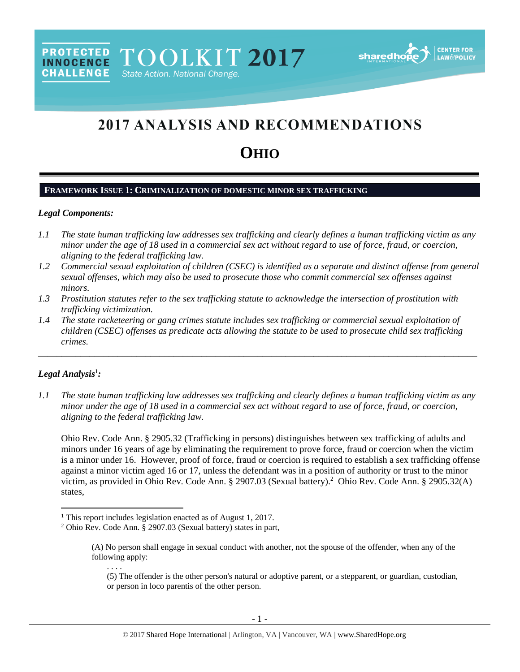# 2017 ANALYSIS AND RECOMMENDATIONS

# **OHIO**

## **FRAMEWORK ISSUE 1: CRIMINALIZATION OF DOMESTIC MINOR SEX TRAFFICKING**

## *Legal Components:*

**CHALLENGE** 

- *1.1 The state human trafficking law addresses sex trafficking and clearly defines a human trafficking victim as any minor under the age of 18 used in a commercial sex act without regard to use of force, fraud, or coercion, aligning to the federal trafficking law.*
- *1.2 Commercial sexual exploitation of children (CSEC) is identified as a separate and distinct offense from general sexual offenses, which may also be used to prosecute those who commit commercial sex offenses against minors.*
- *1.3 Prostitution statutes refer to the sex trafficking statute to acknowledge the intersection of prostitution with trafficking victimization.*
- *1.4 The state racketeering or gang crimes statute includes sex trafficking or commercial sexual exploitation of children (CSEC) offenses as predicate acts allowing the statute to be used to prosecute child sex trafficking crimes.*

\_\_\_\_\_\_\_\_\_\_\_\_\_\_\_\_\_\_\_\_\_\_\_\_\_\_\_\_\_\_\_\_\_\_\_\_\_\_\_\_\_\_\_\_\_\_\_\_\_\_\_\_\_\_\_\_\_\_\_\_\_\_\_\_\_\_\_\_\_\_\_\_\_\_\_\_\_\_\_\_\_\_\_\_\_\_\_\_\_\_\_\_\_\_

## *Legal Analysis*<sup>1</sup> *:*

 $\overline{\phantom{a}}$ 

*1.1 The state human trafficking law addresses sex trafficking and clearly defines a human trafficking victim as any minor under the age of 18 used in a commercial sex act without regard to use of force, fraud, or coercion, aligning to the federal trafficking law.*

Ohio Rev. Code Ann. § 2905.32 (Trafficking in persons) distinguishes between sex trafficking of adults and minors under 16 years of age by eliminating the requirement to prove force, fraud or coercion when the victim is a minor under 16. However, proof of force, fraud or coercion is required to establish a sex trafficking offense against a minor victim aged 16 or 17, unless the defendant was in a position of authority or trust to the minor victim, as provided in Ohio Rev. Code Ann. § 2907.03 (Sexual battery).<sup>2</sup> Ohio Rev. Code Ann. § 2905.32(A) states,

<sup>&</sup>lt;sup>1</sup> This report includes legislation enacted as of August 1, 2017.

<sup>2</sup> Ohio Rev. Code Ann. § 2907.03 (Sexual battery) states in part,

<sup>(</sup>A) No person shall engage in sexual conduct with another, not the spouse of the offender, when any of the following apply:

<span id="page-0-0"></span><sup>. . . .</sup> (5) The offender is the other person's natural or adoptive parent, or a stepparent, or guardian, custodian, or person in loco parentis of the other person.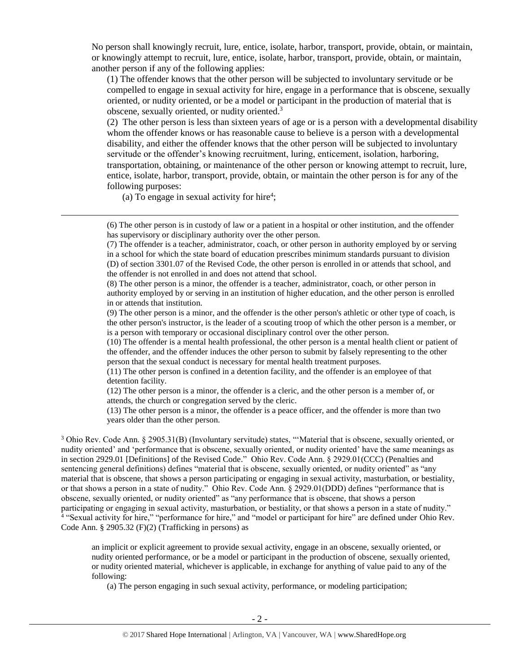No person shall knowingly recruit, lure, entice, isolate, harbor, transport, provide, obtain, or maintain, or knowingly attempt to recruit, lure, entice, isolate, harbor, transport, provide, obtain, or maintain, another person if any of the following applies:

(1) The offender knows that the other person will be subjected to involuntary servitude or be compelled to engage in sexual activity for hire, engage in a performance that is obscene, sexually oriented, or nudity oriented, or be a model or participant in the production of material that is obscene, sexually oriented, or nudity oriented.<sup>3</sup>

(2) The other person is less than sixteen years of age or is a person with a developmental disability whom the offender knows or has reasonable cause to believe is a person with a developmental disability, and either the offender knows that the other person will be subjected to involuntary servitude or the offender's knowing recruitment, luring, enticement, isolation, harboring, transportation, obtaining, or maintenance of the other person or knowing attempt to recruit, lure, entice, isolate, harbor, transport, provide, obtain, or maintain the other person is for any of the following purposes:

(a) To engage in sexual activity for hire<sup>4</sup>;

l

(6) The other person is in custody of law or a patient in a hospital or other institution, and the offender has supervisory or disciplinary authority over the other person.

(7) The offender is a teacher, administrator, coach, or other person in authority employed by or serving in a school for which the state board of education prescribes minimum standards pursuant to division (D) of section 3301.07 of the Revised Code, the other person is enrolled in or attends that school, and the offender is not enrolled in and does not attend that school.

(8) The other person is a minor, the offender is a teacher, administrator, coach, or other person in authority employed by or serving in an institution of higher education, and the other person is enrolled in or attends that institution.

(9) The other person is a minor, and the offender is the other person's athletic or other type of coach, is the other person's instructor, is the leader of a scouting troop of which the other person is a member, or is a person with temporary or occasional disciplinary control over the other person.

(10) The offender is a mental health professional, the other person is a mental health client or patient of the offender, and the offender induces the other person to submit by falsely representing to the other person that the sexual conduct is necessary for mental health treatment purposes.

(11) The other person is confined in a detention facility, and the offender is an employee of that detention facility.

(12) The other person is a minor, the offender is a cleric, and the other person is a member of, or attends, the church or congregation served by the cleric.

(13) The other person is a minor, the offender is a peace officer, and the offender is more than two years older than the other person.

<sup>3</sup> Ohio Rev. Code Ann. § 2905.31(B) (Involuntary servitude) states, "'Material that is obscene, sexually oriented, or nudity oriented' and 'performance that is obscene, sexually oriented, or nudity oriented' have the same meanings as in section 2929.01 [Definitions] of the Revised Code." Ohio Rev. Code Ann. § 2929.01(CCC) (Penalties and sentencing general definitions) defines "material that is obscene, sexually oriented, or nudity oriented" as "any material that is obscene, that shows a person participating or engaging in sexual activity, masturbation, or bestiality, or that shows a person in a state of nudity." Ohio Rev. Code Ann. § 2929.01(DDD) defines "performance that is obscene, sexually oriented, or nudity oriented" as "any performance that is obscene, that shows a person participating or engaging in sexual activity, masturbation, or bestiality, or that shows a person in a state of nudity." 4 "Sexual activity for hire," "performance for hire," and "model or participant for hire" are defined under Ohio Rev. Code Ann. § 2905.32 (F)(2) (Trafficking in persons) as

an implicit or explicit agreement to provide sexual activity, engage in an obscene, sexually oriented, or nudity oriented performance, or be a model or participant in the production of obscene, sexually oriented, or nudity oriented material, whichever is applicable, in exchange for anything of value paid to any of the following:

(a) The person engaging in such sexual activity, performance, or modeling participation;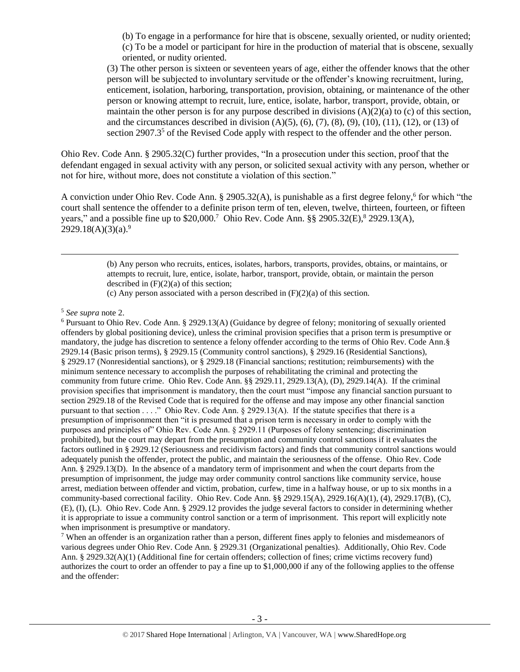(b) To engage in a performance for hire that is obscene, sexually oriented, or nudity oriented; (c) To be a model or participant for hire in the production of material that is obscene, sexually oriented, or nudity oriented.

(3) The other person is sixteen or seventeen years of age, either the offender knows that the other person will be subjected to involuntary servitude or the offender's knowing recruitment, luring, enticement, isolation, harboring, transportation, provision, obtaining, or maintenance of the other person or knowing attempt to recruit, lure, entice, isolate, harbor, transport, provide, obtain, or maintain the other person is for any purpose described in divisions  $(A)(2)(a)$  to (c) of this section, and the circumstances described in division  $(A)(5)$ ,  $(6)$ ,  $(7)$ ,  $(8)$ ,  $(9)$ ,  $(10)$ ,  $(11)$ ,  $(12)$ , or  $(13)$  of section  $2907.3<sup>5</sup>$  of the Revised Code apply with respect to the offender and the other person.

Ohio Rev. Code Ann. § 2905.32(C) further provides, "In a prosecution under this section, proof that the defendant engaged in sexual activity with any person, or solicited sexual activity with any person, whether or not for hire, without more, does not constitute a violation of this section."

A conviction under Ohio Rev. Code Ann. § 2905.32(A), is punishable as a first degree felony,<sup>6</sup> for which "the court shall sentence the offender to a definite prison term of ten, eleven, twelve, thirteen, fourteen, or fifteen years," and a possible fine up to \$20,000.<sup>7</sup> Ohio Rev. Code Ann. §§ 2905.32(E),<sup>8</sup> 2929.13(A),  $2929.18(A)(3)(a).<sup>9</sup>$ 

> (b) Any person who recruits, entices, isolates, harbors, transports, provides, obtains, or maintains, or attempts to recruit, lure, entice, isolate, harbor, transport, provide, obtain, or maintain the person described in  $(F)(2)(a)$  of this section;

(c) Any person associated with a person described in  $(F)(2)(a)$  of this section.

 $\overline{\phantom{a}}$ 

<sup>6</sup> Pursuant to Ohio Rev. Code Ann. § 2929.13(A) (Guidance by degree of felony; monitoring of sexually oriented offenders by global positioning device), unless the criminal provision specifies that a prison term is presumptive or mandatory, the judge has discretion to sentence a felony offender according to the terms of Ohio Rev. Code Ann.§ 2929.14 (Basic prison terms), § 2929.15 (Community control sanctions), § 2929.16 (Residential Sanctions), § 2929.17 (Nonresidential sanctions), or § 2929.18 (Financial sanctions; restitution; reimbursements) with the minimum sentence necessary to accomplish the purposes of rehabilitating the criminal and protecting the community from future crime. Ohio Rev. Code Ann. §§ 2929.11, 2929.13(A), (D), 2929.14(A). If the criminal provision specifies that imprisonment is mandatory, then the court must "impose any financial sanction pursuant to section 2929.18 of the Revised Code that is required for the offense and may impose any other financial sanction pursuant to that section . . . ." Ohio Rev. Code Ann. § 2929.13(A). If the statute specifies that there is a presumption of imprisonment then "it is presumed that a prison term is necessary in order to comply with the purposes and principles of" Ohio Rev. Code Ann. § 2929.11 (Purposes of felony sentencing; discrimination prohibited), but the court may depart from the presumption and community control sanctions if it evaluates the factors outlined in § 2929.12 (Seriousness and recidivism factors) and finds that community control sanctions would adequately punish the offender, protect the public, and maintain the seriousness of the offense. Ohio Rev. Code Ann. § 2929.13(D). In the absence of a mandatory term of imprisonment and when the court departs from the presumption of imprisonment, the judge may order community control sanctions like community service, house arrest, mediation between offender and victim, probation, curfew, time in a halfway house, or up to six months in a community-based correctional facility. Ohio Rev. Code Ann. §§ 2929.15(A), 2929.16(A)(1), (4), 2929.17(B), (C), (E), (I), (L). Ohio Rev. Code Ann. § 2929.12 provides the judge several factors to consider in determining whether it is appropriate to issue a community control sanction or a term of imprisonment. This report will explicitly note when imprisonment is presumptive or mandatory.

<sup>7</sup> When an offender is an organization rather than a person, different fines apply to felonies and misdemeanors of various degrees under Ohio Rev. Code Ann. § 2929.31 (Organizational penalties). Additionally, Ohio Rev. Code Ann. § 2929.32(A)(1) (Additional fine for certain offenders; collection of fines; crime victims recovery fund) authorizes the court to order an offender to pay a fine up to \$1,000,000 if any of the following applies to the offense and the offender:

<sup>5</sup> *See supra* note [2.](#page-0-0)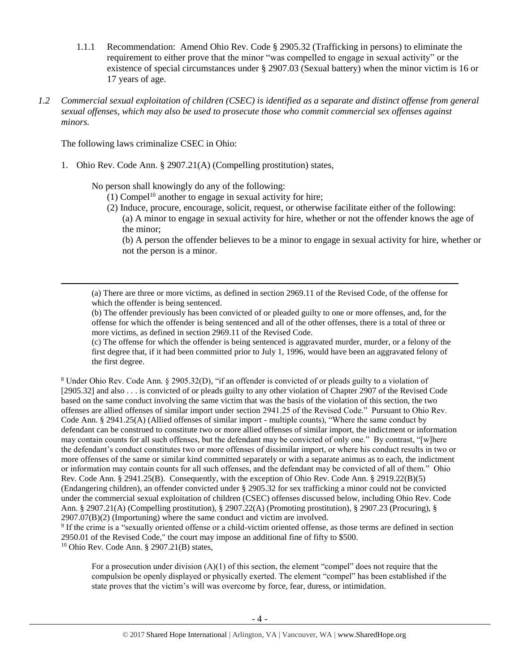- 1.1.1 Recommendation: Amend Ohio Rev. Code § 2905.32 (Trafficking in persons) to eliminate the requirement to either prove that the minor "was compelled to engage in sexual activity" or the existence of special circumstances under § 2907.03 (Sexual battery) when the minor victim is 16 or 17 years of age.
- *1.2 Commercial sexual exploitation of children (CSEC) is identified as a separate and distinct offense from general sexual offenses, which may also be used to prosecute those who commit commercial sex offenses against minors.*

The following laws criminalize CSEC in Ohio:

 $\overline{a}$ 

1. Ohio Rev. Code Ann. § 2907.21(A) (Compelling prostitution) states,

No person shall knowingly do any of the following:

- $(1)$  Compel<sup>10</sup> another to engage in sexual activity for hire;
- (2) Induce, procure, encourage, solicit, request, or otherwise facilitate either of the following: (a) A minor to engage in sexual activity for hire, whether or not the offender knows the age of the minor;

(b) A person the offender believes to be a minor to engage in sexual activity for hire, whether or not the person is a minor.

(a) There are three or more victims, as defined in section 2969.11 of the Revised Code, of the offense for which the offender is being sentenced.

(c) The offense for which the offender is being sentenced is aggravated murder, murder, or a felony of the first degree that, if it had been committed prior to July 1, 1996, would have been an aggravated felony of the first degree.

<sup>8</sup> Under Ohio Rev. Code Ann. § 2905.32(D), "if an offender is convicted of or pleads guilty to a violation of [2905.32] and also . . . is convicted of or pleads guilty to any other violation of Chapter 2907 of the Revised Code based on the same conduct involving the same victim that was the basis of the violation of this section, the two offenses are allied offenses of similar import under section 2941.25 of the Revised Code." Pursuant to Ohio Rev. Code Ann. § 2941.25(A) (Allied offenses of similar import - multiple counts), "Where the same conduct by defendant can be construed to constitute two or more allied offenses of similar import, the indictment or information may contain counts for all such offenses, but the defendant may be convicted of only one." By contrast, "[w]here the defendant's conduct constitutes two or more offenses of dissimilar import, or where his conduct results in two or more offenses of the same or similar kind committed separately or with a separate animus as to each, the indictment or information may contain counts for all such offenses, and the defendant may be convicted of all of them." Ohio Rev. Code Ann. § 2941.25(B). Consequently, with the exception of Ohio Rev. Code Ann. § 2919.22(B)(5) (Endangering children), an offender convicted under § 2905.32 for sex trafficking a minor could not be convicted under the commercial sexual exploitation of children (CSEC) offenses discussed below, including Ohio Rev. Code Ann. § 2907.21(A) (Compelling prostitution), § 2907.22(A) (Promoting prostitution), § 2907.23 (Procuring), § 2907.07(B)(2) (Importuning) where the same conduct and victim are involved.

9 If the crime is a "sexually oriented offense or a child-victim oriented offense, as those terms are defined in section 2950.01 of the Revised Code," the court may impose an additional fine of fifty to \$500. <sup>10</sup> Ohio Rev. Code Ann. § 2907.21(B) states,

For a prosecution under division  $(A)(1)$  of this section, the element "compel" does not require that the compulsion be openly displayed or physically exerted. The element "compel" has been established if the state proves that the victim's will was overcome by force, fear, duress, or intimidation.

<sup>(</sup>b) The offender previously has been convicted of or pleaded guilty to one or more offenses, and, for the offense for which the offender is being sentenced and all of the other offenses, there is a total of three or more victims, as defined in section 2969.11 of the Revised Code.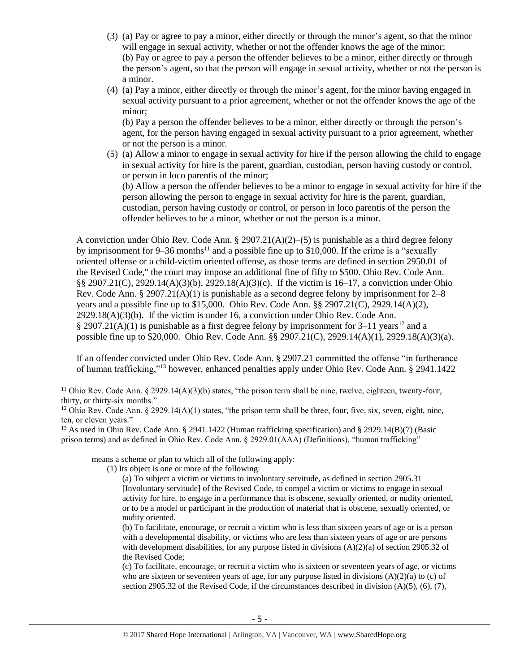- (3) (a) Pay or agree to pay a minor, either directly or through the minor's agent, so that the minor will engage in sexual activity, whether or not the offender knows the age of the minor; (b) Pay or agree to pay a person the offender believes to be a minor, either directly or through the person's agent, so that the person will engage in sexual activity, whether or not the person is a minor.
- (4) (a) Pay a minor, either directly or through the minor's agent, for the minor having engaged in sexual activity pursuant to a prior agreement, whether or not the offender knows the age of the minor;

(b) Pay a person the offender believes to be a minor, either directly or through the person's agent, for the person having engaged in sexual activity pursuant to a prior agreement, whether or not the person is a minor.

(5) (a) Allow a minor to engage in sexual activity for hire if the person allowing the child to engage in sexual activity for hire is the parent, guardian, custodian, person having custody or control, or person in loco parentis of the minor;

<span id="page-4-1"></span><span id="page-4-0"></span>(b) Allow a person the offender believes to be a minor to engage in sexual activity for hire if the person allowing the person to engage in sexual activity for hire is the parent, guardian, custodian, person having custody or control, or person in loco parentis of the person the offender believes to be a minor, whether or not the person is a minor.

A conviction under Ohio Rev. Code Ann.  $\S 2907.21(A)(2)$ –(5) is punishable as a third degree felony by imprisonment for 9–36 months<sup>11</sup> and a possible fine up to \$10,000. If the crime is a "sexually oriented offense or a child-victim oriented offense, as those terms are defined in section 2950.01 of the Revised Code," the court may impose an additional fine of fifty to \$500. Ohio Rev. Code Ann. §§ 2907.21(C), 2929.14(A)(3)(b), 2929.18(A)(3)(c). If the victim is 16–17, a conviction under Ohio Rev. Code Ann. § 2907.21(A)(1) is punishable as a second degree felony by imprisonment for  $2-8$ years and a possible fine up to \$15,000. Ohio Rev. Code Ann. §§ 2907.21(C), 2929.14(A)(2),  $2929.18(A)(3)(b)$ . If the victim is under 16, a conviction under Ohio Rev. Code Ann. § 2907.21(A)(1) is punishable as a first degree felony by imprisonment for 3–11 years<sup>12</sup> and a possible fine up to \$20,000. Ohio Rev. Code Ann. §§ 2907.21(C), 2929.14(A)(1), 2929.18(A)(3)(a).

<span id="page-4-2"></span>If an offender convicted under Ohio Rev. Code Ann. § 2907.21 committed the offense "in furtherance of human trafficking,"<sup>13</sup> however, enhanced penalties apply under Ohio Rev. Code Ann. § 2941.1422

means a scheme or plan to which all of the following apply:

(1) Its object is one or more of the following:

 $\overline{\phantom{a}}$ 

(a) To subject a victim or victims to involuntary servitude, as defined in section 2905.31 [Involuntary servitude] of the Revised Code, to compel a victim or victims to engage in sexual activity for hire, to engage in a performance that is obscene, sexually oriented, or nudity oriented, or to be a model or participant in the production of material that is obscene, sexually oriented, or nudity oriented.

<sup>&</sup>lt;sup>11</sup> Ohio Rev. Code Ann. § 2929.14(A)(3)(b) states, "the prison term shall be nine, twelve, eighteen, twenty-four, thirty, or thirty-six months."

<sup>&</sup>lt;sup>12</sup> Ohio Rev. Code Ann. § 2929.14(A)(1) states, "the prison term shall be three, four, five, six, seven, eight, nine, ten, or eleven years."

<sup>13</sup> As used in Ohio Rev. Code Ann. § 2941.1422 (Human trafficking specification) and § 2929.14(B)(7) (Basic prison terms) and as defined in Ohio Rev. Code Ann. § 2929.01(AAA) (Definitions), "human trafficking"

<sup>(</sup>b) To facilitate, encourage, or recruit a victim who is less than sixteen years of age or is a person with a developmental disability, or victims who are less than sixteen years of age or are persons with development disabilities, for any purpose listed in divisions  $(A)(2)(a)$  of section 2905.32 of the Revised Code;

<sup>(</sup>c) To facilitate, encourage, or recruit a victim who is sixteen or seventeen years of age, or victims who are sixteen or seventeen years of age, for any purpose listed in divisions  $(A)(2)(a)$  to  $(c)$  of section 2905.32 of the Revised Code, if the circumstances described in division  $(A)(5)$ ,  $(6)$ ,  $(7)$ ,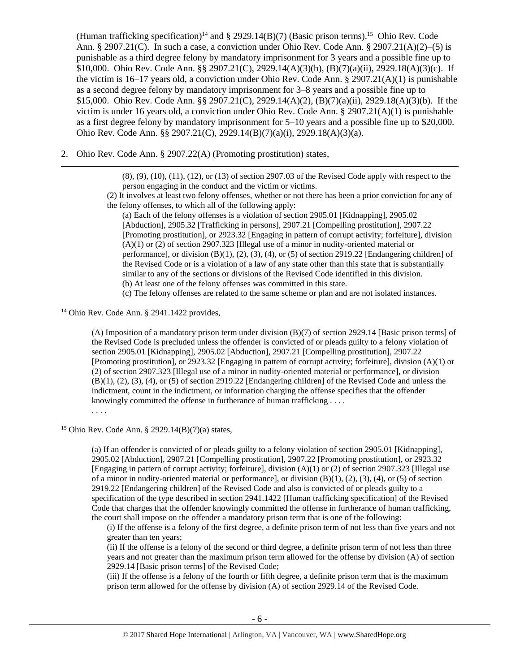(Human trafficking specification)<sup>14</sup> and § 2929.14(B)(7) (Basic prison terms).<sup>15</sup> Ohio Rev. Code Ann. § 2907.21(C). In such a case, a conviction under Ohio Rev. Code Ann. § 2907.21(A)(2)–(5) is punishable as a third degree felony by mandatory imprisonment for 3 years and a possible fine up to \$10,000. Ohio Rev. Code Ann. §§ 2907.21(C), 2929.14(A)(3)(b), (B)(7)(a)(ii), 2929.18(A)(3)(c). If the victim is 16–17 years old, a conviction under Ohio Rev. Code Ann.  $\S 2907.21(A)(1)$  is punishable as a second degree felony by mandatory imprisonment for 3–8 years and a possible fine up to \$15,000. Ohio Rev. Code Ann. §§ 2907.21(C), 2929.14(A)(2), (B)(7)(a)(ii), 2929.18(A)(3)(b). If the victim is under 16 years old, a conviction under Ohio Rev. Code Ann. § 2907.21(A)(1) is punishable as a first degree felony by mandatory imprisonment for 5–10 years and a possible fine up to \$20,000. Ohio Rev. Code Ann. §§ 2907.21(C), 2929.14(B)(7)(a)(i), 2929.18(A)(3)(a).

2. Ohio Rev. Code Ann. § 2907.22(A) (Promoting prostitution) states,

(8), (9), (10), (11), (12), or (13) of section 2907.03 of the Revised Code apply with respect to the person engaging in the conduct and the victim or victims.

(2) It involves at least two felony offenses, whether or not there has been a prior conviction for any of the felony offenses, to which all of the following apply:

(a) Each of the felony offenses is a violation of section 2905.01 [Kidnapping], 2905.02 [Abduction], 2905.32 [Trafficking in persons], 2907.21 [Compelling prostitution], 2907.22 [Promoting prostitution], or 2923.32 [Engaging in pattern of corrupt activity; forfeiture], division (A)(1) or (2) of section 2907.323 [Illegal use of a minor in nudity-oriented material or performance], or division  $(B)(1)$ ,  $(2)$ ,  $(3)$ ,  $(4)$ , or  $(5)$  of section 2919.22 [Endangering children] of the Revised Code or is a violation of a law of any state other than this state that is substantially similar to any of the sections or divisions of the Revised Code identified in this division. (b) At least one of the felony offenses was committed in this state.

(c) The felony offenses are related to the same scheme or plan and are not isolated instances.

<sup>14</sup> Ohio Rev. Code Ann. § 2941.1422 provides,

 $\overline{a}$ 

(A) Imposition of a mandatory prison term under division (B)(7) of section 2929.14 [Basic prison terms] of the Revised Code is precluded unless the offender is convicted of or pleads guilty to a felony violation of section 2905.01 [Kidnapping], 2905.02 [Abduction], 2907.21 [Compelling prostitution], 2907.22 [Promoting prostitution], or 2923.32 [Engaging in pattern of corrupt activity; forfeiture], division (A)(1) or (2) of section 2907.323 [Illegal use of a minor in nudity-oriented material or performance], or division (B)(1), (2), (3), (4), or (5) of section 2919.22 [Endangering children] of the Revised Code and unless the indictment, count in the indictment, or information charging the offense specifies that the offender knowingly committed the offense in furtherance of human trafficking .... . . . .

<sup>15</sup> Ohio Rev. Code Ann. § 2929.14(B)(7)(a) states,

(a) If an offender is convicted of or pleads guilty to a felony violation of section 2905.01 [Kidnapping], 2905.02 [Abduction], 2907.21 [Compelling prostitution], 2907.22 [Promoting prostitution], or 2923.32 [Engaging in pattern of corrupt activity; forfeiture], division (A)(1) or (2) of section 2907.323 [Illegal use of a minor in nudity-oriented material or performance], or division (B)(1), (2), (3), (4), or (5) of section 2919.22 [Endangering children] of the Revised Code and also is convicted of or pleads guilty to a specification of the type described in section 2941.1422 [Human trafficking specification] of the Revised Code that charges that the offender knowingly committed the offense in furtherance of human trafficking, the court shall impose on the offender a mandatory prison term that is one of the following:

(i) If the offense is a felony of the first degree, a definite prison term of not less than five years and not greater than ten years;

(ii) If the offense is a felony of the second or third degree, a definite prison term of not less than three years and not greater than the maximum prison term allowed for the offense by division (A) of section 2929.14 [Basic prison terms] of the Revised Code;

(iii) If the offense is a felony of the fourth or fifth degree, a definite prison term that is the maximum prison term allowed for the offense by division (A) of section 2929.14 of the Revised Code.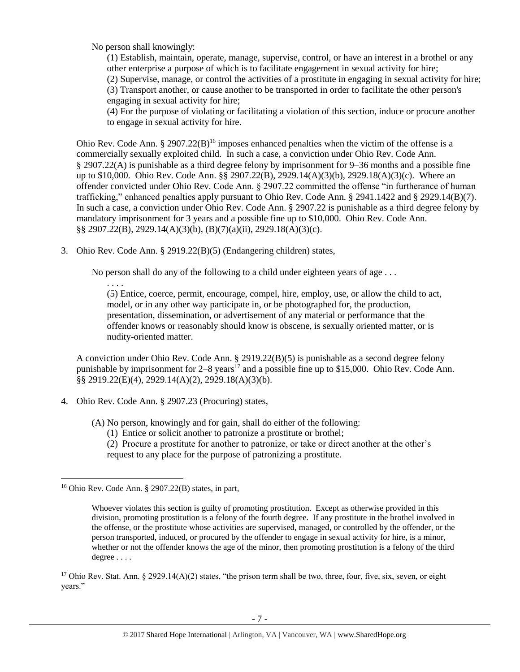No person shall knowingly:

(1) Establish, maintain, operate, manage, supervise, control, or have an interest in a brothel or any other enterprise a purpose of which is to facilitate engagement in sexual activity for hire; (2) Supervise, manage, or control the activities of a prostitute in engaging in sexual activity for hire; (3) Transport another, or cause another to be transported in order to facilitate the other person's engaging in sexual activity for hire;

<span id="page-6-1"></span>(4) For the purpose of violating or facilitating a violation of this section, induce or procure another to engage in sexual activity for hire.

Ohio Rev. Code Ann. § 2907.22(B)<sup>16</sup> imposes enhanced penalties when the victim of the offense is a commercially sexually exploited child. In such a case, a conviction under Ohio Rev. Code Ann. § 2907.22(A) is punishable as a third degree felony by imprisonment for 9–36 months and a possible fine up to \$10,000. Ohio Rev. Code Ann. §§ 2907.22(B), 2929.14(A)(3)(b), 2929.18(A)(3)(c). Where an offender convicted under Ohio Rev. Code Ann. § 2907.22 committed the offense "in furtherance of human trafficking," enhanced penalties apply pursuant to Ohio Rev. Code Ann. § 2941.1422 and § 2929.14(B)(7). In such a case, a conviction under Ohio Rev. Code Ann. § 2907.22 is punishable as a third degree felony by mandatory imprisonment for 3 years and a possible fine up to \$10,000. Ohio Rev. Code Ann. §§ 2907.22(B), 2929.14(A)(3)(b), (B)(7)(a)(ii), 2929.18(A)(3)(c).

3. Ohio Rev. Code Ann. § 2919.22(B)(5) (Endangering children) states,

No person shall do any of the following to a child under eighteen years of age . . .

<span id="page-6-0"></span>. . . . (5) Entice, coerce, permit, encourage, compel, hire, employ, use, or allow the child to act, model, or in any other way participate in, or be photographed for, the production, presentation, dissemination, or advertisement of any material or performance that the offender knows or reasonably should know is obscene, is sexually oriented matter, or is nudity-oriented matter.

A conviction under Ohio Rev. Code Ann. § 2919.22(B)(5) is punishable as a second degree felony punishable by imprisonment for  $2-8$  years<sup>17</sup> and a possible fine up to \$15,000. Ohio Rev. Code Ann. §§ 2919.22(E)(4), 2929.14(A)(2), 2929.18(A)(3)(b).

- 4. Ohio Rev. Code Ann. § 2907.23 (Procuring) states,
	- (A) No person, knowingly and for gain, shall do either of the following:
		- (1) Entice or solicit another to patronize a prostitute or brothel;
		- (2) Procure a prostitute for another to patronize, or take or direct another at the other's request to any place for the purpose of patronizing a prostitute.

l

<sup>17</sup> Ohio Rev. Stat. Ann. § 2929.14(A)(2) states, "the prison term shall be two, three, four, five, six, seven, or eight years."

 $16$  Ohio Rev. Code Ann. § 2907.22(B) states, in part,

Whoever violates this section is guilty of promoting prostitution. Except as otherwise provided in this division, promoting prostitution is a felony of the fourth degree. If any prostitute in the brothel involved in the offense, or the prostitute whose activities are supervised, managed, or controlled by the offender, or the person transported, induced, or procured by the offender to engage in sexual activity for hire, is a minor, whether or not the offender knows the age of the minor, then promoting prostitution is a felony of the third degree . . . .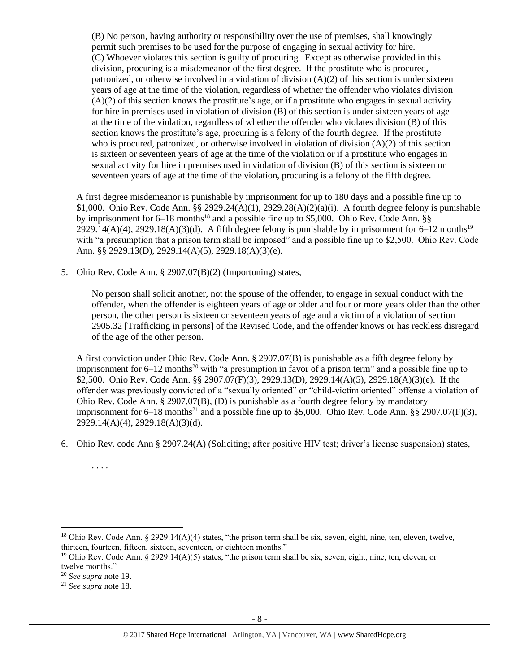(B) No person, having authority or responsibility over the use of premises, shall knowingly permit such premises to be used for the purpose of engaging in sexual activity for hire. (C) Whoever violates this section is guilty of procuring. Except as otherwise provided in this division, procuring is a misdemeanor of the first degree. If the prostitute who is procured, patronized, or otherwise involved in a violation of division (A)(2) of this section is under sixteen years of age at the time of the violation, regardless of whether the offender who violates division  $(A)(2)$  of this section knows the prostitute's age, or if a prostitute who engages in sexual activity for hire in premises used in violation of division (B) of this section is under sixteen years of age at the time of the violation, regardless of whether the offender who violates division (B) of this section knows the prostitute's age, procuring is a felony of the fourth degree. If the prostitute who is procured, patronized, or otherwise involved in violation of division (A)(2) of this section is sixteen or seventeen years of age at the time of the violation or if a prostitute who engages in sexual activity for hire in premises used in violation of division (B) of this section is sixteen or seventeen years of age at the time of the violation, procuring is a felony of the fifth degree.

<span id="page-7-1"></span>A first degree misdemeanor is punishable by imprisonment for up to 180 days and a possible fine up to \$1,000. Ohio Rev. Code Ann. §§ 2929.24(A)(1), 2929.28(A)(2)(a)(i). A fourth degree felony is punishable by imprisonment for  $6-18$  months<sup>18</sup> and a possible fine up to \$5,000. Ohio Rev. Code Ann. §§  $2929.14(A)(4)$ ,  $2929.18(A)(3)(d)$ . A fifth degree felony is punishable by imprisonment for 6–12 months<sup>19</sup> with "a presumption that a prison term shall be imposed" and a possible fine up to \$2,500. Ohio Rev. Code Ann. §§ 2929.13(D), 2929.14(A)(5), 2929.18(A)(3)(e).

5. Ohio Rev. Code Ann. § 2907.07(B)(2) (Importuning) states,

<span id="page-7-0"></span>No person shall solicit another, not the spouse of the offender, to engage in sexual conduct with the offender, when the offender is eighteen years of age or older and four or more years older than the other person, the other person is sixteen or seventeen years of age and a victim of a violation of section 2905.32 [Trafficking in persons] of the Revised Code, and the offender knows or has reckless disregard of the age of the other person.

A first conviction under Ohio Rev. Code Ann. § 2907.07(B) is punishable as a fifth degree felony by imprisonment for  $6-12$  months<sup>20</sup> with "a presumption in favor of a prison term" and a possible fine up to \$2,500. Ohio Rev. Code Ann. §§ 2907.07(F)(3), 2929.13(D), 2929.14(A)(5), 2929.18(A)(3)(e). If the offender was previously convicted of a "sexually oriented" or "child-victim oriented" offense a violation of Ohio Rev. Code Ann. § 2907.07(B), (D) is punishable as a fourth degree felony by mandatory imprisonment for  $6-18$  months<sup>21</sup> and a possible fine up to \$5,000. Ohio Rev. Code Ann. §§ 2907.07(F)(3), 2929.14(A)(4), 2929.18(A)(3)(d).

6. Ohio Rev. code Ann § 2907.24(A) (Soliciting; after positive HIV test; driver's license suspension) states,

. . . .

 $\overline{\phantom{a}}$ 

<sup>&</sup>lt;sup>18</sup> Ohio Rev. Code Ann. § 2929.14(A)(4) states, "the prison term shall be six, seven, eight, nine, ten, eleven, twelve, thirteen, fourteen, fifteen, sixteen, seventeen, or eighteen months."

<sup>&</sup>lt;sup>19</sup> Ohio Rev. Code Ann. § 2929.14(A)(5) states, "the prison term shall be six, seven, eight, nine, ten, eleven, or twelve months."

<sup>20</sup> *See supra* note [19.](#page-7-0)

<sup>21</sup> *See supra* note [18.](#page-7-1)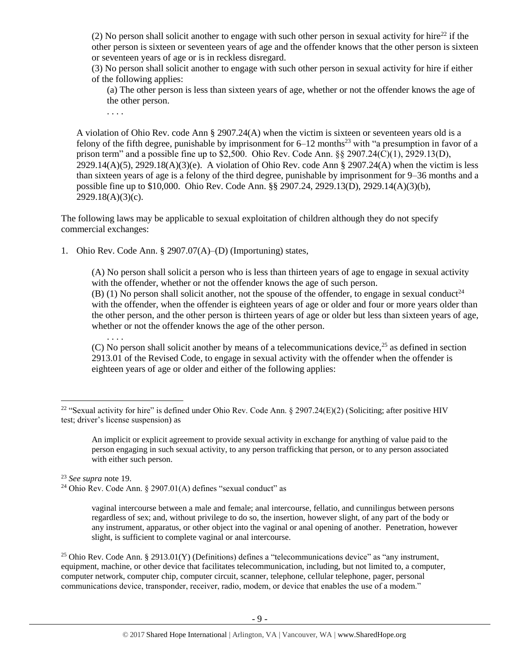(2) No person shall solicit another to engage with such other person in sexual activity for hire<sup>22</sup> if the other person is sixteen or seventeen years of age and the offender knows that the other person is sixteen or seventeen years of age or is in reckless disregard.

(3) No person shall solicit another to engage with such other person in sexual activity for hire if either of the following applies:

(a) The other person is less than sixteen years of age, whether or not the offender knows the age of the other person.

. . . .

. . . .

A violation of Ohio Rev. code Ann § 2907.24(A) when the victim is sixteen or seventeen years old is a felony of the fifth degree, punishable by imprisonment for  $6-12$  months<sup>23</sup> with "a presumption in favor of a prison term" and a possible fine up to \$2,500. Ohio Rev. Code Ann. §§ 2907.24(C)(1), 2929.13(D),  $2929.14(A)(5)$ ,  $2929.18(A)(3)(e)$ . A violation of Ohio Rev. code Ann § 2907.24(A) when the victim is less than sixteen years of age is a felony of the third degree, punishable by imprisonment for 9–36 months and a possible fine up to \$10,000. Ohio Rev. Code Ann. §§ 2907.24, 2929.13(D), 2929.14(A)(3)(b),  $2929.18(A)(3)(c)$ .

The following laws may be applicable to sexual exploitation of children although they do not specify commercial exchanges:

1. Ohio Rev. Code Ann. § 2907.07(A)–(D) (Importuning) states,

(A) No person shall solicit a person who is less than thirteen years of age to engage in sexual activity with the offender, whether or not the offender knows the age of such person. (B) (1) No person shall solicit another, not the spouse of the offender, to engage in sexual conduct<sup>24</sup>

with the offender, when the offender is eighteen years of age or older and four or more years older than the other person, and the other person is thirteen years of age or older but less than sixteen years of age, whether or not the offender knows the age of the other person.

(C) No person shall solicit another by means of a telecommunications device,  $2<sup>5</sup>$  as defined in section 2913.01 of the Revised Code, to engage in sexual activity with the offender when the offender is eighteen years of age or older and either of the following applies:

An implicit or explicit agreement to provide sexual activity in exchange for anything of value paid to the person engaging in such sexual activity, to any person trafficking that person, or to any person associated with either such person.

<sup>23</sup> *See supra* note [19.](#page-7-0)

 $\overline{a}$ 

<sup>24</sup> Ohio Rev. Code Ann. § 2907.01(A) defines "sexual conduct" as

vaginal intercourse between a male and female; anal intercourse, fellatio, and cunnilingus between persons regardless of sex; and, without privilege to do so, the insertion, however slight, of any part of the body or any instrument, apparatus, or other object into the vaginal or anal opening of another. Penetration, however slight, is sufficient to complete vaginal or anal intercourse.

<sup>25</sup> Ohio Rev. Code Ann. § 2913.01(Y) (Definitions) defines a "telecommunications device" as "any instrument, equipment, machine, or other device that facilitates telecommunication, including, but not limited to, a computer, computer network, computer chip, computer circuit, scanner, telephone, cellular telephone, pager, personal communications device, transponder, receiver, radio, modem, or device that enables the use of a modem."

<sup>&</sup>lt;sup>22</sup> "Sexual activity for hire" is defined under Ohio Rev. Code Ann. § 2907.24(E)(2) (Soliciting; after positive HIV test; driver's license suspension) as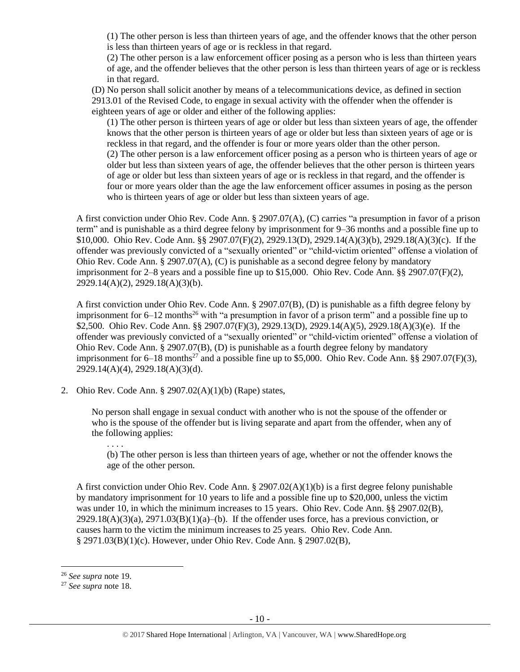(1) The other person is less than thirteen years of age, and the offender knows that the other person is less than thirteen years of age or is reckless in that regard.

(2) The other person is a law enforcement officer posing as a person who is less than thirteen years of age, and the offender believes that the other person is less than thirteen years of age or is reckless in that regard.

(D) No person shall solicit another by means of a telecommunications device, as defined in section 2913.01 of the Revised Code, to engage in sexual activity with the offender when the offender is eighteen years of age or older and either of the following applies:

(1) The other person is thirteen years of age or older but less than sixteen years of age, the offender knows that the other person is thirteen years of age or older but less than sixteen years of age or is reckless in that regard, and the offender is four or more years older than the other person. (2) The other person is a law enforcement officer posing as a person who is thirteen years of age or older but less than sixteen years of age, the offender believes that the other person is thirteen years of age or older but less than sixteen years of age or is reckless in that regard, and the offender is four or more years older than the age the law enforcement officer assumes in posing as the person who is thirteen years of age or older but less than sixteen years of age.

A first conviction under Ohio Rev. Code Ann. § 2907.07(A), (C) carries "a presumption in favor of a prison term" and is punishable as a third degree felony by imprisonment for 9–36 months and a possible fine up to \$10,000. Ohio Rev. Code Ann. §§ 2907.07(F)(2), 2929.13(D), 2929.14(A)(3)(b), 2929.18(A)(3)(c). If the offender was previously convicted of a "sexually oriented" or "child-victim oriented" offense a violation of Ohio Rev. Code Ann. § 2907.07(A), (C) is punishable as a second degree felony by mandatory imprisonment for 2–8 years and a possible fine up to \$15,000. Ohio Rev. Code Ann. §§ 2907.07(F)(2), 2929.14(A)(2), 2929.18(A)(3)(b).

A first conviction under Ohio Rev. Code Ann. § 2907.07(B), (D) is punishable as a fifth degree felony by imprisonment for  $6-12$  months<sup>26</sup> with "a presumption in favor of a prison term" and a possible fine up to \$2,500. Ohio Rev. Code Ann. §§ 2907.07(F)(3), 2929.13(D), 2929.14(A)(5), 2929.18(A)(3)(e). If the offender was previously convicted of a "sexually oriented" or "child-victim oriented" offense a violation of Ohio Rev. Code Ann. § 2907.07(B), (D) is punishable as a fourth degree felony by mandatory imprisonment for  $6-18$  months<sup>27</sup> and a possible fine up to \$5,000. Ohio Rev. Code Ann. §§ 2907.07(F)(3), 2929.14(A)(4), 2929.18(A)(3)(d).

2. Ohio Rev. Code Ann. § 2907.02(A)(1)(b) (Rape) states,

No person shall engage in sexual conduct with another who is not the spouse of the offender or who is the spouse of the offender but is living separate and apart from the offender, when any of the following applies:

(b) The other person is less than thirteen years of age, whether or not the offender knows the age of the other person.

A first conviction under Ohio Rev. Code Ann. § 2907.02(A)(1)(b) is a first degree felony punishable by mandatory imprisonment for 10 years to life and a possible fine up to \$20,000, unless the victim was under 10, in which the minimum increases to 15 years. Ohio Rev. Code Ann. §§ 2907.02(B),  $2929.18(A)(3)(a)$ ,  $2971.03(B)(1)(a)$ –(b). If the offender uses force, has a previous conviction, or causes harm to the victim the minimum increases to 25 years. Ohio Rev. Code Ann. § 2971.03(B)(1)(c). However, under Ohio Rev. Code Ann. § 2907.02(B),

 $\overline{\phantom{a}}$ 

. . . .

<sup>26</sup> *See supra* note [19.](#page-7-0)

<sup>27</sup> *See supra* note [18.](#page-7-1)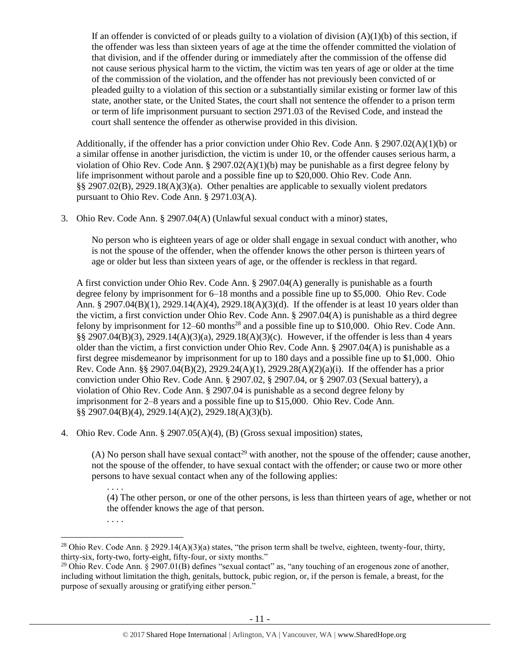If an offender is convicted of or pleads guilty to a violation of division  $(A)(1)(b)$  of this section, if the offender was less than sixteen years of age at the time the offender committed the violation of that division, and if the offender during or immediately after the commission of the offense did not cause serious physical harm to the victim, the victim was ten years of age or older at the time of the commission of the violation, and the offender has not previously been convicted of or pleaded guilty to a violation of this section or a substantially similar existing or former law of this state, another state, or the United States, the court shall not sentence the offender to a prison term or term of life imprisonment pursuant to section 2971.03 of the Revised Code, and instead the court shall sentence the offender as otherwise provided in this division.

Additionally, if the offender has a prior conviction under Ohio Rev. Code Ann. § 2907.02(A)(1)(b) or a similar offense in another jurisdiction, the victim is under 10, or the offender causes serious harm, a violation of Ohio Rev. Code Ann.  $\S$  2907.02(A)(1)(b) may be punishable as a first degree felony by life imprisonment without parole and a possible fine up to \$20,000. Ohio Rev. Code Ann. §§ 2907.02(B), 2929.18(A)(3)(a). Other penalties are applicable to sexually violent predators pursuant to Ohio Rev. Code Ann. § 2971.03(A).

3. Ohio Rev. Code Ann. § 2907.04(A) (Unlawful sexual conduct with a minor) states,

No person who is eighteen years of age or older shall engage in sexual conduct with another, who is not the spouse of the offender, when the offender knows the other person is thirteen years of age or older but less than sixteen years of age, or the offender is reckless in that regard.

A first conviction under Ohio Rev. Code Ann. § 2907.04(A) generally is punishable as a fourth degree felony by imprisonment for 6–18 months and a possible fine up to \$5,000. Ohio Rev. Code Ann. § 2907.04(B)(1), 2929.14(A)(4), 2929.18(A)(3)(d). If the offender is at least 10 years older than the victim, a first conviction under Ohio Rev. Code Ann. § 2907.04(A) is punishable as a third degree felony by imprisonment for  $12-60$  months<sup>28</sup> and a possible fine up to \$10,000. Ohio Rev. Code Ann. §§ 2907.04(B)(3), 2929.14(A)(3)(a), 2929.18(A)(3)(c). However, if the offender is less than 4 years older than the victim, a first conviction under Ohio Rev. Code Ann. § 2907.04(A) is punishable as a first degree misdemeanor by imprisonment for up to 180 days and a possible fine up to \$1,000. Ohio Rev. Code Ann. §§ 2907.04(B)(2), 2929.24(A)(1), 2929.28(A)(2)(a)(i). If the offender has a prior conviction under Ohio Rev. Code Ann. § 2907.02, § 2907.04, or § 2907.03 (Sexual battery), a violation of Ohio Rev. Code Ann. § 2907.04 is punishable as a second degree felony by imprisonment for 2–8 years and a possible fine up to \$15,000. Ohio Rev. Code Ann. §§ 2907.04(B)(4), 2929.14(A)(2), 2929.18(A)(3)(b).

4. Ohio Rev. Code Ann. § 2907.05(A)(4), (B) (Gross sexual imposition) states,

(A) No person shall have sexual contact<sup>29</sup> with another, not the spouse of the offender; cause another, not the spouse of the offender, to have sexual contact with the offender; or cause two or more other persons to have sexual contact when any of the following applies:

(4) The other person, or one of the other persons, is less than thirteen years of age, whether or not the offender knows the age of that person.

l

. . . .

<sup>. . . .</sup>

<sup>&</sup>lt;sup>28</sup> Ohio Rev. Code Ann. § 2929.14(A)(3)(a) states, "the prison term shall be twelve, eighteen, twenty-four, thirty, thirty-six, forty-two, forty-eight, fifty-four, or sixty months."

<sup>&</sup>lt;sup>29</sup> Ohio Rev. Code Ann.  $\S 2907.01(B)$  defines "sexual contact" as, "any touching of an erogenous zone of another, including without limitation the thigh, genitals, buttock, pubic region, or, if the person is female, a breast, for the purpose of sexually arousing or gratifying either person."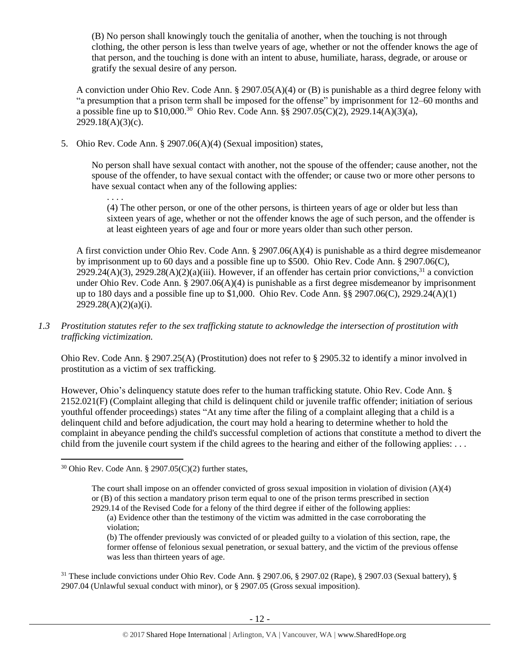(B) No person shall knowingly touch the genitalia of another, when the touching is not through clothing, the other person is less than twelve years of age, whether or not the offender knows the age of that person, and the touching is done with an intent to abuse, humiliate, harass, degrade, or arouse or gratify the sexual desire of any person.

A conviction under Ohio Rev. Code Ann.  $\S 2907.05(A)(4)$  or (B) is punishable as a third degree felony with "a presumption that a prison term shall be imposed for the offense" by imprisonment for 12–60 months and a possible fine up to \$10,000.<sup>30</sup> Ohio Rev. Code Ann. §§ 2907.05(C)(2), 2929.14(A)(3)(a), 2929.18(A)(3)(c).

5. Ohio Rev. Code Ann. § 2907.06(A)(4) (Sexual imposition) states,

No person shall have sexual contact with another, not the spouse of the offender; cause another, not the spouse of the offender, to have sexual contact with the offender; or cause two or more other persons to have sexual contact when any of the following applies:

. . . .

(4) The other person, or one of the other persons, is thirteen years of age or older but less than sixteen years of age, whether or not the offender knows the age of such person, and the offender is at least eighteen years of age and four or more years older than such other person.

A first conviction under Ohio Rev. Code Ann. § 2907.06(A)(4) is punishable as a third degree misdemeanor by imprisonment up to 60 days and a possible fine up to \$500. Ohio Rev. Code Ann. § 2907.06(C),  $2929.24(A)(3)$ ,  $2929.28(A)(2)(a)(iii)$ . However, if an offender has certain prior convictions,  $31$  a conviction under Ohio Rev. Code Ann. § 2907.06(A)(4) is punishable as a first degree misdemeanor by imprisonment up to 180 days and a possible fine up to \$1,000. Ohio Rev. Code Ann. §§ 2907.06(C), 2929.24(A)(1)  $2929.28(A)(2)(a)(i)$ .

*1.3 Prostitution statutes refer to the sex trafficking statute to acknowledge the intersection of prostitution with trafficking victimization.* 

Ohio Rev. Code Ann. § 2907.25(A) (Prostitution) does not refer to § 2905.32 to identify a minor involved in prostitution as a victim of sex trafficking.

However, Ohio's delinquency statute does refer to the human trafficking statute. Ohio Rev. Code Ann. § 2152.021(F) (Complaint alleging that child is delinquent child or juvenile traffic offender; initiation of serious youthful offender proceedings) states "At any time after the filing of a complaint alleging that a child is a delinquent child and before adjudication, the court may hold a hearing to determine whether to hold the complaint in abeyance pending the child's successful completion of actions that constitute a method to divert the child from the juvenile court system if the child agrees to the hearing and either of the following applies: . . .

 $\overline{\phantom{a}}$ 

 $30$  Ohio Rev. Code Ann. § 2907.05(C)(2) further states,

The court shall impose on an offender convicted of gross sexual imposition in violation of division  $(A)(4)$ or (B) of this section a mandatory prison term equal to one of the prison terms prescribed in section 2929.14 of the Revised Code for a felony of the third degree if either of the following applies:

<sup>(</sup>a) Evidence other than the testimony of the victim was admitted in the case corroborating the violation;

<sup>(</sup>b) The offender previously was convicted of or pleaded guilty to a violation of this section, rape, the former offense of felonious sexual penetration, or sexual battery, and the victim of the previous offense was less than thirteen years of age.

<sup>31</sup> These include convictions under Ohio Rev. Code Ann. § 2907.06, § 2907.02 (Rape), § 2907.03 (Sexual battery), § 2907.04 (Unlawful sexual conduct with minor), or § 2907.05 (Gross sexual imposition).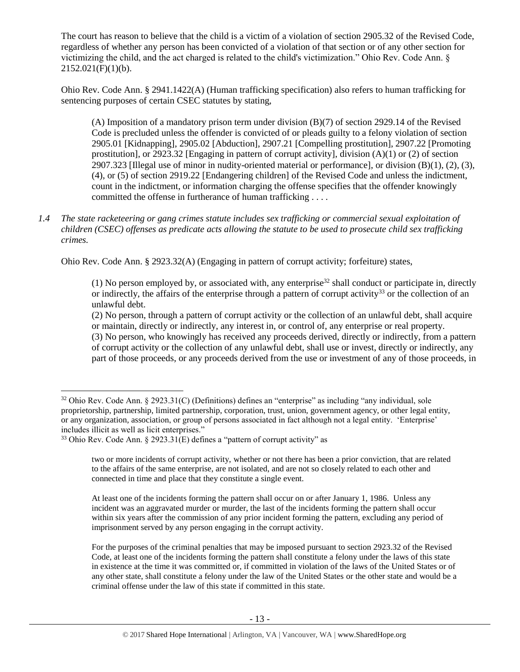The court has reason to believe that the child is a victim of a violation of section 2905.32 of the Revised Code, regardless of whether any person has been convicted of a violation of that section or of any other section for victimizing the child, and the act charged is related to the child's victimization." Ohio Rev. Code Ann. §  $2152.021(F)(1)(b)$ .

Ohio Rev. Code Ann. § 2941.1422(A) (Human trafficking specification) also refers to human trafficking for sentencing purposes of certain CSEC statutes by stating,

(A) Imposition of a mandatory prison term under division (B)(7) of section 2929.14 of the Revised Code is precluded unless the offender is convicted of or pleads guilty to a felony violation of section 2905.01 [Kidnapping], 2905.02 [Abduction], 2907.21 [Compelling prostitution], 2907.22 [Promoting prostitution], or 2923.32 [Engaging in pattern of corrupt activity], division (A)(1) or (2) of section 2907.323 [Illegal use of minor in nudity-oriented material or performance], or division  $(B)(1)$ ,  $(2)$ ,  $(3)$ , (4), or (5) of section 2919.22 [Endangering children] of the Revised Code and unless the indictment, count in the indictment, or information charging the offense specifies that the offender knowingly committed the offense in furtherance of human trafficking . . . .

*1.4 The state racketeering or gang crimes statute includes sex trafficking or commercial sexual exploitation of children (CSEC) offenses as predicate acts allowing the statute to be used to prosecute child sex trafficking crimes.* 

Ohio Rev. Code Ann. § 2923.32(A) (Engaging in pattern of corrupt activity; forfeiture) states,

(1) No person employed by, or associated with, any enterprise<sup>32</sup> shall conduct or participate in, directly or indirectly, the affairs of the enterprise through a pattern of corrupt activity<sup>33</sup> or the collection of an unlawful debt.

(2) No person, through a pattern of corrupt activity or the collection of an unlawful debt, shall acquire or maintain, directly or indirectly, any interest in, or control of, any enterprise or real property.

(3) No person, who knowingly has received any proceeds derived, directly or indirectly, from a pattern of corrupt activity or the collection of any unlawful debt, shall use or invest, directly or indirectly, any part of those proceeds, or any proceeds derived from the use or investment of any of those proceeds, in

l

<sup>32</sup> Ohio Rev. Code Ann. § 2923.31(C) (Definitions) defines an "enterprise" as including "any individual, sole proprietorship, partnership, limited partnership, corporation, trust, union, government agency, or other legal entity, or any organization, association, or group of persons associated in fact although not a legal entity. 'Enterprise' includes illicit as well as licit enterprises."

 $33$  Ohio Rev. Code Ann. § 2923.31(E) defines a "pattern of corrupt activity" as

two or more incidents of corrupt activity, whether or not there has been a prior conviction, that are related to the affairs of the same enterprise, are not isolated, and are not so closely related to each other and connected in time and place that they constitute a single event.

At least one of the incidents forming the pattern shall occur on or after January 1, 1986. Unless any incident was an aggravated murder or murder, the last of the incidents forming the pattern shall occur within six years after the commission of any prior incident forming the pattern, excluding any period of imprisonment served by any person engaging in the corrupt activity.

For the purposes of the criminal penalties that may be imposed pursuant to section 2923.32 of the Revised Code, at least one of the incidents forming the pattern shall constitute a felony under the laws of this state in existence at the time it was committed or, if committed in violation of the laws of the United States or of any other state, shall constitute a felony under the law of the United States or the other state and would be a criminal offense under the law of this state if committed in this state.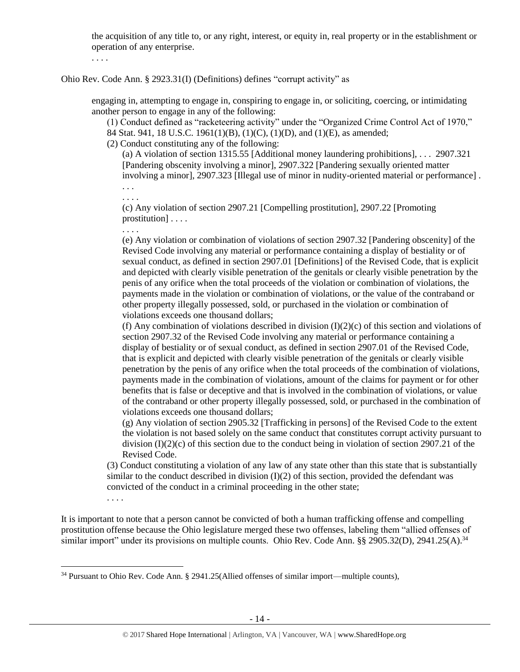the acquisition of any title to, or any right, interest, or equity in, real property or in the establishment or operation of any enterprise.

. . . .

Ohio Rev. Code Ann. § 2923.31(I) (Definitions) defines "corrupt activity" as

engaging in, attempting to engage in, conspiring to engage in, or soliciting, coercing, or intimidating another person to engage in any of the following:

(1) Conduct defined as "racketeering activity" under the "Organized Crime Control Act of 1970," 84 Stat. 941, 18 U.S.C. 1961(1)(B), (1)(C), (1)(D), and (1)(E), as amended;

(2) Conduct constituting any of the following:

(a) A violation of section 1315.55 [Additional money laundering prohibitions], . . . 2907.321 [Pandering obscenity involving a minor], 2907.322 [Pandering sexually oriented matter involving a minor], 2907.323 [Illegal use of minor in nudity-oriented material or performance] .

. . .

. . . .

(c) Any violation of section 2907.21 [Compelling prostitution], 2907.22 [Promoting prostitution] . . . .

. . . .

(e) Any violation or combination of violations of section 2907.32 [Pandering obscenity] of the Revised Code involving any material or performance containing a display of bestiality or of sexual conduct, as defined in section 2907.01 [Definitions] of the Revised Code, that is explicit and depicted with clearly visible penetration of the genitals or clearly visible penetration by the penis of any orifice when the total proceeds of the violation or combination of violations, the payments made in the violation or combination of violations, or the value of the contraband or other property illegally possessed, sold, or purchased in the violation or combination of violations exceeds one thousand dollars;

(f) Any combination of violations described in division  $(I)(2)(c)$  of this section and violations of section 2907.32 of the Revised Code involving any material or performance containing a display of bestiality or of sexual conduct, as defined in section 2907.01 of the Revised Code, that is explicit and depicted with clearly visible penetration of the genitals or clearly visible penetration by the penis of any orifice when the total proceeds of the combination of violations, payments made in the combination of violations, amount of the claims for payment or for other benefits that is false or deceptive and that is involved in the combination of violations, or value of the contraband or other property illegally possessed, sold, or purchased in the combination of violations exceeds one thousand dollars;

(g) Any violation of section 2905.32 [Trafficking in persons] of the Revised Code to the extent the violation is not based solely on the same conduct that constitutes corrupt activity pursuant to division  $(I)(2)(c)$  of this section due to the conduct being in violation of section 2907.21 of the Revised Code.

(3) Conduct constituting a violation of any law of any state other than this state that is substantially similar to the conduct described in division  $(I)(2)$  of this section, provided the defendant was convicted of the conduct in a criminal proceeding in the other state;

. . . .

 $\overline{\phantom{a}}$ 

It is important to note that a person cannot be convicted of both a human trafficking offense and compelling prostitution offense because the Ohio legislature merged these two offenses, labeling them "allied offenses of similar import" under its provisions on multiple counts. Ohio Rev. Code Ann. §§ 2905.32(D), 2941.25(A).<sup>34</sup>

<sup>&</sup>lt;sup>34</sup> Pursuant to Ohio Rev. Code Ann. § 2941.25(Allied offenses of similar import—multiple counts),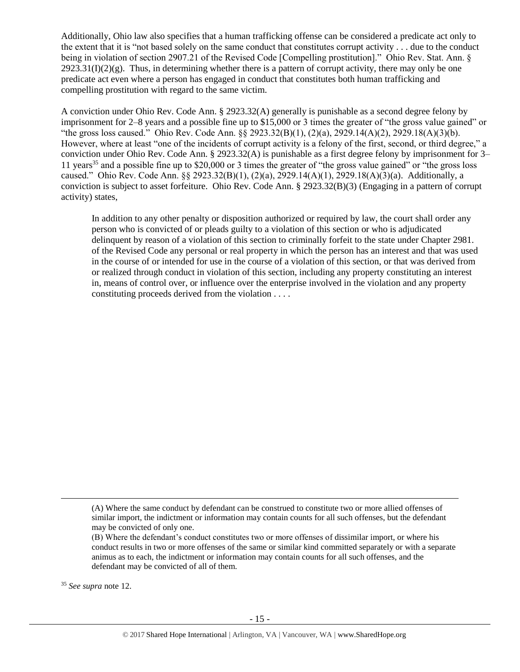Additionally, Ohio law also specifies that a human trafficking offense can be considered a predicate act only to the extent that it is "not based solely on the same conduct that constitutes corrupt activity . . . due to the conduct being in violation of section 2907.21 of the Revised Code [Compelling prostitution]." Ohio Rev. Stat. Ann. §  $2923.31(I)(2)(g)$ . Thus, in determining whether there is a pattern of corrupt activity, there may only be one predicate act even where a person has engaged in conduct that constitutes both human trafficking and compelling prostitution with regard to the same victim.

A conviction under Ohio Rev. Code Ann. § 2923.32(A) generally is punishable as a second degree felony by imprisonment for 2–8 years and a possible fine up to \$15,000 or 3 times the greater of "the gross value gained" or "the gross loss caused." Ohio Rev. Code Ann. §§ 2923.32(B)(1), (2)(a), 2929.14(A)(2), 2929.18(A)(3)(b). However, where at least "one of the incidents of corrupt activity is a felony of the first, second, or third degree," a conviction under Ohio Rev. Code Ann. § 2923.32(A) is punishable as a first degree felony by imprisonment for 3– 11 years<sup>35</sup> and a possible fine up to \$20,000 or 3 times the greater of "the gross value gained" or "the gross loss" caused." Ohio Rev. Code Ann. §§ 2923.32(B)(1), (2)(a), 2929.14(A)(1), 2929.18(A)(3)(a). Additionally, a conviction is subject to asset forfeiture. Ohio Rev. Code Ann. § 2923.32(B)(3) (Engaging in a pattern of corrupt activity) states,

In addition to any other penalty or disposition authorized or required by law, the court shall order any person who is convicted of or pleads guilty to a violation of this section or who is adjudicated delinquent by reason of a violation of this section to criminally forfeit to the state under Chapter 2981. of the Revised Code any personal or real property in which the person has an interest and that was used in the course of or intended for use in the course of a violation of this section, or that was derived from or realized through conduct in violation of this section, including any property constituting an interest in, means of control over, or influence over the enterprise involved in the violation and any property constituting proceeds derived from the violation . . . .

<sup>35</sup> *See supra* note [12.](#page-4-0)

 $\overline{\phantom{a}}$ 

<sup>(</sup>A) Where the same conduct by defendant can be construed to constitute two or more allied offenses of similar import, the indictment or information may contain counts for all such offenses, but the defendant may be convicted of only one.

<sup>(</sup>B) Where the defendant's conduct constitutes two or more offenses of dissimilar import, or where his conduct results in two or more offenses of the same or similar kind committed separately or with a separate animus as to each, the indictment or information may contain counts for all such offenses, and the defendant may be convicted of all of them.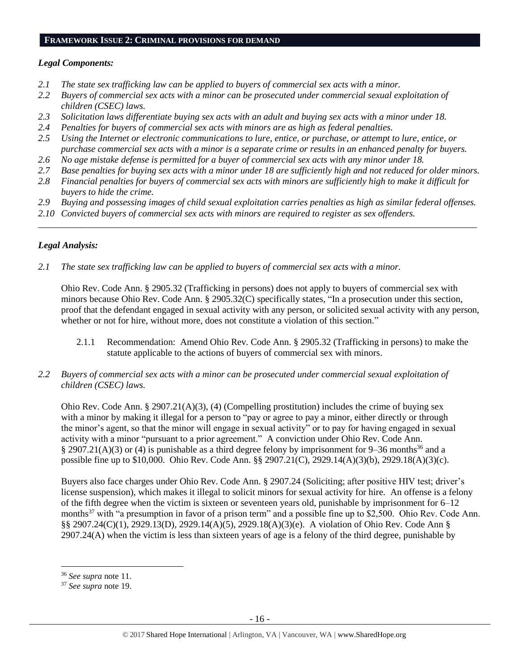#### **FRAMEWORK ISSUE 2: CRIMINAL PROVISIONS FOR DEMAND**

## *Legal Components:*

- *2.1 The state sex trafficking law can be applied to buyers of commercial sex acts with a minor.*
- *2.2 Buyers of commercial sex acts with a minor can be prosecuted under commercial sexual exploitation of children (CSEC) laws.*
- *2.3 Solicitation laws differentiate buying sex acts with an adult and buying sex acts with a minor under 18.*
- *2.4 Penalties for buyers of commercial sex acts with minors are as high as federal penalties.*
- *2.5 Using the Internet or electronic communications to lure, entice, or purchase, or attempt to lure, entice, or purchase commercial sex acts with a minor is a separate crime or results in an enhanced penalty for buyers.*
- *2.6 No age mistake defense is permitted for a buyer of commercial sex acts with any minor under 18.*
- *2.7 Base penalties for buying sex acts with a minor under 18 are sufficiently high and not reduced for older minors.*
- *2.8 Financial penalties for buyers of commercial sex acts with minors are sufficiently high to make it difficult for buyers to hide the crime.*
- *2.9 Buying and possessing images of child sexual exploitation carries penalties as high as similar federal offenses.*

\_\_\_\_\_\_\_\_\_\_\_\_\_\_\_\_\_\_\_\_\_\_\_\_\_\_\_\_\_\_\_\_\_\_\_\_\_\_\_\_\_\_\_\_\_\_\_\_\_\_\_\_\_\_\_\_\_\_\_\_\_\_\_\_\_\_\_\_\_\_\_\_\_\_\_\_\_\_\_\_\_\_\_\_\_\_\_\_\_\_\_\_\_\_

*2.10 Convicted buyers of commercial sex acts with minors are required to register as sex offenders.* 

# *Legal Analysis:*

*2.1 The state sex trafficking law can be applied to buyers of commercial sex acts with a minor.*

Ohio Rev. Code Ann. § 2905.32 (Trafficking in persons) does not apply to buyers of commercial sex with minors because Ohio Rev. Code Ann. § 2905.32(C) specifically states, "In a prosecution under this section, proof that the defendant engaged in sexual activity with any person, or solicited sexual activity with any person, whether or not for hire, without more, does not constitute a violation of this section."

- 2.1.1 Recommendation: Amend Ohio Rev. Code Ann. § 2905.32 (Trafficking in persons) to make the statute applicable to the actions of buyers of commercial sex with minors.
- *2.2 Buyers of commercial sex acts with a minor can be prosecuted under commercial sexual exploitation of children (CSEC) laws.*

Ohio Rev. Code Ann. § 2907.21(A)(3), (4) (Compelling prostitution) includes the crime of buying sex with a minor by making it illegal for a person to "pay or agree to pay a minor, either directly or through the minor's agent, so that the minor will engage in sexual activity" or to pay for having engaged in sexual activity with a minor "pursuant to a prior agreement." A conviction under Ohio Rev. Code Ann. § 2907.21(A)(3) or (4) is punishable as a third degree felony by imprisonment for 9–36 months<sup>36</sup> and a possible fine up to \$10,000. Ohio Rev. Code Ann. §§ 2907.21(C), 2929.14(A)(3)(b), 2929.18(A)(3)(c).

Buyers also face charges under Ohio Rev. Code Ann. § 2907.24 (Soliciting; after positive HIV test; driver's license suspension), which makes it illegal to solicit minors for sexual activity for hire. An offense is a felony of the fifth degree when the victim is sixteen or seventeen years old, punishable by imprisonment for  $6-12$ months<sup>37</sup> with "a presumption in favor of a prison term" and a possible fine up to \$2,500. Ohio Rev. Code Ann. §§ 2907.24(C)(1), 2929.13(D), 2929.14(A)(5), 2929.18(A)(3)(e). A violation of Ohio Rev. Code Ann § 2907.24(A) when the victim is less than sixteen years of age is a felony of the third degree, punishable by

 $\overline{\phantom{a}}$ <sup>36</sup> *See supra* note [11.](#page-4-1)

<sup>37</sup> *See supra* note [19.](#page-7-0)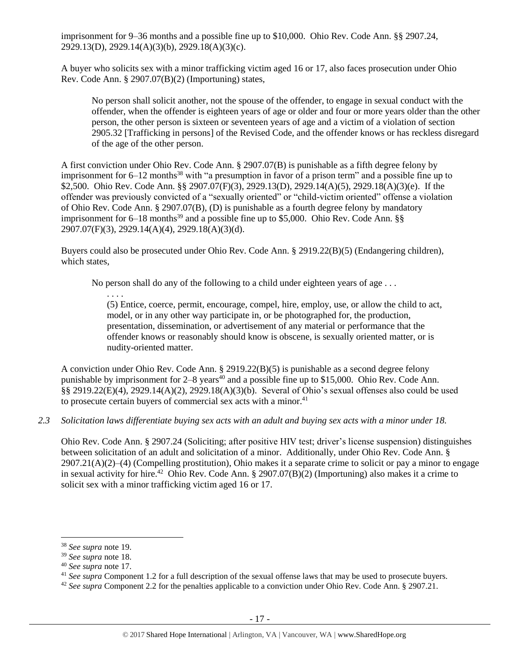imprisonment for 9–36 months and a possible fine up to \$10,000. Ohio Rev. Code Ann. §§ 2907.24, 2929.13(D), 2929.14(A)(3)(b), 2929.18(A)(3)(c).

A buyer who solicits sex with a minor trafficking victim aged 16 or 17, also faces prosecution under Ohio Rev. Code Ann. § 2907.07(B)(2) (Importuning) states,

No person shall solicit another, not the spouse of the offender, to engage in sexual conduct with the offender, when the offender is eighteen years of age or older and four or more years older than the other person, the other person is sixteen or seventeen years of age and a victim of a violation of section 2905.32 [Trafficking in persons] of the Revised Code, and the offender knows or has reckless disregard of the age of the other person.

A first conviction under Ohio Rev. Code Ann. § 2907.07(B) is punishable as a fifth degree felony by imprisonment for  $6-12$  months<sup>38</sup> with "a presumption in favor of a prison term" and a possible fine up to \$2,500. Ohio Rev. Code Ann. §§ 2907.07(F)(3), 2929.13(D), 2929.14(A)(5), 2929.18(A)(3)(e). If the offender was previously convicted of a "sexually oriented" or "child-victim oriented" offense a violation of Ohio Rev. Code Ann. § 2907.07(B), (D) is punishable as a fourth degree felony by mandatory imprisonment for  $6-18$  months<sup>39</sup> and a possible fine up to \$5,000. Ohio Rev. Code Ann. §§ 2907.07(F)(3), 2929.14(A)(4), 2929.18(A)(3)(d).

Buyers could also be prosecuted under Ohio Rev. Code Ann. § 2919.22(B)(5) (Endangering children), which states,

No person shall do any of the following to a child under eighteen years of age . . .

. . . . (5) Entice, coerce, permit, encourage, compel, hire, employ, use, or allow the child to act, model, or in any other way participate in, or be photographed for, the production, presentation, dissemination, or advertisement of any material or performance that the offender knows or reasonably should know is obscene, is sexually oriented matter, or is nudity-oriented matter.

A conviction under Ohio Rev. Code Ann. § 2919.22(B)(5) is punishable as a second degree felony punishable by imprisonment for  $2-8$  years<sup>40</sup> and a possible fine up to \$15,000. Ohio Rev. Code Ann. §§ 2919.22(E)(4), 2929.14(A)(2), 2929.18(A)(3)(b). Several of Ohio's sexual offenses also could be used to prosecute certain buyers of commercial sex acts with a minor.<sup>41</sup>

## *2.3 Solicitation laws differentiate buying sex acts with an adult and buying sex acts with a minor under 18.*

Ohio Rev. Code Ann. § 2907.24 (Soliciting; after positive HIV test; driver's license suspension) distinguishes between solicitation of an adult and solicitation of a minor. Additionally, under Ohio Rev. Code Ann. §  $2907.21(A)(2)$ –(4) (Compelling prostitution), Ohio makes it a separate crime to solicit or pay a minor to engage in sexual activity for hire.<sup>42</sup> Ohio Rev. Code Ann. § 2907.07(B)(2) (Importuning) also makes it a crime to solicit sex with a minor trafficking victim aged 16 or 17.

l

<sup>38</sup> *See supra* note [19.](#page-7-0)

<sup>39</sup> *See supra* note [18.](#page-7-1)

<sup>40</sup> *See supra* note [17.](#page-6-0)

<sup>41</sup> *See supra* Component 1.2 for a full description of the sexual offense laws that may be used to prosecute buyers.

<sup>42</sup> *See supra* Component 2.2 for the penalties applicable to a conviction under Ohio Rev. Code Ann. § 2907.21.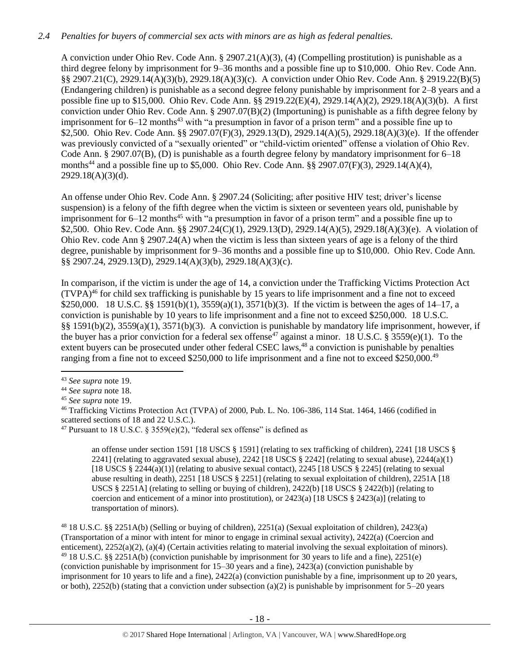# *2.4 Penalties for buyers of commercial sex acts with minors are as high as federal penalties.*

A conviction under Ohio Rev. Code Ann. § 2907.21(A)(3), (4) (Compelling prostitution) is punishable as a third degree felony by imprisonment for 9–36 months and a possible fine up to \$10,000. Ohio Rev. Code Ann. §§ 2907.21(C), 2929.14(A)(3)(b), 2929.18(A)(3)(c). A conviction under Ohio Rev. Code Ann. § 2919.22(B)(5) (Endangering children) is punishable as a second degree felony punishable by imprisonment for 2–8 years and a possible fine up to \$15,000. Ohio Rev. Code Ann. §§ 2919.22(E)(4), 2929.14(A)(2), 2929.18(A)(3)(b). A first conviction under Ohio Rev. Code Ann. § 2907.07(B)(2) (Importuning) is punishable as a fifth degree felony by imprisonment for  $6-12$  months<sup>43</sup> with "a presumption in favor of a prison term" and a possible fine up to \$2,500. Ohio Rev. Code Ann. §§ 2907.07(F)(3), 2929.13(D), 2929.14(A)(5), 2929.18(A)(3)(e). If the offender was previously convicted of a "sexually oriented" or "child-victim oriented" offense a violation of Ohio Rev. Code Ann. § 2907.07(B), (D) is punishable as a fourth degree felony by mandatory imprisonment for 6–18 months<sup>44</sup> and a possible fine up to \$5,000. Ohio Rev. Code Ann. §§ 2907.07(F)(3), 2929.14(A)(4), 2929.18(A)(3)(d).

An offense under Ohio Rev. Code Ann. § 2907.24 (Soliciting; after positive HIV test; driver's license suspension) is a felony of the fifth degree when the victim is sixteen or seventeen years old, punishable by imprisonment for  $6-12$  months<sup>45</sup> with "a presumption in favor of a prison term" and a possible fine up to \$2,500. Ohio Rev. Code Ann. §§ 2907.24(C)(1), 2929.13(D), 2929.14(A)(5), 2929.18(A)(3)(e). A violation of Ohio Rev. code Ann § 2907.24(A) when the victim is less than sixteen years of age is a felony of the third degree, punishable by imprisonment for 9–36 months and a possible fine up to \$10,000. Ohio Rev. Code Ann. §§ 2907.24, 2929.13(D), 2929.14(A)(3)(b), 2929.18(A)(3)(c).

<span id="page-17-0"></span>In comparison, if the victim is under the age of 14, a conviction under the Trafficking Victims Protection Act (TVPA) <sup>46</sup> for child sex trafficking is punishable by 15 years to life imprisonment and a fine not to exceed \$250,000. 18 U.S.C. §§ 1591(b)(1), 3559(a)(1), 3571(b)(3). If the victim is between the ages of 14–17, a conviction is punishable by 10 years to life imprisonment and a fine not to exceed \$250,000. 18 U.S.C. §§ 1591(b)(2), 3559(a)(1), 3571(b)(3). A conviction is punishable by mandatory life imprisonment, however, if the buyer has a prior conviction for a federal sex offense<sup>47</sup> against a minor. 18 U.S.C. § 3559(e)(1). To the extent buyers can be prosecuted under other federal CSEC laws,<sup>48</sup> a conviction is punishable by penalties ranging from a fine not to exceed \$250,000 to life imprisonment and a fine not to exceed \$250,000.<sup>49</sup>

<span id="page-17-1"></span> $\overline{\phantom{a}}$ 

an offense under section 1591 [18 USCS § 1591] (relating to sex trafficking of children), 2241 [18 USCS § 2241] (relating to aggravated sexual abuse), 2242 [18 USCS  $\S$  2242] (relating to sexual abuse), 2244(a)(1) [18 USCS  $\S$  2244(a)(1)] (relating to abusive sexual contact), 2245 [18 USCS  $\S$  2245] (relating to sexual abuse resulting in death), 2251 [18 USCS § 2251] (relating to sexual exploitation of children), 2251A [18 USCS § 2251A] (relating to selling or buying of children), 2422(b) [18 USCS § 2422(b)] (relating to coercion and enticement of a minor into prostitution), or  $2423(a)$  [18 USCS §  $2423(a)$ ] (relating to transportation of minors).

<sup>48</sup> 18 U.S.C. §§ 2251A(b) (Selling or buying of children), 2251(a) (Sexual exploitation of children), 2423(a) (Transportation of a minor with intent for minor to engage in criminal sexual activity), 2422(a) (Coercion and enticement), 2252(a)(2), (a)(4) (Certain activities relating to material involving the sexual exploitation of minors). <sup>49</sup> 18 U.S.C. §§ 2251A(b) (conviction punishable by imprisonment for 30 years to life and a fine), 2251(e) (conviction punishable by imprisonment for 15–30 years and a fine), 2423(a) (conviction punishable by imprisonment for 10 years to life and a fine), 2422(a) (conviction punishable by a fine, imprisonment up to 20 years, or both), 2252(b) (stating that a conviction under subsection (a)(2) is punishable by imprisonment for  $5-20$  years

<sup>43</sup> *See supra* note [19.](#page-7-0)

<sup>44</sup> *See supra* note [18.](#page-7-1)

<sup>45</sup> *See supra* note [19.](#page-7-0)

<sup>46</sup> Trafficking Victims Protection Act (TVPA) of 2000, Pub. L. No. 106-386, 114 Stat. 1464, 1466 (codified in scattered sections of 18 and 22 U.S.C.).

<sup>&</sup>lt;sup>47</sup> Pursuant to 18 U.S.C. § 3559(e)(2), "federal sex offense" is defined as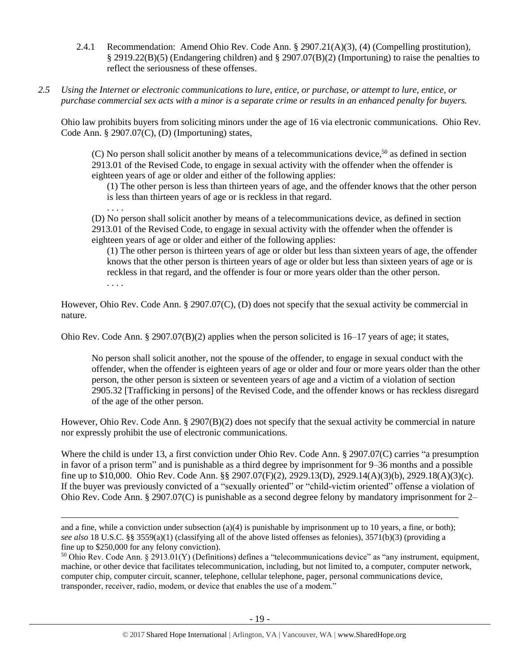- 2.4.1 Recommendation: Amend Ohio Rev. Code Ann. § 2907.21(A)(3), (4) (Compelling prostitution), § 2919.22(B)(5) (Endangering children) and § 2907.07(B)(2) (Importuning) to raise the penalties to reflect the seriousness of these offenses.
- *2.5 Using the Internet or electronic communications to lure, entice, or purchase, or attempt to lure, entice, or purchase commercial sex acts with a minor is a separate crime or results in an enhanced penalty for buyers.*

. . . .

 $\overline{\phantom{a}}$ 

Ohio law prohibits buyers from soliciting minors under the age of 16 via electronic communications. Ohio Rev. Code Ann. § 2907.07(C), (D) (Importuning) states,

 $(C)$  No person shall solicit another by means of a telecommunications device,<sup>50</sup> as defined in section 2913.01 of the Revised Code, to engage in sexual activity with the offender when the offender is eighteen years of age or older and either of the following applies:

(1) The other person is less than thirteen years of age, and the offender knows that the other person is less than thirteen years of age or is reckless in that regard.

(D) No person shall solicit another by means of a telecommunications device, as defined in section 2913.01 of the Revised Code, to engage in sexual activity with the offender when the offender is eighteen years of age or older and either of the following applies:

(1) The other person is thirteen years of age or older but less than sixteen years of age, the offender knows that the other person is thirteen years of age or older but less than sixteen years of age or is reckless in that regard, and the offender is four or more years older than the other person. . . . .

However, Ohio Rev. Code Ann. § 2907.07(C), (D) does not specify that the sexual activity be commercial in nature.

Ohio Rev. Code Ann. § 2907.07(B)(2) applies when the person solicited is  $16-17$  years of age; it states,

No person shall solicit another, not the spouse of the offender, to engage in sexual conduct with the offender, when the offender is eighteen years of age or older and four or more years older than the other person, the other person is sixteen or seventeen years of age and a victim of a violation of section 2905.32 [Trafficking in persons] of the Revised Code, and the offender knows or has reckless disregard of the age of the other person.

However, Ohio Rev. Code Ann. § 2907(B)(2) does not specify that the sexual activity be commercial in nature nor expressly prohibit the use of electronic communications.

Where the child is under 13, a first conviction under Ohio Rev. Code Ann. § 2907.07(C) carries "a presumption in favor of a prison term" and is punishable as a third degree by imprisonment for 9–36 months and a possible fine up to \$10,000. Ohio Rev. Code Ann. §§ 2907.07(F)(2), 2929.13(D), 2929.14(A)(3)(b), 2929.18(A)(3)(c). If the buyer was previously convicted of a "sexually oriented" or "child-victim oriented" offense a violation of Ohio Rev. Code Ann. § 2907.07(C) is punishable as a second degree felony by mandatory imprisonment for 2–

and a fine, while a conviction under subsection (a)(4) is punishable by imprisonment up to 10 years, a fine, or both); *see also* 18 U.S.C. §§ 3559(a)(1) (classifying all of the above listed offenses as felonies), 3571(b)(3) (providing a fine up to \$250,000 for any felony conviction).

 $50$  Ohio Rev. Code Ann. § 2913.01(Y) (Definitions) defines a "telecommunications device" as "any instrument, equipment, machine, or other device that facilitates telecommunication, including, but not limited to, a computer, computer network, computer chip, computer circuit, scanner, telephone, cellular telephone, pager, personal communications device, transponder, receiver, radio, modem, or device that enables the use of a modem."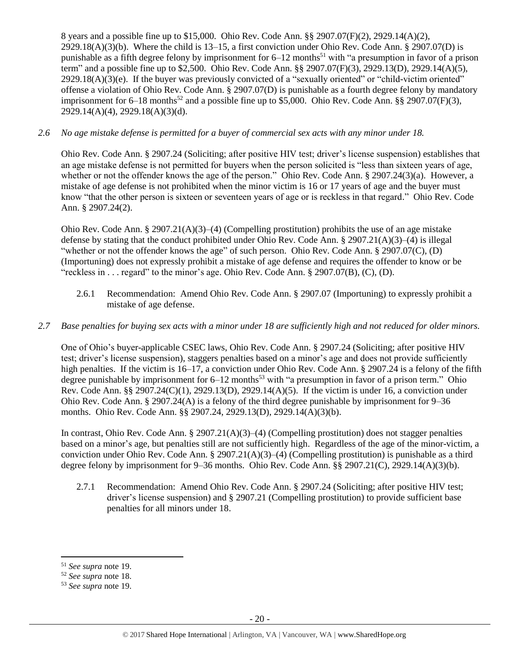8 years and a possible fine up to \$15,000. Ohio Rev. Code Ann. §§ 2907.07(F)(2), 2929.14(A)(2), 2929.18(A)(3)(b). Where the child is 13–15, a first conviction under Ohio Rev. Code Ann. § 2907.07(D) is punishable as a fifth degree felony by imprisonment for  $6-12$  months<sup>51</sup> with "a presumption in favor of a prison term" and a possible fine up to \$2,500. Ohio Rev. Code Ann. §§ 2907.07(F)(3), 2929.13(D), 2929.14(A)(5),  $2929.18(A)(3)(e)$ . If the buyer was previously convicted of a "sexually oriented" or "child-victim oriented" offense a violation of Ohio Rev. Code Ann. § 2907.07(D) is punishable as a fourth degree felony by mandatory imprisonment for  $6-18$  months<sup>52</sup> and a possible fine up to \$5,000. Ohio Rev. Code Ann. §§ 2907.07(F)(3), 2929.14(A)(4), 2929.18(A)(3)(d).

# *2.6 No age mistake defense is permitted for a buyer of commercial sex acts with any minor under 18.*

Ohio Rev. Code Ann. § 2907.24 (Soliciting; after positive HIV test; driver's license suspension) establishes that an age mistake defense is not permitted for buyers when the person solicited is "less than sixteen years of age, whether or not the offender knows the age of the person." Ohio Rev. Code Ann. § 2907.24(3)(a). However, a mistake of age defense is not prohibited when the minor victim is 16 or 17 years of age and the buyer must know "that the other person is sixteen or seventeen years of age or is reckless in that regard." Ohio Rev. Code Ann. § 2907.24(2).

Ohio Rev. Code Ann. § 2907.21(A)(3)–(4) (Compelling prostitution) prohibits the use of an age mistake defense by stating that the conduct prohibited under Ohio Rev. Code Ann. § 2907.21(A)(3)–(4) is illegal "whether or not the offender knows the age" of such person. Ohio Rev. Code Ann. § 2907.07(C), (D) (Importuning) does not expressly prohibit a mistake of age defense and requires the offender to know or be "reckless in . . . regard" to the minor's age. Ohio Rev. Code Ann.  $\S$  2907.07(B), (C), (D).

2.6.1 Recommendation: Amend Ohio Rev. Code Ann. § 2907.07 (Importuning) to expressly prohibit a mistake of age defense.

# *2.7 Base penalties for buying sex acts with a minor under 18 are sufficiently high and not reduced for older minors.*

One of Ohio's buyer-applicable CSEC laws, Ohio Rev. Code Ann. § 2907.24 (Soliciting; after positive HIV test; driver's license suspension), staggers penalties based on a minor's age and does not provide sufficiently high penalties. If the victim is 16–17, a conviction under Ohio Rev. Code Ann. § 2907.24 is a felony of the fifth degree punishable by imprisonment for  $6-12$  months<sup>53</sup> with "a presumption in favor of a prison term." Ohio Rev. Code Ann. §§ 2907.24(C)(1), 2929.13(D), 2929.14(A)(5). If the victim is under 16, a conviction under Ohio Rev. Code Ann. § 2907.24(A) is a felony of the third degree punishable by imprisonment for 9–36 months. Ohio Rev. Code Ann. §§ 2907.24, 2929.13(D), 2929.14(A)(3)(b).

In contrast, Ohio Rev. Code Ann. § 2907.21(A)(3)–(4) (Compelling prostitution) does not stagger penalties based on a minor's age, but penalties still are not sufficiently high. Regardless of the age of the minor-victim, a conviction under Ohio Rev. Code Ann. § 2907.21(A)(3)–(4) (Compelling prostitution) is punishable as a third degree felony by imprisonment for 9–36 months. Ohio Rev. Code Ann. §§ 2907.21(C), 2929.14(A)(3)(b).

2.7.1 Recommendation: Amend Ohio Rev. Code Ann. § 2907.24 (Soliciting; after positive HIV test; driver's license suspension) and § 2907.21 (Compelling prostitution) to provide sufficient base penalties for all minors under 18.

 $\overline{\phantom{a}}$ 

<sup>51</sup> *See supra* note [19.](#page-7-0)

<sup>52</sup> *See supra* note [18.](#page-7-1)

<sup>53</sup> *See supra* note [19.](#page-7-0)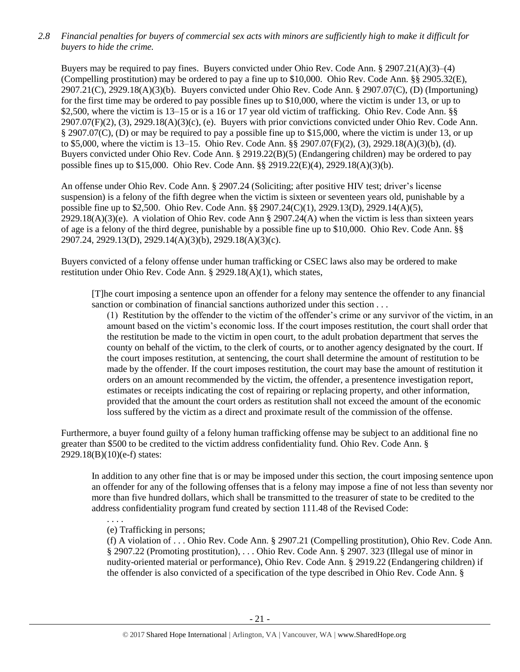*2.8 Financial penalties for buyers of commercial sex acts with minors are sufficiently high to make it difficult for buyers to hide the crime.* 

Buyers may be required to pay fines. Buyers convicted under Ohio Rev. Code Ann. § 2907.21(A)(3)–(4) (Compelling prostitution) may be ordered to pay a fine up to \$10,000. Ohio Rev. Code Ann. §§ 2905.32(E), 2907.21(C), 2929.18(A)(3)(b). Buyers convicted under Ohio Rev. Code Ann. § 2907.07(C), (D) (Importuning) for the first time may be ordered to pay possible fines up to \$10,000, where the victim is under 13, or up to \$2,500, where the victim is 13–15 or is a 16 or 17 year old victim of trafficking. Ohio Rev. Code Ann. §§  $2907.07(F)(2)$ , (3),  $2929.18(A)(3)(c)$ , (e). Buyers with prior convictions convicted under Ohio Rev. Code Ann. § 2907.07(C), (D) or may be required to pay a possible fine up to \$15,000, where the victim is under 13, or up to \$5,000, where the victim is 13–15. Ohio Rev. Code Ann. §§ 2907.07(F)(2), (3), 2929.18(A)(3)(b), (d). Buyers convicted under Ohio Rev. Code Ann. § 2919.22(B)(5) (Endangering children) may be ordered to pay possible fines up to \$15,000. Ohio Rev. Code Ann. §§ 2919.22(E)(4), 2929.18(A)(3)(b).

An offense under Ohio Rev. Code Ann. § 2907.24 (Soliciting; after positive HIV test; driver's license suspension) is a felony of the fifth degree when the victim is sixteen or seventeen years old, punishable by a possible fine up to \$2,500. Ohio Rev. Code Ann. §§ 2907.24(C)(1), 2929.13(D), 2929.14(A)(5),  $2929.18(A)(3)(e)$ . A violation of Ohio Rev. code Ann § 2907.24(A) when the victim is less than sixteen years of age is a felony of the third degree, punishable by a possible fine up to \$10,000. Ohio Rev. Code Ann. §§ 2907.24, 2929.13(D), 2929.14(A)(3)(b), 2929.18(A)(3)(c).

Buyers convicted of a felony offense under human trafficking or CSEC laws also may be ordered to make restitution under Ohio Rev. Code Ann. § 2929.18(A)(1), which states,

[T]he court imposing a sentence upon an offender for a felony may sentence the offender to any financial sanction or combination of financial sanctions authorized under this section . . .

(1) Restitution by the offender to the victim of the offender's crime or any survivor of the victim, in an amount based on the victim's economic loss. If the court imposes restitution, the court shall order that the restitution be made to the victim in open court, to the adult probation department that serves the county on behalf of the victim, to the clerk of courts, or to another agency designated by the court. If the court imposes restitution, at sentencing, the court shall determine the amount of restitution to be made by the offender. If the court imposes restitution, the court may base the amount of restitution it orders on an amount recommended by the victim, the offender, a presentence investigation report, estimates or receipts indicating the cost of repairing or replacing property, and other information, provided that the amount the court orders as restitution shall not exceed the amount of the economic loss suffered by the victim as a direct and proximate result of the commission of the offense.

Furthermore, a buyer found guilty of a felony human trafficking offense may be subject to an additional fine no greater than \$500 to be credited to the victim address confidentiality fund. Ohio Rev. Code Ann. § 2929.18(B)(10)(e-f) states:

In addition to any other fine that is or may be imposed under this section, the court imposing sentence upon an offender for any of the following offenses that is a felony may impose a fine of not less than seventy nor more than five hundred dollars, which shall be transmitted to the treasurer of state to be credited to the address confidentiality program fund created by section 111.48 of the Revised Code:

. . . .

(e) Trafficking in persons;

(f) A violation of . . . Ohio Rev. Code Ann. § 2907.21 (Compelling prostitution), Ohio Rev. Code Ann. § 2907.22 (Promoting prostitution), . . . Ohio Rev. Code Ann. § 2907. 323 (Illegal use of minor in nudity-oriented material or performance), Ohio Rev. Code Ann. § 2919.22 (Endangering children) if the offender is also convicted of a specification of the type described in Ohio Rev. Code Ann. §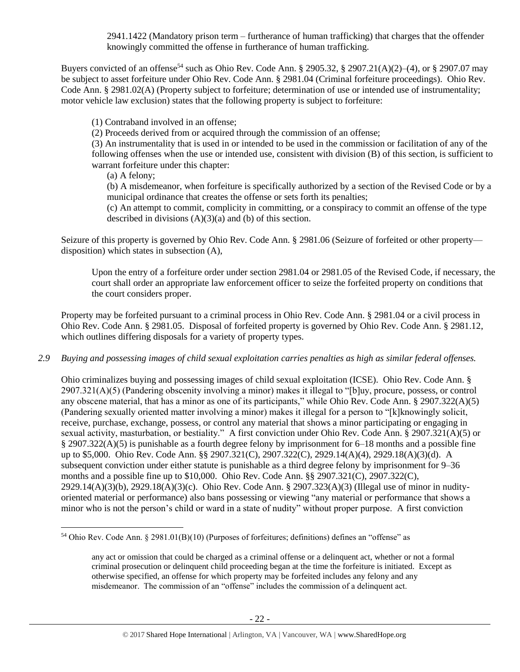<span id="page-21-0"></span>2941.1422 (Mandatory prison term – furtherance of human trafficking) that charges that the offender knowingly committed the offense in furtherance of human trafficking.

Buyers convicted of an offense<sup>54</sup> such as Ohio Rev. Code Ann. § 2905.32, § 2907.21(A)(2)–(4), or § 2907.07 may be subject to asset forfeiture under Ohio Rev. Code Ann. § 2981.04 (Criminal forfeiture proceedings). Ohio Rev. Code Ann. § 2981.02(A) (Property subject to forfeiture; determination of use or intended use of instrumentality; motor vehicle law exclusion) states that the following property is subject to forfeiture:

(1) Contraband involved in an offense;

(2) Proceeds derived from or acquired through the commission of an offense;

(3) An instrumentality that is used in or intended to be used in the commission or facilitation of any of the following offenses when the use or intended use, consistent with division (B) of this section, is sufficient to warrant forfeiture under this chapter:

(a) A felony;

 $\overline{\phantom{a}}$ 

(b) A misdemeanor, when forfeiture is specifically authorized by a section of the Revised Code or by a municipal ordinance that creates the offense or sets forth its penalties;

(c) An attempt to commit, complicity in committing, or a conspiracy to commit an offense of the type described in divisions  $(A)(3)(a)$  and  $(b)$  of this section.

Seizure of this property is governed by Ohio Rev. Code Ann. § 2981.06 (Seizure of forfeited or other property disposition) which states in subsection (A),

Upon the entry of a forfeiture order under section 2981.04 or 2981.05 of the Revised Code, if necessary, the court shall order an appropriate law enforcement officer to seize the forfeited property on conditions that the court considers proper.

Property may be forfeited pursuant to a criminal process in Ohio Rev. Code Ann. § 2981.04 or a civil process in Ohio Rev. Code Ann. § 2981.05. Disposal of forfeited property is governed by Ohio Rev. Code Ann. § 2981.12, which outlines differing disposals for a variety of property types.

# *2.9 Buying and possessing images of child sexual exploitation carries penalties as high as similar federal offenses.*

Ohio criminalizes buying and possessing images of child sexual exploitation (ICSE). Ohio Rev. Code Ann. § 2907.321(A)(5) (Pandering obscenity involving a minor) makes it illegal to "[b]uy, procure, possess, or control any obscene material, that has a minor as one of its participants," while Ohio Rev. Code Ann. § 2907.322(A)(5) (Pandering sexually oriented matter involving a minor) makes it illegal for a person to "[k]knowingly solicit, receive, purchase, exchange, possess, or control any material that shows a minor participating or engaging in sexual activity, masturbation, or bestiality." A first conviction under Ohio Rev. Code Ann. § 2907.321(A)(5) or § 2907.322(A)(5) is punishable as a fourth degree felony by imprisonment for 6–18 months and a possible fine up to \$5,000. Ohio Rev. Code Ann. §§ 2907.321(C), 2907.322(C), 2929.14(A)(4), 2929.18(A)(3)(d). A subsequent conviction under either statute is punishable as a third degree felony by imprisonment for 9–36 months and a possible fine up to \$10,000. Ohio Rev. Code Ann. §§ 2907.321(C), 2907.322(C), 2929.14(A)(3)(b), 2929.18(A)(3)(c). Ohio Rev. Code Ann. § 2907.323(A)(3) (Illegal use of minor in nudityoriented material or performance) also bans possessing or viewing "any material or performance that shows a minor who is not the person's child or ward in a state of nudity" without proper purpose. A first conviction

<sup>54</sup> Ohio Rev. Code Ann. § 2981.01(B)(10) (Purposes of forfeitures; definitions) defines an "offense" as

any act or omission that could be charged as a criminal offense or a delinquent act, whether or not a formal criminal prosecution or delinquent child proceeding began at the time the forfeiture is initiated. Except as otherwise specified, an offense for which property may be forfeited includes any felony and any misdemeanor. The commission of an "offense" includes the commission of a delinquent act.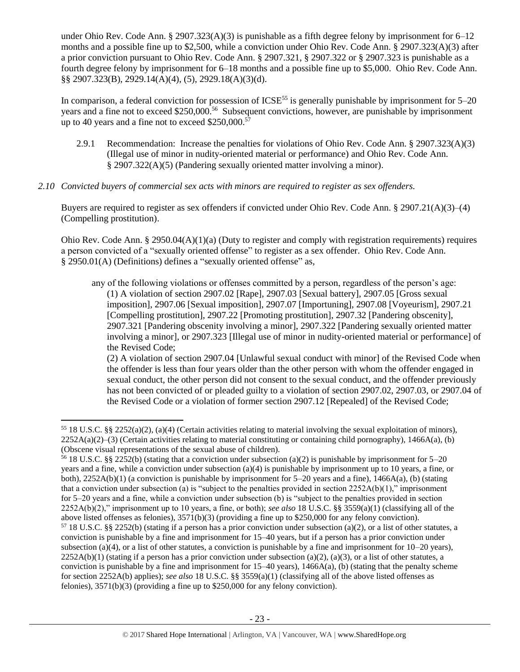under Ohio Rev. Code Ann. § 2907.323(A)(3) is punishable as a fifth degree felony by imprisonment for  $6-12$ months and a possible fine up to \$2,500, while a conviction under Ohio Rev. Code Ann. § 2907.323(A)(3) after a prior conviction pursuant to Ohio Rev. Code Ann. § 2907.321, § 2907.322 or § 2907.323 is punishable as a fourth degree felony by imprisonment for 6–18 months and a possible fine up to \$5,000. Ohio Rev. Code Ann. §§ 2907.323(B), 2929.14(A)(4), (5), 2929.18(A)(3)(d).

In comparison, a federal conviction for possession of ICSE<sup>55</sup> is generally punishable by imprisonment for 5–20 years and a fine not to exceed \$250,000.<sup>56</sup> Subsequent convictions, however, are punishable by imprisonment up to 40 years and a fine not to exceed \$250,000.<sup>57</sup>

- 2.9.1 Recommendation: Increase the penalties for violations of Ohio Rev. Code Ann. § 2907.323(A)(3) (Illegal use of minor in nudity-oriented material or performance) and Ohio Rev. Code Ann. § 2907.322(A)(5) (Pandering sexually oriented matter involving a minor).
- *2.10 Convicted buyers of commercial sex acts with minors are required to register as sex offenders.*

Buyers are required to register as sex offenders if convicted under Ohio Rev. Code Ann. § 2907.21(A)(3)–(4) (Compelling prostitution).

Ohio Rev. Code Ann. § 2950.04(A)(1)(a) (Duty to register and comply with registration requirements) requires a person convicted of a "sexually oriented offense" to register as a sex offender. Ohio Rev. Code Ann. § 2950.01(A) (Definitions) defines a "sexually oriented offense" as,

any of the following violations or offenses committed by a person, regardless of the person's age: (1) A violation of section 2907.02 [Rape], 2907.03 [Sexual battery], 2907.05 [Gross sexual imposition], 2907.06 [Sexual imposition], 2907.07 [Importuning], 2907.08 [Voyeurism], 2907.21 [Compelling prostitution], 2907.22 [Promoting prostitution], 2907.32 [Pandering obscenity], 2907.321 [Pandering obscenity involving a minor], 2907.322 [Pandering sexually oriented matter involving a minor], or 2907.323 [Illegal use of minor in nudity-oriented material or performance] of the Revised Code;

(2) A violation of section 2907.04 [Unlawful sexual conduct with minor] of the Revised Code when the offender is less than four years older than the other person with whom the offender engaged in sexual conduct, the other person did not consent to the sexual conduct, and the offender previously has not been convicted of or pleaded guilty to a violation of section 2907.02, 2907.03, or 2907.04 of the Revised Code or a violation of former section 2907.12 [Repealed] of the Revised Code;

l

<sup>55</sup> 18 U.S.C. §§ 2252(a)(2), (a)(4) (Certain activities relating to material involving the sexual exploitation of minors),  $2252A(a)(2)$ –(3) (Certain activities relating to material constituting or containing child pornography), 1466A(a), (b) (Obscene visual representations of the sexual abuse of children).

<sup>&</sup>lt;sup>56</sup> 18 U.S.C. §§ 2252(b) (stating that a conviction under subsection (a)(2) is punishable by imprisonment for 5–20 years and a fine, while a conviction under subsection (a)(4) is punishable by imprisonment up to 10 years, a fine, or both),  $2252A(b)(1)$  (a conviction is punishable by imprisonment for  $5-20$  years and a fine),  $1466A(a)$ , (b) (stating that a conviction under subsection (a) is "subject to the penalties provided in section  $2252A(b)(1)$ ," imprisonment for 5–20 years and a fine, while a conviction under subsection (b) is "subject to the penalties provided in section 2252A(b)(2)," imprisonment up to 10 years, a fine, or both); *see also* 18 U.S.C. §§ 3559(a)(1) (classifying all of the above listed offenses as felonies), 3571(b)(3) (providing a fine up to \$250,000 for any felony conviction).  $57$  18 U.S.C. §§ 2252(b) (stating if a person has a prior conviction under subsection (a)(2), or a list of other statutes, a conviction is punishable by a fine and imprisonment for 15–40 years, but if a person has a prior conviction under subsection (a)(4), or a list of other statutes, a conviction is punishable by a fine and imprisonment for  $10-20$  years),  $2252A(b)(1)$  (stating if a person has a prior conviction under subsection (a)(2), (a)(3), or a list of other statutes, a conviction is punishable by a fine and imprisonment for  $15-40$  years),  $1466A(a)$ , (b) (stating that the penalty scheme for section 2252A(b) applies); *see also* 18 U.S.C. §§ 3559(a)(1) (classifying all of the above listed offenses as felonies), 3571(b)(3) (providing a fine up to \$250,000 for any felony conviction).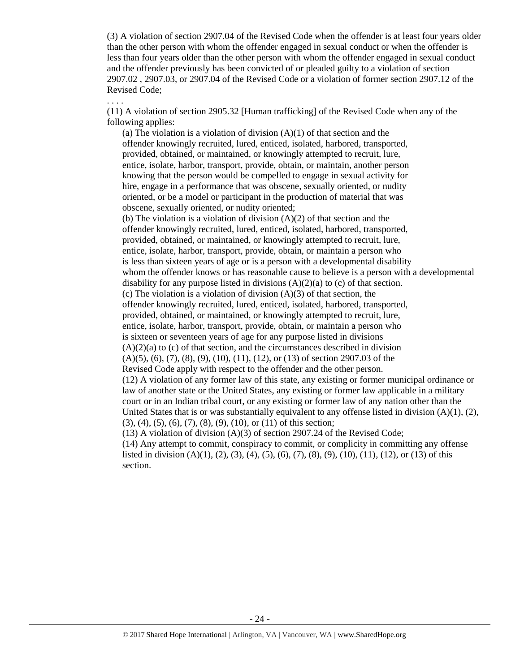(3) A violation of section 2907.04 of the Revised Code when the offender is at least four years older than the other person with whom the offender engaged in sexual conduct or when the offender is less than four years older than the other person with whom the offender engaged in sexual conduct and the offender previously has been convicted of or pleaded guilty to a violation of section 2907.02 , 2907.03, or 2907.04 of the Revised Code or a violation of former section 2907.12 of the Revised Code;

. . . .

(11) A violation of section 2905.32 [Human trafficking] of the Revised Code when any of the following applies:

(a) The violation is a violation of division  $(A)(1)$  of that section and the offender knowingly recruited, lured, enticed, isolated, harbored, transported, provided, obtained, or maintained, or knowingly attempted to recruit, lure, entice, isolate, harbor, transport, provide, obtain, or maintain, another person knowing that the person would be compelled to engage in sexual activity for hire, engage in a performance that was obscene, sexually oriented, or nudity oriented, or be a model or participant in the production of material that was obscene, sexually oriented, or nudity oriented; (b) The violation is a violation of division  $(A)(2)$  of that section and the offender knowingly recruited, lured, enticed, isolated, harbored, transported, provided, obtained, or maintained, or knowingly attempted to recruit, lure, entice, isolate, harbor, transport, provide, obtain, or maintain a person who is less than sixteen years of age or is a person with a developmental disability whom the offender knows or has reasonable cause to believe is a person with a developmental disability for any purpose listed in divisions  $(A)(2)(a)$  to  $(c)$  of that section. (c) The violation is a violation of division  $(A)(3)$  of that section, the offender knowingly recruited, lured, enticed, isolated, harbored, transported, provided, obtained, or maintained, or knowingly attempted to recruit, lure, entice, isolate, harbor, transport, provide, obtain, or maintain a person who is sixteen or seventeen years of age for any purpose listed in divisions  $(A)(2)(a)$  to  $(c)$  of that section, and the circumstances described in division (A)(5), (6), (7), (8), (9), (10), (11), (12), or (13) of section 2907.03 of the Revised Code apply with respect to the offender and the other person. (12) A violation of any former law of this state, any existing or former municipal ordinance or law of another state or the United States, any existing or former law applicable in a military court or in an Indian tribal court, or any existing or former law of any nation other than the United States that is or was substantially equivalent to any offense listed in division  $(A)(1), (2),$ (3), (4), (5), (6), (7), (8), (9), (10), or (11) of this section; (13) A violation of division (A)(3) of section 2907.24 of the Revised Code;

(14) Any attempt to commit, conspiracy to commit, or complicity in committing any offense listed in division  $(A)(1)$ ,  $(2)$ ,  $(3)$ ,  $(4)$ ,  $(5)$ ,  $(6)$ ,  $(7)$ ,  $(8)$ ,  $(9)$ ,  $(10)$ ,  $(11)$ ,  $(12)$ , or  $(13)$  of this section.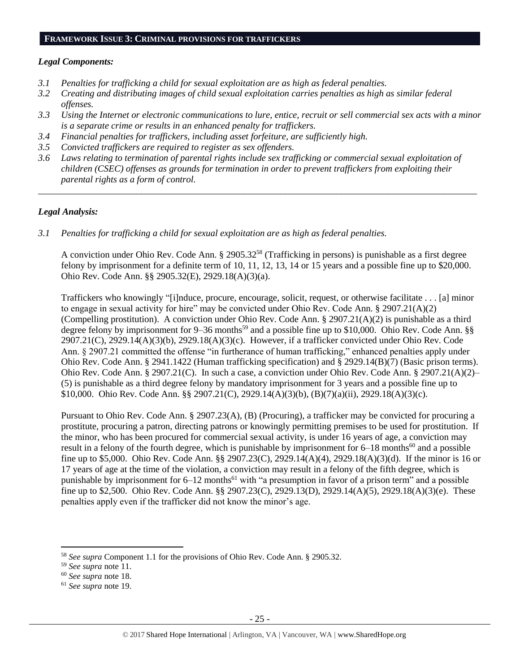## **FRAMEWORK ISSUE 3: CRIMINAL PROVISIONS FOR TRAFFICKERS**

## *Legal Components:*

- *3.1 Penalties for trafficking a child for sexual exploitation are as high as federal penalties.*
- *3.2 Creating and distributing images of child sexual exploitation carries penalties as high as similar federal offenses.*
- *3.3 Using the Internet or electronic communications to lure, entice, recruit or sell commercial sex acts with a minor is a separate crime or results in an enhanced penalty for traffickers.*
- *3.4 Financial penalties for traffickers, including asset forfeiture, are sufficiently high.*
- *3.5 Convicted traffickers are required to register as sex offenders.*
- *3.6 Laws relating to termination of parental rights include sex trafficking or commercial sexual exploitation of children (CSEC) offenses as grounds for termination in order to prevent traffickers from exploiting their parental rights as a form of control.*

*\_\_\_\_\_\_\_\_\_\_\_\_\_\_\_\_\_\_\_\_\_\_\_\_\_\_\_\_\_\_\_\_\_\_\_\_\_\_\_\_\_\_\_\_\_\_\_\_\_\_\_\_\_\_\_\_\_\_\_\_\_\_\_\_\_\_\_\_\_\_\_\_\_\_\_\_\_\_\_\_\_\_\_\_\_\_\_\_\_\_\_\_\_\_*

## *Legal Analysis:*

*3.1 Penalties for trafficking a child for sexual exploitation are as high as federal penalties.* 

A conviction under Ohio Rev. Code Ann. § 2905.32<sup>58</sup> (Trafficking in persons) is punishable as a first degree felony by imprisonment for a definite term of 10, 11, 12, 13, 14 or 15 years and a possible fine up to \$20,000. Ohio Rev. Code Ann. §§ 2905.32(E), 2929.18(A)(3)(a).

Traffickers who knowingly "[i]nduce, procure, encourage, solicit, request, or otherwise facilitate . . . [a] minor to engage in sexual activity for hire" may be convicted under Ohio Rev. Code Ann. § 2907.21(A)(2) (Compelling prostitution). A conviction under Ohio Rev. Code Ann.  $\S 2907.21(A)(2)$  is punishable as a third degree felony by imprisonment for 9–36 months<sup>59</sup> and a possible fine up to \$10,000. Ohio Rev. Code Ann. §§ 2907.21(C), 2929.14(A)(3)(b), 2929.18(A)(3)(c). However, if a trafficker convicted under Ohio Rev. Code Ann. § 2907.21 committed the offense "in furtherance of human trafficking," enhanced penalties apply under Ohio Rev. Code Ann. § 2941.1422 (Human trafficking specification) and § 2929.14(B)(7) (Basic prison terms). Ohio Rev. Code Ann. § 2907.21(C). In such a case, a conviction under Ohio Rev. Code Ann. § 2907.21(A)(2)– (5) is punishable as a third degree felony by mandatory imprisonment for 3 years and a possible fine up to \$10,000. Ohio Rev. Code Ann. §§ 2907.21(C), 2929.14(A)(3)(b), (B)(7)(a)(ii), 2929.18(A)(3)(c).

Pursuant to Ohio Rev. Code Ann. § 2907.23(A), (B) (Procuring), a trafficker may be convicted for procuring a prostitute, procuring a patron, directing patrons or knowingly permitting premises to be used for prostitution. If the minor, who has been procured for commercial sexual activity, is under 16 years of age, a conviction may result in a felony of the fourth degree, which is punishable by imprisonment for 6–18 months<sup>60</sup> and a possible fine up to \$5,000. Ohio Rev. Code Ann. §§ 2907.23(C), 2929.14(A)(4), 2929.18(A)(3)(d). If the minor is 16 or 17 years of age at the time of the violation, a conviction may result in a felony of the fifth degree, which is punishable by imprisonment for  $6-12$  months<sup>61</sup> with "a presumption in favor of a prison term" and a possible fine up to \$2,500. Ohio Rev. Code Ann. §§ 2907.23(C), 2929.13(D), 2929.14(A)(5), 2929.18(A)(3)(e). These penalties apply even if the trafficker did not know the minor's age.

 $\overline{a}$ 

<sup>58</sup> *See supra* Component 1.1 for the provisions of Ohio Rev. Code Ann. § 2905.32.

<sup>59</sup> *See supra* note [11.](#page-4-1)

<sup>60</sup> *See supra* note [18.](#page-7-1)

<sup>61</sup> *See supra* note [19.](#page-7-0)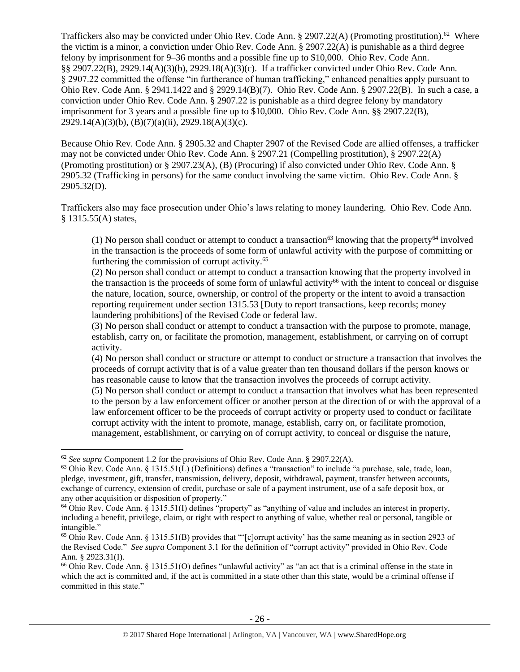Traffickers also may be convicted under Ohio Rev. Code Ann. § 2907.22(A) (Promoting prostitution).<sup>62</sup> Where the victim is a minor, a conviction under Ohio Rev. Code Ann. § 2907.22(A) is punishable as a third degree felony by imprisonment for 9–36 months and a possible fine up to \$10,000. Ohio Rev. Code Ann. §§ 2907.22(B), 2929.14(A)(3)(b), 2929.18(A)(3)(c). If a trafficker convicted under Ohio Rev. Code Ann. § 2907.22 committed the offense "in furtherance of human trafficking," enhanced penalties apply pursuant to Ohio Rev. Code Ann. § 2941.1422 and § 2929.14(B)(7). Ohio Rev. Code Ann. § 2907.22(B). In such a case, a conviction under Ohio Rev. Code Ann. § 2907.22 is punishable as a third degree felony by mandatory imprisonment for 3 years and a possible fine up to \$10,000. Ohio Rev. Code Ann. §§ 2907.22(B), 2929.14(A)(3)(b), (B)(7)(a)(ii), 2929.18(A)(3)(c).

Because Ohio Rev. Code Ann. § 2905.32 and Chapter 2907 of the Revised Code are allied offenses, a trafficker may not be convicted under Ohio Rev. Code Ann. § 2907.21 (Compelling prostitution), § 2907.22(A) (Promoting prostitution) or § 2907.23(A), (B) (Procuring) if also convicted under Ohio Rev. Code Ann. § 2905.32 (Trafficking in persons) for the same conduct involving the same victim. Ohio Rev. Code Ann. § 2905.32(D).

Traffickers also may face prosecution under Ohio's laws relating to money laundering. Ohio Rev. Code Ann. § 1315.55(A) states,

(1) No person shall conduct or attempt to conduct a transaction<sup>63</sup> knowing that the property<sup>64</sup> involved in the transaction is the proceeds of some form of unlawful activity with the purpose of committing or furthering the commission of corrupt activity.<sup>65</sup>

(2) No person shall conduct or attempt to conduct a transaction knowing that the property involved in the transaction is the proceeds of some form of unlawful activity<sup>66</sup> with the intent to conceal or disguise the nature, location, source, ownership, or control of the property or the intent to avoid a transaction reporting requirement under section 1315.53 [Duty to report transactions, keep records; money laundering prohibitions] of the Revised Code or federal law.

(3) No person shall conduct or attempt to conduct a transaction with the purpose to promote, manage, establish, carry on, or facilitate the promotion, management, establishment, or carrying on of corrupt activity.

(4) No person shall conduct or structure or attempt to conduct or structure a transaction that involves the proceeds of corrupt activity that is of a value greater than ten thousand dollars if the person knows or has reasonable cause to know that the transaction involves the proceeds of corrupt activity.

(5) No person shall conduct or attempt to conduct a transaction that involves what has been represented to the person by a law enforcement officer or another person at the direction of or with the approval of a law enforcement officer to be the proceeds of corrupt activity or property used to conduct or facilitate corrupt activity with the intent to promote, manage, establish, carry on, or facilitate promotion, management, establishment, or carrying on of corrupt activity, to conceal or disguise the nature,

l

<sup>62</sup> *See supra* Component 1.2 for the provisions of Ohio Rev. Code Ann. § 2907.22(A).

<sup>63</sup> Ohio Rev. Code Ann. § 1315.51(L) (Definitions) defines a "transaction" to include "a purchase, sale, trade, loan, pledge, investment, gift, transfer, transmission, delivery, deposit, withdrawal, payment, transfer between accounts, exchange of currency, extension of credit, purchase or sale of a payment instrument, use of a safe deposit box, or any other acquisition or disposition of property."

<sup>64</sup> Ohio Rev. Code Ann. § 1315.51(I) defines "property" as "anything of value and includes an interest in property, including a benefit, privilege, claim, or right with respect to anything of value, whether real or personal, tangible or intangible."

<sup>&</sup>lt;sup>65</sup> Ohio Rev. Code Ann. § 1315.51(B) provides that "'[c]orrupt activity' has the same meaning as in section 2923 of the Revised Code." *See supra* Component 3.1 for the definition of "corrupt activity" provided in Ohio Rev. Code Ann. § 2923.31(I).

 $66$  Ohio Rev. Code Ann. § 1315.51(O) defines "unlawful activity" as "an act that is a criminal offense in the state in which the act is committed and, if the act is committed in a state other than this state, would be a criminal offense if committed in this state."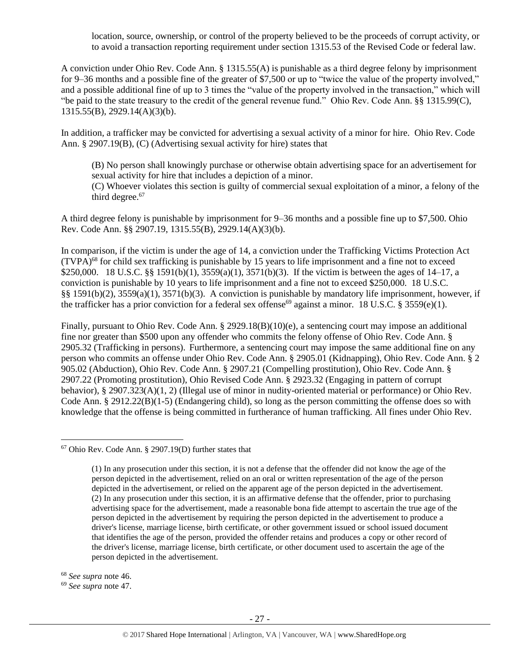location, source, ownership, or control of the property believed to be the proceeds of corrupt activity, or to avoid a transaction reporting requirement under section 1315.53 of the Revised Code or federal law.

A conviction under Ohio Rev. Code Ann. § 1315.55(A) is punishable as a third degree felony by imprisonment for 9–36 months and a possible fine of the greater of \$7,500 or up to "twice the value of the property involved," and a possible additional fine of up to 3 times the "value of the property involved in the transaction," which will "be paid to the state treasury to the credit of the general revenue fund." Ohio Rev. Code Ann. §§ 1315.99(C), 1315.55(B), 2929.14(A)(3)(b).

In addition, a trafficker may be convicted for advertising a sexual activity of a minor for hire. Ohio Rev. Code Ann. § 2907.19(B), (C) (Advertising sexual activity for hire) states that

(B) No person shall knowingly purchase or otherwise obtain advertising space for an advertisement for sexual activity for hire that includes a depiction of a minor.

(C) Whoever violates this section is guilty of commercial sexual exploitation of a minor, a felony of the third degree.<sup>67</sup>

A third degree felony is punishable by imprisonment for 9–36 months and a possible fine up to \$7,500. Ohio Rev. Code Ann. §§ 2907.19, 1315.55(B), 2929.14(A)(3)(b).

In comparison, if the victim is under the age of 14, a conviction under the Trafficking Victims Protection Act (TVPA) <sup>68</sup> for child sex trafficking is punishable by 15 years to life imprisonment and a fine not to exceed \$250,000. 18 U.S.C. §§ 1591(b)(1), 3559(a)(1), 3571(b)(3). If the victim is between the ages of 14–17, a conviction is punishable by 10 years to life imprisonment and a fine not to exceed \$250,000. 18 U.S.C. §§ 1591(b)(2), 3559(a)(1), 3571(b)(3). A conviction is punishable by mandatory life imprisonment, however, if the trafficker has a prior conviction for a federal sex offense<sup>69</sup> against a minor. 18 U.S.C. § 3559(e)(1).

Finally, pursuant to Ohio Rev. Code Ann. § 2929.18(B)(10)(e), a sentencing court may impose an additional fine nor greater than \$500 upon any offender who commits the felony offense of Ohio Rev. Code Ann. § 2905.32 (Trafficking in persons). Furthermore, a sentencing court may impose the same additional fine on any person who commits an offense under Ohio Rev. Code Ann. § 2905.01 (Kidnapping), Ohio Rev. Code Ann. § 2 905.02 (Abduction), Ohio Rev. Code Ann. § 2907.21 (Compelling prostitution), Ohio Rev. Code Ann. § 2907.22 (Promoting prostitution), Ohio Revised Code Ann. § 2923.32 (Engaging in pattern of corrupt behavior), § 2907.323(A)(1, 2) (Illegal use of minor in nudity-oriented material or performance) or Ohio Rev. Code Ann. § 2912.22(B)(1-5) (Endangering child), so long as the person committing the offense does so with knowledge that the offense is being committed in furtherance of human trafficking. All fines under Ohio Rev.

<sup>68</sup> *See supra* note [46.](#page-17-0)

 $\overline{\phantom{a}}$ 

<sup>69</sup> *See supra* note [47.](#page-17-1) 

<sup>67</sup> Ohio Rev. Code Ann. § 2907.19(D) further states that

<sup>(1)</sup> In any prosecution under this section, it is not a defense that the offender did not know the age of the person depicted in the advertisement, relied on an oral or written representation of the age of the person depicted in the advertisement, or relied on the apparent age of the person depicted in the advertisement. (2) In any prosecution under this section, it is an affirmative defense that the offender, prior to purchasing advertising space for the advertisement, made a reasonable bona fide attempt to ascertain the true age of the person depicted in the advertisement by requiring the person depicted in the advertisement to produce a driver's license, marriage license, birth certificate, or other government issued or school issued document that identifies the age of the person, provided the offender retains and produces a copy or other record of the driver's license, marriage license, birth certificate, or other document used to ascertain the age of the person depicted in the advertisement.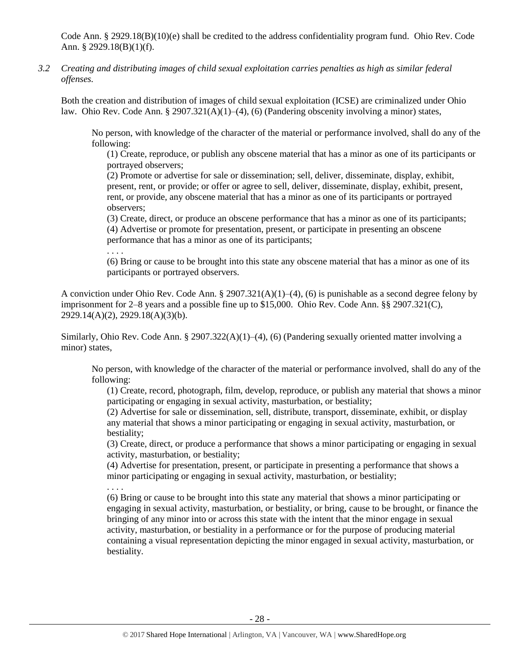Code Ann. § 2929.18(B)(10)(e) shall be credited to the address confidentiality program fund. Ohio Rev. Code Ann. § 2929.18(B)(1)(f).

*3.2 Creating and distributing images of child sexual exploitation carries penalties as high as similar federal offenses.*

Both the creation and distribution of images of child sexual exploitation (ICSE) are criminalized under Ohio law. Ohio Rev. Code Ann.  $\S 2907.321(A)(1)–(4)$ , (6) (Pandering obscenity involving a minor) states,

No person, with knowledge of the character of the material or performance involved, shall do any of the following:

(1) Create, reproduce, or publish any obscene material that has a minor as one of its participants or portrayed observers;

(2) Promote or advertise for sale or dissemination; sell, deliver, disseminate, display, exhibit, present, rent, or provide; or offer or agree to sell, deliver, disseminate, display, exhibit, present, rent, or provide, any obscene material that has a minor as one of its participants or portrayed observers;

(3) Create, direct, or produce an obscene performance that has a minor as one of its participants; (4) Advertise or promote for presentation, present, or participate in presenting an obscene performance that has a minor as one of its participants;

. . . .

. . . .

(6) Bring or cause to be brought into this state any obscene material that has a minor as one of its participants or portrayed observers.

A conviction under Ohio Rev. Code Ann. § 2907.321(A)(1)–(4), (6) is punishable as a second degree felony by imprisonment for 2–8 years and a possible fine up to \$15,000. Ohio Rev. Code Ann. §§ 2907.321(C), 2929.14(A)(2), 2929.18(A)(3)(b).

Similarly, Ohio Rev. Code Ann. § 2907.322(A)(1)–(4), (6) (Pandering sexually oriented matter involving a minor) states,

No person, with knowledge of the character of the material or performance involved, shall do any of the following:

(1) Create, record, photograph, film, develop, reproduce, or publish any material that shows a minor participating or engaging in sexual activity, masturbation, or bestiality;

(2) Advertise for sale or dissemination, sell, distribute, transport, disseminate, exhibit, or display any material that shows a minor participating or engaging in sexual activity, masturbation, or bestiality;

(3) Create, direct, or produce a performance that shows a minor participating or engaging in sexual activity, masturbation, or bestiality;

(4) Advertise for presentation, present, or participate in presenting a performance that shows a minor participating or engaging in sexual activity, masturbation, or bestiality;

(6) Bring or cause to be brought into this state any material that shows a minor participating or engaging in sexual activity, masturbation, or bestiality, or bring, cause to be brought, or finance the bringing of any minor into or across this state with the intent that the minor engage in sexual activity, masturbation, or bestiality in a performance or for the purpose of producing material containing a visual representation depicting the minor engaged in sexual activity, masturbation, or bestiality.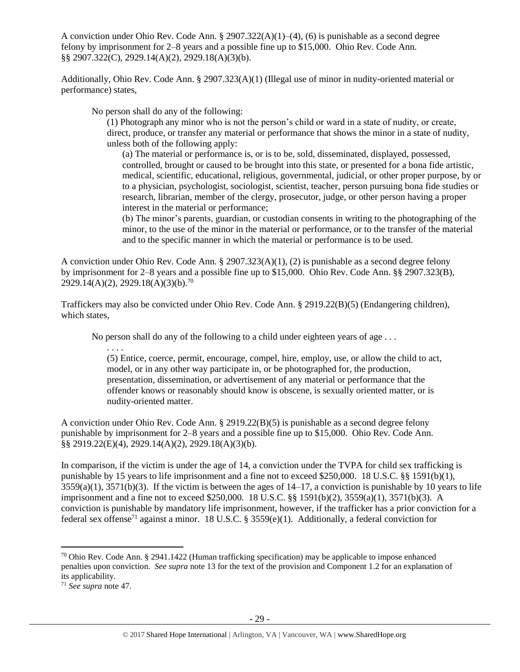A conviction under Ohio Rev. Code Ann. § 2907.322(A)(1)–(4), (6) is punishable as a second degree felony by imprisonment for 2–8 years and a possible fine up to \$15,000. Ohio Rev. Code Ann. §§ 2907.322(C), 2929.14(A)(2), 2929.18(A)(3)(b).

Additionally, Ohio Rev. Code Ann. § 2907.323(A)(1) (Illegal use of minor in nudity-oriented material or performance) states,

No person shall do any of the following:

(1) Photograph any minor who is not the person's child or ward in a state of nudity, or create, direct, produce, or transfer any material or performance that shows the minor in a state of nudity, unless both of the following apply:

(a) The material or performance is, or is to be, sold, disseminated, displayed, possessed, controlled, brought or caused to be brought into this state, or presented for a bona fide artistic, medical, scientific, educational, religious, governmental, judicial, or other proper purpose, by or to a physician, psychologist, sociologist, scientist, teacher, person pursuing bona fide studies or research, librarian, member of the clergy, prosecutor, judge, or other person having a proper interest in the material or performance;

(b) The minor's parents, guardian, or custodian consents in writing to the photographing of the minor, to the use of the minor in the material or performance, or to the transfer of the material and to the specific manner in which the material or performance is to be used.

A conviction under Ohio Rev. Code Ann. § 2907.323(A)(1), (2) is punishable as a second degree felony by imprisonment for 2–8 years and a possible fine up to \$15,000. Ohio Rev. Code Ann. §§ 2907.323(B),  $2929.14(A)(2), 2929.18(A)(3)(b).^{70}$ 

Traffickers may also be convicted under Ohio Rev. Code Ann. § 2919.22(B)(5) (Endangering children), which states,

No person shall do any of the following to a child under eighteen years of age . . .

. . . .

(5) Entice, coerce, permit, encourage, compel, hire, employ, use, or allow the child to act, model, or in any other way participate in, or be photographed for, the production, presentation, dissemination, or advertisement of any material or performance that the offender knows or reasonably should know is obscene, is sexually oriented matter, or is nudity-oriented matter.

A conviction under Ohio Rev. Code Ann. § 2919.22(B)(5) is punishable as a second degree felony punishable by imprisonment for 2–8 years and a possible fine up to \$15,000. Ohio Rev. Code Ann. §§ 2919.22(E)(4), 2929.14(A)(2), 2929.18(A)(3)(b).

In comparison, if the victim is under the age of 14, a conviction under the TVPA for child sex trafficking is punishable by 15 years to life imprisonment and a fine not to exceed \$250,000. 18 U.S.C. §§ 1591(b)(1),  $3559(a)(1)$ ,  $3571(b)(3)$ . If the victim is between the ages of  $14-17$ , a conviction is punishable by 10 years to life imprisonment and a fine not to exceed \$250,000. 18 U.S.C. §§ 1591(b)(2), 3559(a)(1), 3571(b)(3). A conviction is punishable by mandatory life imprisonment, however, if the trafficker has a prior conviction for a federal sex offense<sup>71</sup> against a minor. 18 U.S.C. § 3559(e)(1). Additionally, a federal conviction for

 $\overline{a}$ 

<sup>&</sup>lt;sup>70</sup> Ohio Rev. Code Ann. § 2941.1422 (Human trafficking specification) may be applicable to impose enhanced penalties upon conviction. *See supra* not[e 13](#page-4-2) for the text of the provision and Component 1.2 for an explanation of its applicability.

<sup>71</sup> *See supra* note [47.](#page-17-1)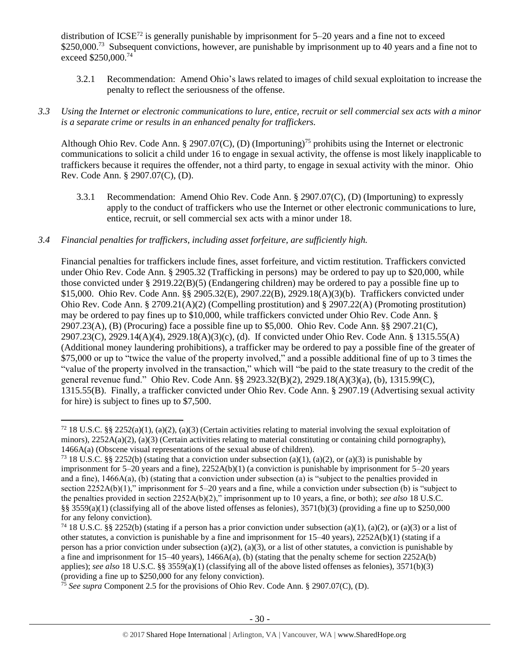distribution of  $ICSE^{72}$  is generally punishable by imprisonment for 5–20 years and a fine not to exceed \$250,000.<sup>73</sup> Subsequent convictions, however, are punishable by imprisonment up to 40 years and a fine not to exceed  $$250,000.<sup>74</sup>$ 

3.2.1 Recommendation: Amend Ohio's laws related to images of child sexual exploitation to increase the penalty to reflect the seriousness of the offense.

# *3.3 Using the Internet or electronic communications to lure, entice, recruit or sell commercial sex acts with a minor is a separate crime or results in an enhanced penalty for traffickers.*

Although Ohio Rev. Code Ann. § 2907.07(C), (D) (Importuning)<sup>75</sup> prohibits using the Internet or electronic communications to solicit a child under 16 to engage in sexual activity, the offense is most likely inapplicable to traffickers because it requires the offender, not a third party, to engage in sexual activity with the minor. Ohio Rev. Code Ann. § 2907.07(C), (D).

3.3.1 Recommendation: Amend Ohio Rev. Code Ann. § 2907.07(C), (D) (Importuning) to expressly apply to the conduct of traffickers who use the Internet or other electronic communications to lure, entice, recruit, or sell commercial sex acts with a minor under 18.

# *3.4 Financial penalties for traffickers, including asset forfeiture, are sufficiently high.*

l

Financial penalties for traffickers include fines, asset forfeiture, and victim restitution. Traffickers convicted under Ohio Rev. Code Ann. § 2905.32 (Trafficking in persons) may be ordered to pay up to \$20,000, while those convicted under § 2919.22(B)(5) (Endangering children) may be ordered to pay a possible fine up to \$15,000. Ohio Rev. Code Ann. §§ 2905.32(E), 2907.22(B), 2929.18(A)(3)(b). Traffickers convicted under Ohio Rev. Code Ann. § 2709.21(A)(2) (Compelling prostitution) and § 2907.22(A) (Promoting prostitution) may be ordered to pay fines up to \$10,000, while traffickers convicted under Ohio Rev. Code Ann. § 2907.23(A), (B) (Procuring) face a possible fine up to \$5,000. Ohio Rev. Code Ann. §§ 2907.21(C), 2907.23(C), 2929.14(A)(4), 2929.18(A)(3)(c), (d). If convicted under Ohio Rev. Code Ann. § 1315.55(A) (Additional money laundering prohibitions), a trafficker may be ordered to pay a possible fine of the greater of \$75,000 or up to "twice the value of the property involved," and a possible additional fine of up to 3 times the "value of the property involved in the transaction," which will "be paid to the state treasury to the credit of the general revenue fund." Ohio Rev. Code Ann. §§ 2923.32(B)(2), 2929.18(A)(3)(a), (b), 1315.99(C), 1315.55(B). Finally, a trafficker convicted under Ohio Rev. Code Ann. § 2907.19 (Advertising sexual activity for hire) is subject to fines up to \$7,500.

 $72$  18 U.S.C. §§ 2252(a)(1), (a)(2), (a)(3) (Certain activities relating to material involving the sexual exploitation of minors),  $2252A(a)(2)$ ,  $(a)(3)$  (Certain activities relating to material constituting or containing child pornography), 1466A(a) (Obscene visual representations of the sexual abuse of children).

<sup>&</sup>lt;sup>73</sup> 18 U.S.C. §§ 2252(b) (stating that a conviction under subsection (a)(1), (a)(2), or (a)(3) is punishable by imprisonment for  $5-20$  years and a fine),  $2252A(b)(1)$  (a conviction is punishable by imprisonment for  $5-20$  years and a fine), 1466A(a), (b) (stating that a conviction under subsection (a) is "subject to the penalties provided in section 2252A(b)(1)," imprisonment for 5–20 years and a fine, while a conviction under subsection (b) is "subject to the penalties provided in section 2252A(b)(2)," imprisonment up to 10 years, a fine, or both); *see also* 18 U.S.C. §§ 3559(a)(1) (classifying all of the above listed offenses as felonies),  $3571(b)(3)$  (providing a fine up to \$250,000 for any felony conviction).

<sup>&</sup>lt;sup>74</sup> 18 U.S.C. §§ 2252(b) (stating if a person has a prior conviction under subsection (a)(1), (a)(2), or (a)(3) or a list of other statutes, a conviction is punishable by a fine and imprisonment for 15–40 years), 2252A(b)(1) (stating if a person has a prior conviction under subsection (a)(2), (a)(3), or a list of other statutes, a conviction is punishable by a fine and imprisonment for 15–40 years), 1466A(a), (b) (stating that the penalty scheme for section 2252A(b) applies); *see also* 18 U.S.C. §§ 3559(a)(1) (classifying all of the above listed offenses as felonies), 3571(b)(3) (providing a fine up to \$250,000 for any felony conviction).

<sup>75</sup> *See supra* Component 2.5 for the provisions of Ohio Rev. Code Ann. § 2907.07(C), (D).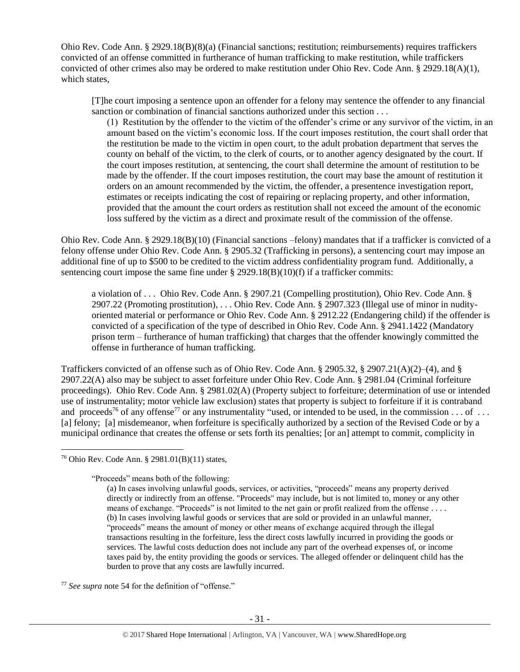Ohio Rev. Code Ann. § 2929.18(B)(8)(a) (Financial sanctions; restitution; reimbursements) requires traffickers convicted of an offense committed in furtherance of human trafficking to make restitution, while traffickers convicted of other crimes also may be ordered to make restitution under Ohio Rev. Code Ann. § 2929.18(A)(1), which states,

[T]he court imposing a sentence upon an offender for a felony may sentence the offender to any financial sanction or combination of financial sanctions authorized under this section . . .

(1) Restitution by the offender to the victim of the offender's crime or any survivor of the victim, in an amount based on the victim's economic loss. If the court imposes restitution, the court shall order that the restitution be made to the victim in open court, to the adult probation department that serves the county on behalf of the victim, to the clerk of courts, or to another agency designated by the court. If the court imposes restitution, at sentencing, the court shall determine the amount of restitution to be made by the offender. If the court imposes restitution, the court may base the amount of restitution it orders on an amount recommended by the victim, the offender, a presentence investigation report, estimates or receipts indicating the cost of repairing or replacing property, and other information, provided that the amount the court orders as restitution shall not exceed the amount of the economic loss suffered by the victim as a direct and proximate result of the commission of the offense.

Ohio Rev. Code Ann. § 2929.18(B)(10) (Financial sanctions –felony) mandates that if a trafficker is convicted of a felony offense under Ohio Rev. Code Ann. § 2905.32 (Trafficking in persons), a sentencing court may impose an additional fine of up to \$500 to be credited to the victim address confidentiality program fund. Additionally, a sentencing court impose the same fine under  $\S 2929.18(B)(10)(f)$  if a trafficker commits:

a violation of . . . Ohio Rev. Code Ann. § 2907.21 (Compelling prostitution), Ohio Rev. Code Ann. § 2907.22 (Promoting prostitution), . . . Ohio Rev. Code Ann. § 2907.323 (Illegal use of minor in nudityoriented material or performance or Ohio Rev. Code Ann. § 2912.22 (Endangering child) if the offender is convicted of a specification of the type of described in Ohio Rev. Code Ann. § 2941.1422 (Mandatory prison term – furtherance of human trafficking) that charges that the offender knowingly committed the offense in furtherance of human trafficking.

Traffickers convicted of an offense such as of Ohio Rev. Code Ann. § 2905.32, § 2907.21(A)(2)–(4), and § 2907.22(A) also may be subject to asset forfeiture under Ohio Rev. Code Ann. § 2981.04 (Criminal forfeiture proceedings). Ohio Rev. Code Ann. § 2981.02(A) (Property subject to forfeiture; determination of use or intended use of instrumentality; motor vehicle law exclusion) states that property is subject to forfeiture if it is contraband and proceeds<sup>76</sup> of any offense<sup>77</sup> or any instrumentality "used, or intended to be used, in the commission  $\dots$  of  $\dots$ [a] felony; [a] misdemeanor, when forfeiture is specifically authorized by a section of the Revised Code or by a municipal ordinance that creates the offense or sets forth its penalties; [or an] attempt to commit, complicity in

<span id="page-30-0"></span>l

<sup>76</sup> Ohio Rev. Code Ann. § 2981.01(B)(11) states,

<sup>&</sup>quot;Proceeds" means both of the following:

<sup>(</sup>a) In cases involving unlawful goods, services, or activities, "proceeds" means any property derived directly or indirectly from an offense. "Proceeds" may include, but is not limited to, money or any other means of exchange. "Proceeds" is not limited to the net gain or profit realized from the offense .... (b) In cases involving lawful goods or services that are sold or provided in an unlawful manner, "proceeds" means the amount of money or other means of exchange acquired through the illegal transactions resulting in the forfeiture, less the direct costs lawfully incurred in providing the goods or services. The lawful costs deduction does not include any part of the overhead expenses of, or income taxes paid by, the entity providing the goods or services. The alleged offender or delinquent child has the burden to prove that any costs are lawfully incurred.

<sup>77</sup> *See supra* note [54](#page-21-0) for the definition of "offense."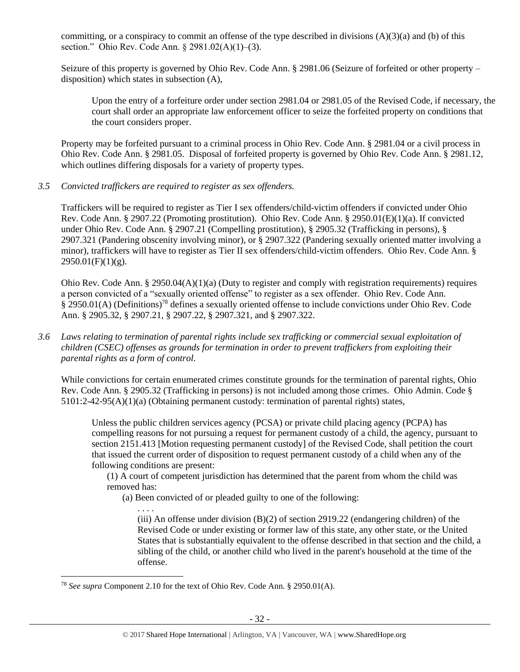committing, or a conspiracy to commit an offense of the type described in divisions  $(A)(3)(a)$  and  $(b)$  of this section." Ohio Rev. Code Ann. § 2981.02(A)(1)–(3).

Seizure of this property is governed by Ohio Rev. Code Ann. § 2981.06 (Seizure of forfeited or other property – disposition) which states in subsection (A),

Upon the entry of a forfeiture order under section 2981.04 or 2981.05 of the Revised Code, if necessary, the court shall order an appropriate law enforcement officer to seize the forfeited property on conditions that the court considers proper.

Property may be forfeited pursuant to a criminal process in Ohio Rev. Code Ann. § 2981.04 or a civil process in Ohio Rev. Code Ann. § 2981.05. Disposal of forfeited property is governed by Ohio Rev. Code Ann. § 2981.12, which outlines differing disposals for a variety of property types.

*3.5 Convicted traffickers are required to register as sex offenders.*

Traffickers will be required to register as Tier I sex offenders/child-victim offenders if convicted under Ohio Rev. Code Ann. § 2907.22 (Promoting prostitution). Ohio Rev. Code Ann. § 2950.01(E)(1)(a). If convicted under Ohio Rev. Code Ann. § 2907.21 (Compelling prostitution), § 2905.32 (Trafficking in persons), § 2907.321 (Pandering obscenity involving minor), or § 2907.322 (Pandering sexually oriented matter involving a minor), traffickers will have to register as Tier II sex offenders/child-victim offenders. Ohio Rev. Code Ann. §  $2950.01(F)(1)(g)$ .

Ohio Rev. Code Ann. § 2950.04(A)(1)(a) (Duty to register and comply with registration requirements) requires a person convicted of a "sexually oriented offense" to register as a sex offender. Ohio Rev. Code Ann. § 2950.01(A) (Definitions)<sup>78</sup> defines a sexually oriented offense to include convictions under Ohio Rev. Code Ann. § 2905.32, § 2907.21, § 2907.22, § 2907.321, and § 2907.322.

*3.6 Laws relating to termination of parental rights include sex trafficking or commercial sexual exploitation of children (CSEC) offenses as grounds for termination in order to prevent traffickers from exploiting their parental rights as a form of control.* 

While convictions for certain enumerated crimes constitute grounds for the termination of parental rights, Ohio Rev. Code Ann. § 2905.32 (Trafficking in persons) is not included among those crimes. Ohio Admin. Code § 5101:2-42-95(A)(1)(a) (Obtaining permanent custody: termination of parental rights) states,

Unless the public children services agency (PCSA) or private child placing agency (PCPA) has compelling reasons for not pursuing a request for permanent custody of a child, the agency, pursuant to section 2151.413 [Motion requesting permanent custody] of the Revised Code, shall petition the court that issued the current order of disposition to request permanent custody of a child when any of the following conditions are present:

(1) A court of competent jurisdiction has determined that the parent from whom the child was removed has:

(a) Been convicted of or pleaded guilty to one of the following:

. . . . (iii) An offense under division  $(B)(2)$  of section 2919.22 (endangering children) of the Revised Code or under existing or former law of this state, any other state, or the United States that is substantially equivalent to the offense described in that section and the child, a sibling of the child, or another child who lived in the parent's household at the time of the offense.

 $\overline{\phantom{a}}$ 

<sup>78</sup> *See supra* Component 2.10 for the text of Ohio Rev. Code Ann. § 2950.01(A).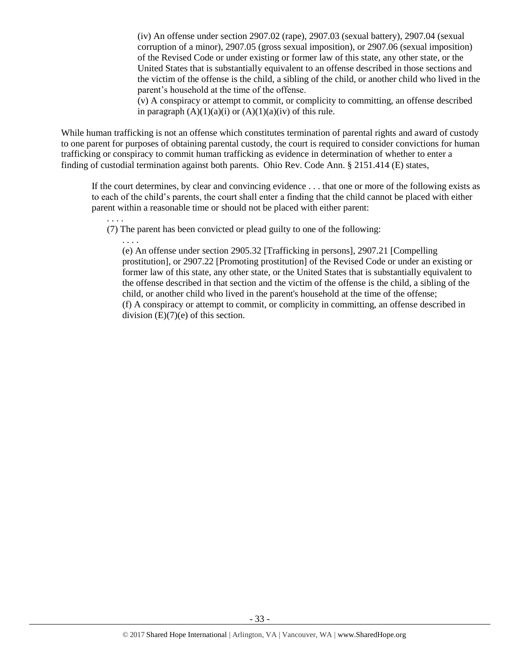(iv) An offense under section 2907.02 (rape), 2907.03 (sexual battery), 2907.04 (sexual corruption of a minor), 2907.05 (gross sexual imposition), or 2907.06 (sexual imposition) of the Revised Code or under existing or former law of this state, any other state, or the United States that is substantially equivalent to an offense described in those sections and the victim of the offense is the child, a sibling of the child, or another child who lived in the parent's household at the time of the offense.

(v) A conspiracy or attempt to commit, or complicity to committing, an offense described in paragraph  $(A)(1)(a)(i)$  or  $(A)(1)(a)(iv)$  of this rule.

While human trafficking is not an offense which constitutes termination of parental rights and award of custody to one parent for purposes of obtaining parental custody, the court is required to consider convictions for human trafficking or conspiracy to commit human trafficking as evidence in determination of whether to enter a finding of custodial termination against both parents. Ohio Rev. Code Ann. § 2151.414 (E) states,

If the court determines, by clear and convincing evidence . . . that one or more of the following exists as to each of the child's parents, the court shall enter a finding that the child cannot be placed with either parent within a reasonable time or should not be placed with either parent: . . . .

(7) The parent has been convicted or plead guilty to one of the following:

. . . .

(e) An offense under section 2905.32 [Trafficking in persons], 2907.21 [Compelling prostitution], or 2907.22 [Promoting prostitution] of the Revised Code or under an existing or former law of this state, any other state, or the United States that is substantially equivalent to the offense described in that section and the victim of the offense is the child, a sibling of the child, or another child who lived in the parent's household at the time of the offense; (f) A conspiracy or attempt to commit, or complicity in committing, an offense described in division  $(E)(7)(e)$  of this section.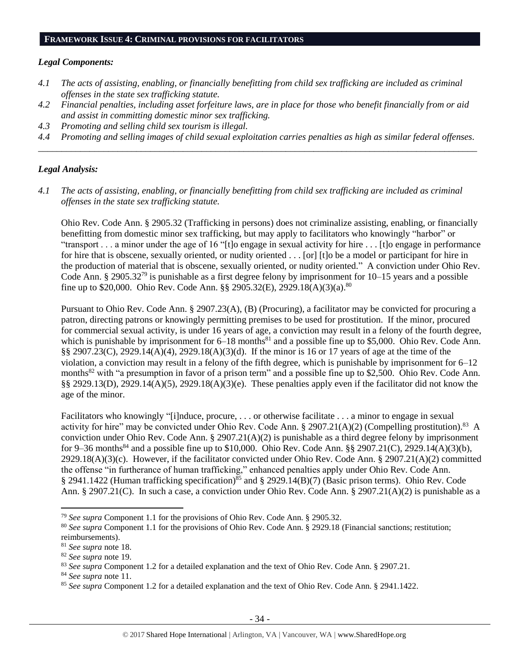#### **FRAMEWORK ISSUE 4: CRIMINAL PROVISIONS FOR FACILITATORS**

## *Legal Components:*

- *4.1 The acts of assisting, enabling, or financially benefitting from child sex trafficking are included as criminal offenses in the state sex trafficking statute.*
- *4.2 Financial penalties, including asset forfeiture laws, are in place for those who benefit financially from or aid and assist in committing domestic minor sex trafficking.*
- *4.3 Promoting and selling child sex tourism is illegal.*
- *4.4 Promoting and selling images of child sexual exploitation carries penalties as high as similar federal offenses. \_\_\_\_\_\_\_\_\_\_\_\_\_\_\_\_\_\_\_\_\_\_\_\_\_\_\_\_\_\_\_\_\_\_\_\_\_\_\_\_\_\_\_\_\_\_\_\_\_\_\_\_\_\_\_\_\_\_\_\_\_\_\_\_\_\_\_\_\_\_\_\_\_\_\_\_\_\_\_\_\_\_\_\_\_\_\_\_\_\_\_\_\_\_*

## *Legal Analysis:*

*4.1 The acts of assisting, enabling, or financially benefitting from child sex trafficking are included as criminal offenses in the state sex trafficking statute.*

Ohio Rev. Code Ann. § 2905.32 (Trafficking in persons) does not criminalize assisting, enabling, or financially benefitting from domestic minor sex trafficking, but may apply to facilitators who knowingly "harbor" or "transport . . . a minor under the age of 16 "[t]o engage in sexual activity for hire . . . [t]o engage in performance for hire that is obscene, sexually oriented, or nudity oriented . . . [or] [t]o be a model or participant for hire in the production of material that is obscene, sexually oriented, or nudity oriented." A conviction under Ohio Rev. Code Ann. § 2905.32<sup>79</sup> is punishable as a first degree felony by imprisonment for 10–15 years and a possible fine up to \$20,000. Ohio Rev. Code Ann. §§ 2905.32(E), 2929.18(A)(3)(a).<sup>80</sup>

Pursuant to Ohio Rev. Code Ann. § 2907.23(A), (B) (Procuring), a facilitator may be convicted for procuring a patron, directing patrons or knowingly permitting premises to be used for prostitution. If the minor, procured for commercial sexual activity, is under 16 years of age, a conviction may result in a felony of the fourth degree, which is punishable by imprisonment for  $6-18$  months<sup>81</sup> and a possible fine up to \$5,000. Ohio Rev. Code Ann. §§ 2907.23(C), 2929.14(A)(4), 2929.18(A)(3)(d). If the minor is 16 or 17 years of age at the time of the violation, a conviction may result in a felony of the fifth degree, which is punishable by imprisonment for 6–12 months<sup>82</sup> with "a presumption in favor of a prison term" and a possible fine up to \$2,500. Ohio Rev. Code Ann. §§ 2929.13(D), 2929.14(A)(5), 2929.18(A)(3)(e). These penalties apply even if the facilitator did not know the age of the minor.

Facilitators who knowingly "[i]nduce, procure, . . . or otherwise facilitate . . . a minor to engage in sexual activity for hire" may be convicted under Ohio Rev. Code Ann. § 2907.21(A)(2) (Compelling prostitution).<sup>83</sup> A conviction under Ohio Rev. Code Ann. § 2907.21(A)(2) is punishable as a third degree felony by imprisonment for 9–36 months<sup>84</sup> and a possible fine up to \$10,000. Ohio Rev. Code Ann. §§ 2907.21(C), 2929.14(A)(3)(b), 2929.18(A)(3)(c). However, if the facilitator convicted under Ohio Rev. Code Ann. § 2907.21(A)(2) committed the offense "in furtherance of human trafficking," enhanced penalties apply under Ohio Rev. Code Ann. § 2941.1422 (Human trafficking specification)<sup>85</sup> and § 2929.14(B)(7) (Basic prison terms). Ohio Rev. Code Ann. § 2907.21(C). In such a case, a conviction under Ohio Rev. Code Ann. § 2907.21(A)(2) is punishable as a

 $\overline{\phantom{a}}$ 

<sup>79</sup> *See supra* Component 1.1 for the provisions of Ohio Rev. Code Ann. § 2905.32.

<sup>&</sup>lt;sup>80</sup> See supra Component 1.1 for the provisions of Ohio Rev. Code Ann. § 2929.18 (Financial sanctions; restitution; reimbursements).

<sup>81</sup> *See supra* note [18.](#page-7-1)

<sup>82</sup> *See supra* note [19.](#page-7-0)

<sup>83</sup> *See supra* Component 1.2 for a detailed explanation and the text of Ohio Rev. Code Ann. § 2907.21.

<sup>84</sup> *See supra* note [11.](#page-4-1)

<sup>85</sup> *See supra* Component 1.2 for a detailed explanation and the text of Ohio Rev. Code Ann. § 2941.1422.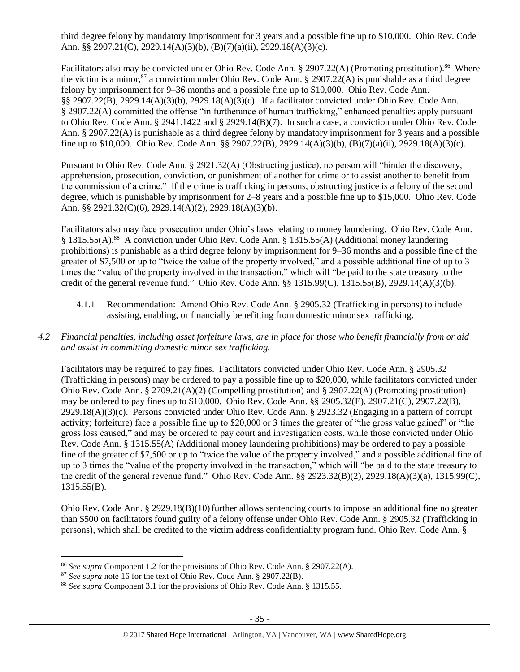third degree felony by mandatory imprisonment for 3 years and a possible fine up to \$10,000. Ohio Rev. Code Ann. §§ 2907.21(C), 2929.14(A)(3)(b), (B)(7)(a)(ii), 2929.18(A)(3)(c).

Facilitators also may be convicted under Ohio Rev. Code Ann. § 2907.22(A) (Promoting prostitution).<sup>86</sup> Where the victim is a minor,<sup>87</sup> a conviction under Ohio Rev. Code Ann. § 2907.22(A) is punishable as a third degree felony by imprisonment for 9–36 months and a possible fine up to \$10,000. Ohio Rev. Code Ann. §§ 2907.22(B), 2929.14(A)(3)(b), 2929.18(A)(3)(c). If a facilitator convicted under Ohio Rev. Code Ann. § 2907.22(A) committed the offense "in furtherance of human trafficking," enhanced penalties apply pursuant to Ohio Rev. Code Ann. § 2941.1422 and § 2929.14(B)(7). In such a case, a conviction under Ohio Rev. Code Ann. § 2907.22(A) is punishable as a third degree felony by mandatory imprisonment for 3 years and a possible fine up to \$10,000. Ohio Rev. Code Ann. §§ 2907.22(B), 2929.14(A)(3)(b), (B)(7)(a)(ii), 2929.18(A)(3)(c).

Pursuant to Ohio Rev. Code Ann. § 2921.32(A) (Obstructing justice), no person will "hinder the discovery, apprehension, prosecution, conviction, or punishment of another for crime or to assist another to benefit from the commission of a crime." If the crime is trafficking in persons, obstructing justice is a felony of the second degree, which is punishable by imprisonment for 2–8 years and a possible fine up to \$15,000. Ohio Rev. Code Ann. §§ 2921.32(C)(6), 2929.14(A)(2), 2929.18(A)(3)(b).

Facilitators also may face prosecution under Ohio's laws relating to money laundering. Ohio Rev. Code Ann. § 1315.55(A).<sup>88</sup> A conviction under Ohio Rev. Code Ann. § 1315.55(A) (Additional money laundering prohibitions) is punishable as a third degree felony by imprisonment for 9–36 months and a possible fine of the greater of \$7,500 or up to "twice the value of the property involved," and a possible additional fine of up to 3 times the "value of the property involved in the transaction," which will "be paid to the state treasury to the credit of the general revenue fund." Ohio Rev. Code Ann. §§ 1315.99(C), 1315.55(B), 2929.14(A)(3)(b).

- 4.1.1 Recommendation: Amend Ohio Rev. Code Ann. § 2905.32 (Trafficking in persons) to include assisting, enabling, or financially benefitting from domestic minor sex trafficking.
- *4.2 Financial penalties, including asset forfeiture laws, are in place for those who benefit financially from or aid and assist in committing domestic minor sex trafficking.*

Facilitators may be required to pay fines. Facilitators convicted under Ohio Rev. Code Ann. § 2905.32 (Trafficking in persons) may be ordered to pay a possible fine up to \$20,000, while facilitators convicted under Ohio Rev. Code Ann. § 2709.21(A)(2) (Compelling prostitution) and § 2907.22(A) (Promoting prostitution) may be ordered to pay fines up to \$10,000. Ohio Rev. Code Ann. §§ 2905.32(E), 2907.21(C), 2907.22(B), 2929.18(A)(3)(c). Persons convicted under Ohio Rev. Code Ann. § 2923.32 (Engaging in a pattern of corrupt activity; forfeiture) face a possible fine up to \$20,000 or 3 times the greater of "the gross value gained" or "the gross loss caused," and may be ordered to pay court and investigation costs, while those convicted under Ohio Rev. Code Ann. § 1315.55(A) (Additional money laundering prohibitions) may be ordered to pay a possible fine of the greater of \$7,500 or up to "twice the value of the property involved," and a possible additional fine of up to 3 times the "value of the property involved in the transaction," which will "be paid to the state treasury to the credit of the general revenue fund." Ohio Rev. Code Ann. §§ 2923.32(B)(2), 2929.18(A)(3)(a), 1315.99(C), 1315.55(B).

Ohio Rev. Code Ann. § 2929.18(B)(10) further allows sentencing courts to impose an additional fine no greater than \$500 on facilitators found guilty of a felony offense under Ohio Rev. Code Ann. § 2905.32 (Trafficking in persons), which shall be credited to the victim address confidentiality program fund. Ohio Rev. Code Ann. §

 $\overline{\phantom{a}}$ 

<sup>86</sup> *See supra* Component 1.2 for the provisions of Ohio Rev. Code Ann. § 2907.22(A).

<sup>87</sup> *See supra* note [16](#page-6-1) for the text of Ohio Rev. Code Ann. § 2907.22(B).

<sup>88</sup> *See supra* Component 3.1 for the provisions of Ohio Rev. Code Ann. § 1315.55.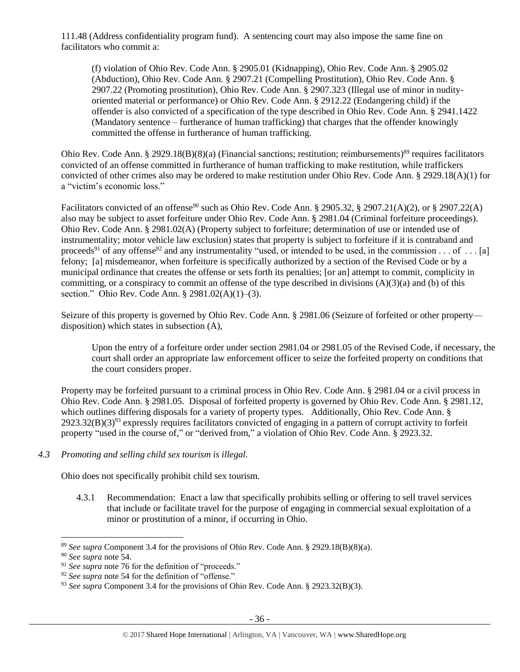111.48 (Address confidentiality program fund). A sentencing court may also impose the same fine on facilitators who commit a:

(f) violation of Ohio Rev. Code Ann. § 2905.01 (Kidnapping), Ohio Rev. Code Ann. § 2905.02 (Abduction), Ohio Rev. Code Ann. § 2907.21 (Compelling Prostitution), Ohio Rev. Code Ann. § 2907.22 (Promoting prostitution), Ohio Rev. Code Ann. § 2907.323 (Illegal use of minor in nudityoriented material or performance) or Ohio Rev. Code Ann. § 2912.22 (Endangering child) if the offender is also convicted of a specification of the type described in Ohio Rev. Code Ann. § 2941.1422 (Mandatory sentence – furtherance of human trafficking) that charges that the offender knowingly committed the offense in furtherance of human trafficking.

Ohio Rev. Code Ann. § 2929.18(B)(8)(a) (Financial sanctions; restitution; reimbursements)<sup>89</sup> requires facilitators convicted of an offense committed in furtherance of human trafficking to make restitution, while traffickers convicted of other crimes also may be ordered to make restitution under Ohio Rev. Code Ann. § 2929.18(A)(1) for a "victim's economic loss."

Facilitators convicted of an offense<sup>90</sup> such as Ohio Rev. Code Ann. § 2905.32, § 2907.21(A)(2), or § 2907.22(A) also may be subject to asset forfeiture under Ohio Rev. Code Ann. § 2981.04 (Criminal forfeiture proceedings). Ohio Rev. Code Ann. § 2981.02(A) (Property subject to forfeiture; determination of use or intended use of instrumentality; motor vehicle law exclusion) states that property is subject to forfeiture if it is contraband and proceeds<sup>91</sup> of any offense<sup>92</sup> and any instrumentality "used, or intended to be used, in the commission . . . of . . . [a] felony; [a] misdemeanor, when forfeiture is specifically authorized by a section of the Revised Code or by a municipal ordinance that creates the offense or sets forth its penalties; [or an] attempt to commit, complicity in committing, or a conspiracy to commit an offense of the type described in divisions  $(A)(3)(a)$  and (b) of this section." Ohio Rev. Code Ann. § 2981.02(A)(1)–(3).

Seizure of this property is governed by Ohio Rev. Code Ann. § 2981.06 (Seizure of forfeited or other property disposition) which states in subsection (A),

Upon the entry of a forfeiture order under section 2981.04 or 2981.05 of the Revised Code, if necessary, the court shall order an appropriate law enforcement officer to seize the forfeited property on conditions that the court considers proper.

Property may be forfeited pursuant to a criminal process in Ohio Rev. Code Ann. § 2981.04 or a civil process in Ohio Rev. Code Ann. § 2981.05. Disposal of forfeited property is governed by Ohio Rev. Code Ann. § 2981.12, which outlines differing disposals for a variety of property types. Additionally, Ohio Rev. Code Ann. §  $2923.32(B)(3)^{93}$  expressly requires facilitators convicted of engaging in a pattern of corrupt activity to forfeit property "used in the course of," or "derived from," a violation of Ohio Rev. Code Ann. § 2923.32.

*4.3 Promoting and selling child sex tourism is illegal.*

Ohio does not specifically prohibit child sex tourism.

4.3.1 Recommendation: Enact a law that specifically prohibits selling or offering to sell travel services that include or facilitate travel for the purpose of engaging in commercial sexual exploitation of a minor or prostitution of a minor, if occurring in Ohio.

l

<sup>89</sup> *See supra* Component 3.4 for the provisions of Ohio Rev. Code Ann. § 2929.18(B)(8)(a).

<sup>90</sup> *See supra* note [54.](#page-21-0)

<sup>91</sup> *See supra* note [76](#page-30-0) for the definition of "proceeds."

<sup>92</sup> *See supra* note [54](#page-21-0) for the definition of "offense."

<sup>93</sup> *See supra* Component 3.4 for the provisions of Ohio Rev. Code Ann. § 2923.32(B)(3).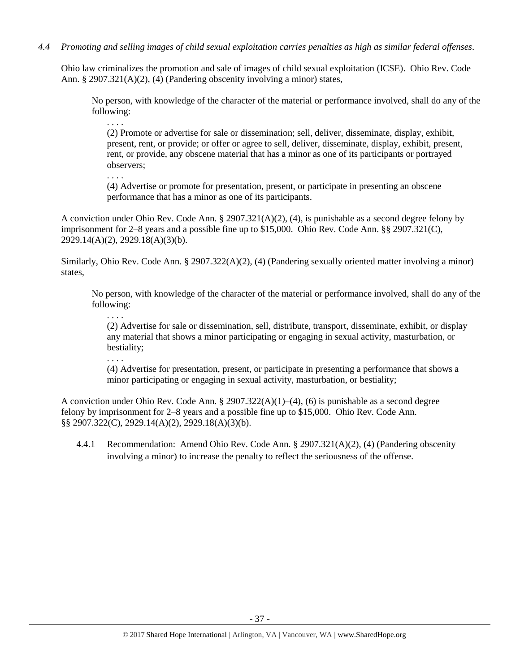*4.4 Promoting and selling images of child sexual exploitation carries penalties as high as similar federal offenses.*

. . . .

. . . .

. . . .

. . . .

Ohio law criminalizes the promotion and sale of images of child sexual exploitation (ICSE). Ohio Rev. Code Ann. § 2907.321(A)(2), (4) (Pandering obscenity involving a minor) states,

No person, with knowledge of the character of the material or performance involved, shall do any of the following:

(2) Promote or advertise for sale or dissemination; sell, deliver, disseminate, display, exhibit, present, rent, or provide; or offer or agree to sell, deliver, disseminate, display, exhibit, present, rent, or provide, any obscene material that has a minor as one of its participants or portrayed observers;

(4) Advertise or promote for presentation, present, or participate in presenting an obscene performance that has a minor as one of its participants.

A conviction under Ohio Rev. Code Ann. § 2907.321(A)(2), (4), is punishable as a second degree felony by imprisonment for 2–8 years and a possible fine up to \$15,000. Ohio Rev. Code Ann. §§ 2907.321(C), 2929.14(A)(2), 2929.18(A)(3)(b).

Similarly, Ohio Rev. Code Ann. § 2907.322(A)(2), (4) (Pandering sexually oriented matter involving a minor) states,

No person, with knowledge of the character of the material or performance involved, shall do any of the following:

(2) Advertise for sale or dissemination, sell, distribute, transport, disseminate, exhibit, or display any material that shows a minor participating or engaging in sexual activity, masturbation, or bestiality;

(4) Advertise for presentation, present, or participate in presenting a performance that shows a minor participating or engaging in sexual activity, masturbation, or bestiality;

A conviction under Ohio Rev. Code Ann. § 2907.322(A)(1)–(4), (6) is punishable as a second degree felony by imprisonment for 2–8 years and a possible fine up to \$15,000. Ohio Rev. Code Ann. §§ 2907.322(C), 2929.14(A)(2), 2929.18(A)(3)(b).

4.4.1 Recommendation: Amend Ohio Rev. Code Ann. § 2907.321(A)(2), (4) (Pandering obscenity involving a minor) to increase the penalty to reflect the seriousness of the offense.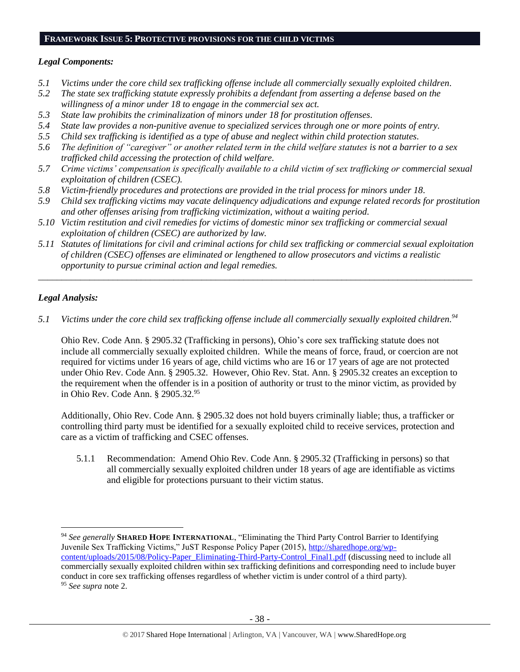## **FRAMEWORK ISSUE 5: PROTECTIVE PROVISIONS FOR THE CHILD VICTIMS**

## *Legal Components:*

- *5.1 Victims under the core child sex trafficking offense include all commercially sexually exploited children.*
- *5.2 The state sex trafficking statute expressly prohibits a defendant from asserting a defense based on the willingness of a minor under 18 to engage in the commercial sex act.*
- *5.3 State law prohibits the criminalization of minors under 18 for prostitution offenses.*
- *5.4 State law provides a non-punitive avenue to specialized services through one or more points of entry.*
- *5.5 Child sex trafficking is identified as a type of abuse and neglect within child protection statutes.*
- *5.6 The definition of "caregiver" or another related term in the child welfare statutes is not a barrier to a sex trafficked child accessing the protection of child welfare.*
- *5.7 Crime victims' compensation is specifically available to a child victim of sex trafficking or commercial sexual exploitation of children (CSEC).*
- *5.8 Victim-friendly procedures and protections are provided in the trial process for minors under 18.*
- *5.9 Child sex trafficking victims may vacate delinquency adjudications and expunge related records for prostitution and other offenses arising from trafficking victimization, without a waiting period.*
- *5.10 Victim restitution and civil remedies for victims of domestic minor sex trafficking or commercial sexual exploitation of children (CSEC) are authorized by law.*
- *5.11 Statutes of limitations for civil and criminal actions for child sex trafficking or commercial sexual exploitation of children (CSEC) offenses are eliminated or lengthened to allow prosecutors and victims a realistic opportunity to pursue criminal action and legal remedies.*

*\_\_\_\_\_\_\_\_\_\_\_\_\_\_\_\_\_\_\_\_\_\_\_\_\_\_\_\_\_\_\_\_\_\_\_\_\_\_\_\_\_\_\_\_\_\_\_\_\_\_\_\_\_\_\_\_\_\_\_\_\_\_\_\_\_\_\_\_\_\_\_\_\_\_\_\_\_\_\_\_\_\_\_\_\_\_\_\_\_\_\_\_\_*

# *Legal Analysis:*

 $\overline{\phantom{a}}$ 

*5.1 Victims under the core child sex trafficking offense include all commercially sexually exploited children. 94*

Ohio Rev. Code Ann. § 2905.32 (Trafficking in persons), Ohio's core sex trafficking statute does not include all commercially sexually exploited children. While the means of force, fraud, or coercion are not required for victims under 16 years of age, child victims who are 16 or 17 years of age are not protected under Ohio Rev. Code Ann. § 2905.32. However, Ohio Rev. Stat. Ann. § 2905.32 creates an exception to the requirement when the offender is in a position of authority or trust to the minor victim, as provided by in Ohio Rev. Code Ann. § 2905.32.95

Additionally, Ohio Rev. Code Ann. § 2905.32 does not hold buyers criminally liable; thus, a trafficker or controlling third party must be identified for a sexually exploited child to receive services, protection and care as a victim of trafficking and CSEC offenses.

5.1.1 Recommendation: Amend Ohio Rev. Code Ann. § 2905.32 (Trafficking in persons) so that all commercially sexually exploited children under 18 years of age are identifiable as victims and eligible for protections pursuant to their victim status.

<sup>94</sup> *See generally* **SHARED HOPE INTERNATIONAL**, "Eliminating the Third Party Control Barrier to Identifying Juvenile Sex Trafficking Victims," JuST Response Policy Paper (2015), [http://sharedhope.org/wp](http://sharedhope.org/wp-content/uploads/2015/08/Policy-Paper_Eliminating-Third-Party-Control_Final1.pdf)[content/uploads/2015/08/Policy-Paper\\_Eliminating-Third-Party-Control\\_Final1.pdf](http://sharedhope.org/wp-content/uploads/2015/08/Policy-Paper_Eliminating-Third-Party-Control_Final1.pdf) (discussing need to include all commercially sexually exploited children within sex trafficking definitions and corresponding need to include buyer conduct in core sex trafficking offenses regardless of whether victim is under control of a third party). <sup>95</sup> *See supra* note [2.](#page-0-0)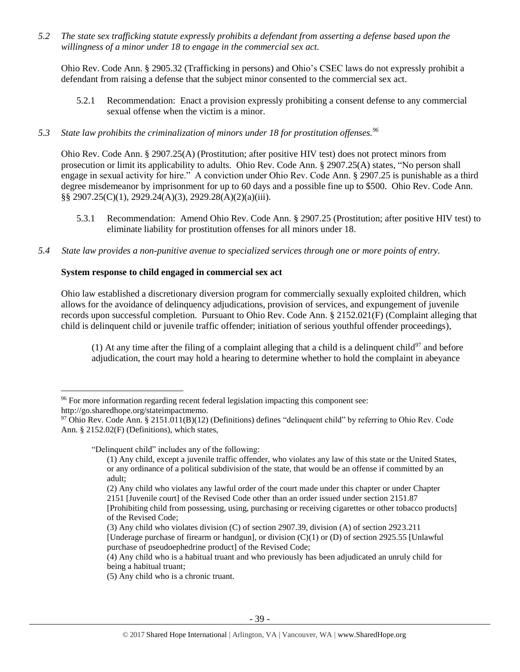*5.2 The state sex trafficking statute expressly prohibits a defendant from asserting a defense based upon the willingness of a minor under 18 to engage in the commercial sex act.* 

Ohio Rev. Code Ann. § 2905.32 (Trafficking in persons) and Ohio's CSEC laws do not expressly prohibit a defendant from raising a defense that the subject minor consented to the commercial sex act.

- 5.2.1 Recommendation: Enact a provision expressly prohibiting a consent defense to any commercial sexual offense when the victim is a minor.
- *5.3 State law prohibits the criminalization of minors under 18 for prostitution offenses.<sup>96</sup>*

Ohio Rev. Code Ann. § 2907.25(A) (Prostitution; after positive HIV test) does not protect minors from prosecution or limit its applicability to adults. Ohio Rev. Code Ann. § 2907.25(A) states, "No person shall engage in sexual activity for hire." A conviction under Ohio Rev. Code Ann. § 2907.25 is punishable as a third degree misdemeanor by imprisonment for up to 60 days and a possible fine up to \$500. Ohio Rev. Code Ann. §§ 2907.25(C)(1), 2929.24(A)(3), 2929.28(A)(2)(a)(iii).

- 5.3.1 Recommendation: Amend Ohio Rev. Code Ann. § 2907.25 (Prostitution; after positive HIV test) to eliminate liability for prostitution offenses for all minors under 18.
- *5.4 State law provides a non-punitive avenue to specialized services through one or more points of entry.*

## **System response to child engaged in commercial sex act**

Ohio law established a discretionary diversion program for commercially sexually exploited children, which allows for the avoidance of delinquency adjudications, provision of services, and expungement of juvenile records upon successful completion. Pursuant to Ohio Rev. Code Ann. § 2152.021(F) (Complaint alleging that child is delinquent child or juvenile traffic offender; initiation of serious youthful offender proceedings),

(1) At any time after the filing of a complaint alleging that a child is a delinquent child<sup>97</sup> and before adjudication, the court may hold a hearing to determine whether to hold the complaint in abeyance

"Delinquent child" includes any of the following:

l

<sup>96</sup> For more information regarding recent federal legislation impacting this component see: http://go.sharedhope.org/stateimpactmemo.

<sup>&</sup>lt;sup>97</sup> Ohio Rev. Code Ann. § 2151.011(B)(12) (Definitions) defines "delinquent child" by referring to Ohio Rev. Code Ann. § 2152.02(F) (Definitions), which states,

<sup>(1)</sup> Any child, except a juvenile traffic offender, who violates any law of this state or the United States, or any ordinance of a political subdivision of the state, that would be an offense if committed by an adult;

<sup>(2)</sup> Any child who violates any lawful order of the court made under this chapter or under Chapter 2151 [Juvenile court] of the Revised Code other than an order issued under section 2151.87

<sup>[</sup>Prohibiting child from possessing, using, purchasing or receiving cigarettes or other tobacco products] of the Revised Code;

<sup>(3)</sup> Any child who violates division (C) of section 2907.39, division (A) of section 2923.211 [Underage purchase of firearm or handgun], or division (C)(1) or (D) of section 2925.55 [Unlawful purchase of pseudoephedrine product] of the Revised Code;

<sup>(4)</sup> Any child who is a habitual truant and who previously has been adjudicated an unruly child for being a habitual truant;

<sup>(5)</sup> Any child who is a chronic truant.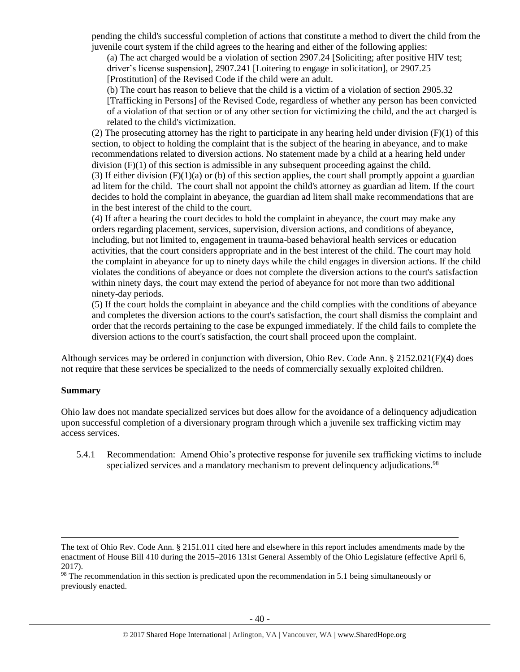pending the child's successful completion of actions that constitute a method to divert the child from the juvenile court system if the child agrees to the hearing and either of the following applies:

(a) The act charged would be a violation of section 2907.24 [Soliciting; after positive HIV test; driver's license suspension], 2907.241 [Loitering to engage in solicitation], or 2907.25 [Prostitution] of the Revised Code if the child were an adult.

(b) The court has reason to believe that the child is a victim of a violation of section 2905.32

[Trafficking in Persons] of the Revised Code, regardless of whether any person has been convicted of a violation of that section or of any other section for victimizing the child, and the act charged is related to the child's victimization.

(2) The prosecuting attorney has the right to participate in any hearing held under division  $(F)(1)$  of this section, to object to holding the complaint that is the subject of the hearing in abeyance, and to make recommendations related to diversion actions. No statement made by a child at a hearing held under division  $(F)(1)$  of this section is admissible in any subsequent proceeding against the child.

(3) If either division  $(F)(1)(a)$  or (b) of this section applies, the court shall promptly appoint a guardian ad litem for the child. The court shall not appoint the child's attorney as guardian ad litem. If the court decides to hold the complaint in abeyance, the guardian ad litem shall make recommendations that are in the best interest of the child to the court.

(4) If after a hearing the court decides to hold the complaint in abeyance, the court may make any orders regarding placement, services, supervision, diversion actions, and conditions of abeyance, including, but not limited to, engagement in trauma-based behavioral health services or education activities, that the court considers appropriate and in the best interest of the child. The court may hold the complaint in abeyance for up to ninety days while the child engages in diversion actions. If the child violates the conditions of abeyance or does not complete the diversion actions to the court's satisfaction within ninety days, the court may extend the period of abeyance for not more than two additional ninety-day periods.

(5) If the court holds the complaint in abeyance and the child complies with the conditions of abeyance and completes the diversion actions to the court's satisfaction, the court shall dismiss the complaint and order that the records pertaining to the case be expunged immediately. If the child fails to complete the diversion actions to the court's satisfaction, the court shall proceed upon the complaint.

Although services may be ordered in conjunction with diversion, Ohio Rev. Code Ann. § 2152.021(F)(4) does not require that these services be specialized to the needs of commercially sexually exploited children.

## **Summary**

l

Ohio law does not mandate specialized services but does allow for the avoidance of a delinquency adjudication upon successful completion of a diversionary program through which a juvenile sex trafficking victim may access services.

5.4.1 Recommendation: Amend Ohio's protective response for juvenile sex trafficking victims to include specialized services and a mandatory mechanism to prevent delinquency adjudications.<sup>98</sup>

<sup>98</sup> The recommendation in this section is predicated upon the recommendation in 5.1 being simultaneously or previously enacted.

The text of Ohio Rev. Code Ann. § 2151.011 cited here and elsewhere in this report includes amendments made by the enactment of House Bill 410 during the 2015–2016 131st General Assembly of the Ohio Legislature (effective April 6, 2017).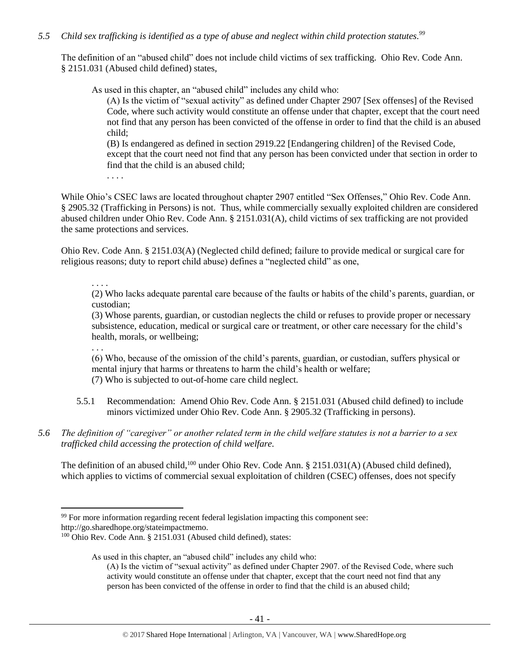# *5.5 Child sex trafficking is identified as a type of abuse and neglect within child protection statutes. 99*

The definition of an "abused child" does not include child victims of sex trafficking. Ohio Rev. Code Ann. § 2151.031 (Abused child defined) states,

As used in this chapter, an "abused child" includes any child who:

(A) Is the victim of "sexual activity" as defined under Chapter 2907 [Sex offenses] of the Revised Code, where such activity would constitute an offense under that chapter, except that the court need not find that any person has been convicted of the offense in order to find that the child is an abused child;

(B) Is endangered as defined in section 2919.22 [Endangering children] of the Revised Code, except that the court need not find that any person has been convicted under that section in order to find that the child is an abused child;

. . . .

While Ohio's CSEC laws are located throughout chapter 2907 entitled "Sex Offenses," Ohio Rev. Code Ann. § 2905.32 (Trafficking in Persons) is not. Thus, while commercially sexually exploited children are considered abused children under Ohio Rev. Code Ann. § 2151.031(A), child victims of sex trafficking are not provided the same protections and services.

Ohio Rev. Code Ann. § 2151.03(A) (Neglected child defined; failure to provide medical or surgical care for religious reasons; duty to report child abuse) defines a "neglected child" as one,

. . . .

(2) Who lacks adequate parental care because of the faults or habits of the child's parents, guardian, or custodian;

(3) Whose parents, guardian, or custodian neglects the child or refuses to provide proper or necessary subsistence, education, medical or surgical care or treatment, or other care necessary for the child's health, morals, or wellbeing;

. . .

 $\overline{\phantom{a}}$ 

(6) Who, because of the omission of the child's parents, guardian, or custodian, suffers physical or mental injury that harms or threatens to harm the child's health or welfare; (7) Who is subjected to out-of-home care child neglect.

- 5.5.1 Recommendation: Amend Ohio Rev. Code Ann. § 2151.031 (Abused child defined) to include minors victimized under Ohio Rev. Code Ann. § 2905.32 (Trafficking in persons).
- *5.6 The definition of "caregiver" or another related term in the child welfare statutes is not a barrier to a sex trafficked child accessing the protection of child welfare.*

The definition of an abused child, <sup>100</sup> under Ohio Rev. Code Ann. § 2151.031(A) (Abused child defined), which applies to victims of commercial sexual exploitation of children (CSEC) offenses, does not specify

<sup>&</sup>lt;sup>99</sup> For more information regarding recent federal legislation impacting this component see: http://go.sharedhope.org/stateimpactmemo.

<sup>&</sup>lt;sup>100</sup> Ohio Rev. Code Ann. § 2151.031 (Abused child defined), states:

As used in this chapter, an "abused child" includes any child who:

<sup>(</sup>A) Is the victim of "sexual activity" as defined under Chapter 2907. of the Revised Code, where such activity would constitute an offense under that chapter, except that the court need not find that any person has been convicted of the offense in order to find that the child is an abused child;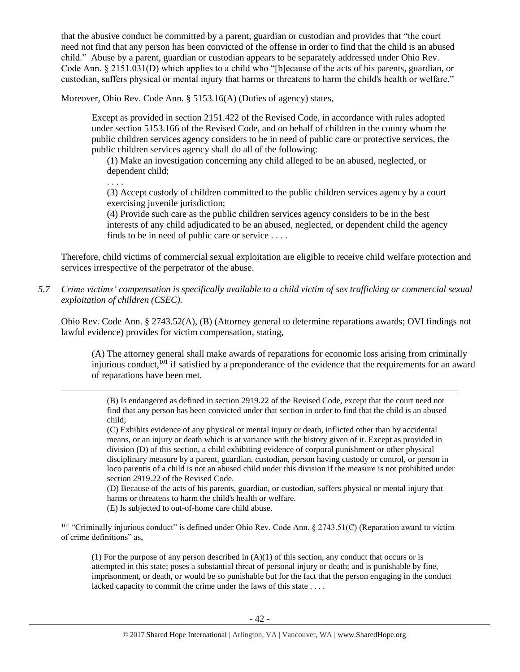that the abusive conduct be committed by a parent, guardian or custodian and provides that "the court need not find that any person has been convicted of the offense in order to find that the child is an abused child." Abuse by a parent, guardian or custodian appears to be separately addressed under Ohio Rev. Code Ann. § 2151.031(D) which applies to a child who "[b]ecause of the acts of his parents, guardian, or custodian, suffers physical or mental injury that harms or threatens to harm the child's health or welfare."

Moreover, Ohio Rev. Code Ann. § 5153.16(A) (Duties of agency) states,

Except as provided in section 2151.422 of the Revised Code, in accordance with rules adopted under section 5153.166 of the Revised Code, and on behalf of children in the county whom the public children services agency considers to be in need of public care or protective services, the public children services agency shall do all of the following:

(1) Make an investigation concerning any child alleged to be an abused, neglected, or dependent child;

. . . .

l

(3) Accept custody of children committed to the public children services agency by a court exercising juvenile jurisdiction;

(4) Provide such care as the public children services agency considers to be in the best interests of any child adjudicated to be an abused, neglected, or dependent child the agency finds to be in need of public care or service . . . .

Therefore, child victims of commercial sexual exploitation are eligible to receive child welfare protection and services irrespective of the perpetrator of the abuse.

*5.7 Crime victims' compensation is specifically available to a child victim of sex trafficking or commercial sexual exploitation of children (CSEC).* 

Ohio Rev. Code Ann. § 2743.52(A), (B) (Attorney general to determine reparations awards; OVI findings not lawful evidence) provides for victim compensation, stating,

(A) The attorney general shall make awards of reparations for economic loss arising from criminally injurious conduct,<sup>101</sup> if satisfied by a preponderance of the evidence that the requirements for an award of reparations have been met.

(B) Is endangered as defined in section 2919.22 of the Revised Code, except that the court need not find that any person has been convicted under that section in order to find that the child is an abused child;

(C) Exhibits evidence of any physical or mental injury or death, inflicted other than by accidental means, or an injury or death which is at variance with the history given of it. Except as provided in division (D) of this section, a child exhibiting evidence of corporal punishment or other physical disciplinary measure by a parent, guardian, custodian, person having custody or control, or person in loco parentis of a child is not an abused child under this division if the measure is not prohibited under section 2919.22 of the Revised Code.

(D) Because of the acts of his parents, guardian, or custodian, suffers physical or mental injury that harms or threatens to harm the child's health or welfare.

(E) Is subjected to out-of-home care child abuse.

<sup>101</sup> "Criminally injurious conduct" is defined under Ohio Rev. Code Ann. § 2743.51(C) (Reparation award to victim of crime definitions" as,

(1) For the purpose of any person described in  $(A)(1)$  of this section, any conduct that occurs or is attempted in this state; poses a substantial threat of personal injury or death; and is punishable by fine, imprisonment, or death, or would be so punishable but for the fact that the person engaging in the conduct lacked capacity to commit the crime under the laws of this state . . . .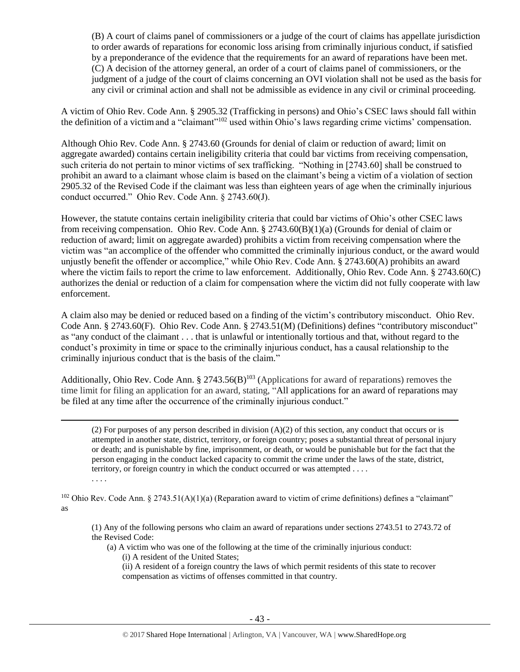(B) A court of claims panel of commissioners or a judge of the court of claims has appellate jurisdiction to order awards of reparations for economic loss arising from criminally injurious conduct, if satisfied by a preponderance of the evidence that the requirements for an award of reparations have been met. (C) A decision of the attorney general, an order of a court of claims panel of commissioners, or the judgment of a judge of the court of claims concerning an OVI violation shall not be used as the basis for any civil or criminal action and shall not be admissible as evidence in any civil or criminal proceeding.

A victim of Ohio Rev. Code Ann. § 2905.32 (Trafficking in persons) and Ohio's CSEC laws should fall within the definition of a victimand a "claimant"<sup>102</sup> used within Ohio's laws regarding crime victims' compensation.

Although Ohio Rev. Code Ann. § 2743.60 (Grounds for denial of claim or reduction of award; limit on aggregate awarded) contains certain ineligibility criteria that could bar victims from receiving compensation, such criteria do not pertain to minor victims of sex trafficking. "Nothing in [2743.60] shall be construed to prohibit an award to a claimant whose claim is based on the claimant's being a victim of a violation of section 2905.32 of the Revised Code if the claimant was less than eighteen years of age when the criminally injurious conduct occurred." Ohio Rev. Code Ann. § 2743.60(J).

However, the statute contains certain ineligibility criteria that could bar victims of Ohio's other CSEC laws from receiving compensation. Ohio Rev. Code Ann. § 2743.60(B)(1)(a) (Grounds for denial of claim or reduction of award; limit on aggregate awarded) prohibits a victim from receiving compensation where the victim was "an accomplice of the offender who committed the criminally injurious conduct, or the award would unjustly benefit the offender or accomplice," while Ohio Rev. Code Ann. § 2743.60(A) prohibits an award where the victim fails to report the crime to law enforcement. Additionally, Ohio Rev. Code Ann. § 2743.60(C) authorizes the denial or reduction of a claim for compensation where the victim did not fully cooperate with law enforcement.

A claim also may be denied or reduced based on a finding of the victim's contributory misconduct. Ohio Rev. Code Ann. § 2743.60(F). Ohio Rev. Code Ann. § 2743.51(M) (Definitions) defines "contributory misconduct" as "any conduct of the claimant . . . that is unlawful or intentionally tortious and that, without regard to the conduct's proximity in time or space to the criminally injurious conduct, has a causal relationship to the criminally injurious conduct that is the basis of the claim."

Additionally, Ohio Rev. Code Ann.  $\S 2743.56(B)^{103}$  (Applications for award of reparations) removes the time limit for filing an application for an award, stating, "All applications for an award of reparations may be filed at any time after the occurrence of the criminally injurious conduct."

l

. . . .

(2) For purposes of any person described in division  $(A)(2)$  of this section, any conduct that occurs or is attempted in another state, district, territory, or foreign country; poses a substantial threat of personal injury or death; and is punishable by fine, imprisonment, or death, or would be punishable but for the fact that the person engaging in the conduct lacked capacity to commit the crime under the laws of the state, district, territory, or foreign country in which the conduct occurred or was attempted . . . .

<sup>102</sup> Ohio Rev. Code Ann. § 2743.51(A)(1)(a) (Reparation award to victim of crime definitions) defines a "claimant" as

(1) Any of the following persons who claim an award of reparations under sections 2743.51 to 2743.72 of the Revised Code:

(a) A victim who was one of the following at the time of the criminally injurious conduct: (i) A resident of the United States;

(ii) A resident of a foreign country the laws of which permit residents of this state to recover compensation as victims of offenses committed in that country.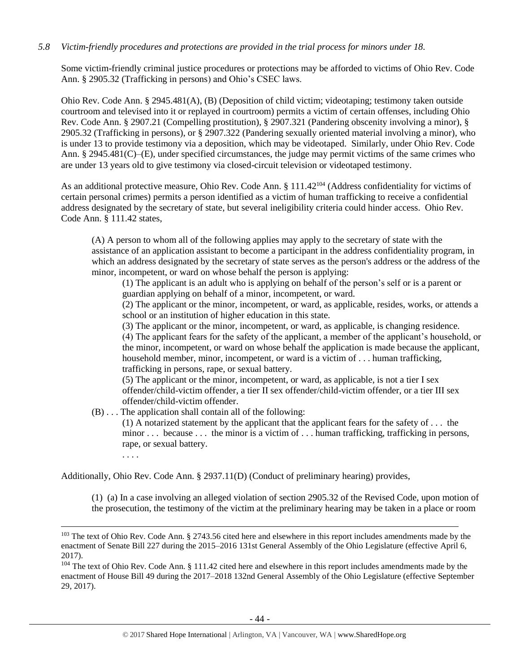# *5.8 Victim-friendly procedures and protections are provided in the trial process for minors under 18.*

Some victim-friendly criminal justice procedures or protections may be afforded to victims of Ohio Rev. Code Ann. § 2905.32 (Trafficking in persons) and Ohio's CSEC laws.

Ohio Rev. Code Ann. § 2945.481(A), (B) (Deposition of child victim; videotaping; testimony taken outside courtroom and televised into it or replayed in courtroom) permits a victim of certain offenses, including Ohio Rev. Code Ann. § 2907.21 (Compelling prostitution), § 2907.321 (Pandering obscenity involving a minor), § 2905.32 (Trafficking in persons), or § 2907.322 (Pandering sexually oriented material involving a minor), who is under 13 to provide testimony via a deposition, which may be videotaped. Similarly, under Ohio Rev. Code Ann. § 2945.481(C)–(E), under specified circumstances, the judge may permit victims of the same crimes who are under 13 years old to give testimony via closed-circuit television or videotaped testimony.

As an additional protective measure, Ohio Rev. Code Ann. § 111.42<sup>104</sup> (Address confidentiality for victims of certain personal crimes) permits a person identified as a victim of human trafficking to receive a confidential address designated by the secretary of state, but several ineligibility criteria could hinder access. Ohio Rev. Code Ann. § 111.42 states,

(A) A person to whom all of the following applies may apply to the secretary of state with the assistance of an application assistant to become a participant in the address confidentiality program, in which an address designated by the secretary of state serves as the person's address or the address of the minor, incompetent, or ward on whose behalf the person is applying:

(1) The applicant is an adult who is applying on behalf of the person's self or is a parent or guardian applying on behalf of a minor, incompetent, or ward.

(2) The applicant or the minor, incompetent, or ward, as applicable, resides, works, or attends a school or an institution of higher education in this state.

(3) The applicant or the minor, incompetent, or ward, as applicable, is changing residence.

(4) The applicant fears for the safety of the applicant, a member of the applicant's household, or the minor, incompetent, or ward on whose behalf the application is made because the applicant, household member, minor, incompetent, or ward is a victim of . . . human trafficking, trafficking in persons, rape, or sexual battery.

(5) The applicant or the minor, incompetent, or ward, as applicable, is not a tier I sex offender/child-victim offender, a tier II sex offender/child-victim offender, or a tier III sex offender/child-victim offender.

(B) . . . The application shall contain all of the following:

(1) A notarized statement by the applicant that the applicant fears for the safety of . . . the minor . . . because . . . the minor is a victim of . . . human trafficking, trafficking in persons, rape, or sexual battery.

. . . .

 $\overline{\phantom{a}}$ 

Additionally, Ohio Rev. Code Ann. § 2937.11(D) (Conduct of preliminary hearing) provides,

(1) (a) In a case involving an alleged violation of section 2905.32 of the Revised Code, upon motion of the prosecution, the testimony of the victim at the preliminary hearing may be taken in a place or room

<sup>&</sup>lt;sup>103</sup> The text of Ohio Rev. Code Ann. § 2743.56 cited here and elsewhere in this report includes amendments made by the enactment of Senate Bill 227 during the 2015–2016 131st General Assembly of the Ohio Legislature (effective April 6, 2017).

<sup>&</sup>lt;sup>104</sup> The text of Ohio Rev. Code Ann. § 111.42 cited here and elsewhere in this report includes amendments made by the enactment of House Bill 49 during the 2017–2018 132nd General Assembly of the Ohio Legislature (effective September 29, 2017).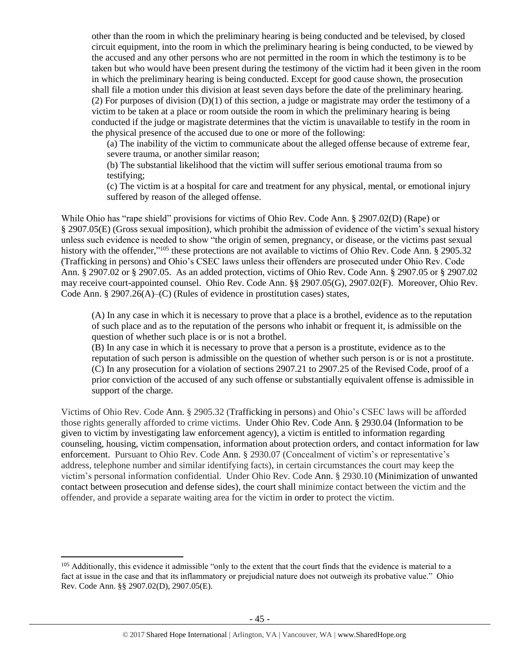other than the room in which the preliminary hearing is being conducted and be televised, by closed circuit equipment, into the room in which the preliminary hearing is being conducted, to be viewed by the accused and any other persons who are not permitted in the room in which the testimony is to be taken but who would have been present during the testimony of the victim had it been given in the room in which the preliminary hearing is being conducted. Except for good cause shown, the prosecution shall file a motion under this division at least seven days before the date of the preliminary hearing. (2) For purposes of division (D)(1) of this section, a judge or magistrate may order the testimony of a victim to be taken at a place or room outside the room in which the preliminary hearing is being conducted if the judge or magistrate determines that the victim is unavailable to testify in the room in the physical presence of the accused due to one or more of the following:

(a) The inability of the victim to communicate about the alleged offense because of extreme fear, severe trauma, or another similar reason;

(b) The substantial likelihood that the victim will suffer serious emotional trauma from so testifying;

(c) The victim is at a hospital for care and treatment for any physical, mental, or emotional injury suffered by reason of the alleged offense.

While Ohio has "rape shield" provisions for victims of Ohio Rev. Code Ann. § 2907.02(D) (Rape) or § 2907.05(E) (Gross sexual imposition), which prohibit the admission of evidence of the victim's sexual history unless such evidence is needed to show "the origin of semen, pregnancy, or disease, or the victims past sexual history with the offender,"<sup>105</sup> these protections are not available to victims of Ohio Rev. Code Ann. § 2905.32 (Trafficking in persons) and Ohio's CSEC laws unless their offenders are prosecuted under Ohio Rev. Code Ann. § 2907.02 or § 2907.05. As an added protection, victims of Ohio Rev. Code Ann. § 2907.05 or § 2907.02 may receive court-appointed counsel. Ohio Rev. Code Ann. §§ 2907.05(G), 2907.02(F). Moreover, Ohio Rev. Code Ann. § 2907.26(A)–(C) (Rules of evidence in prostitution cases) states,

(A) In any case in which it is necessary to prove that a place is a brothel, evidence as to the reputation of such place and as to the reputation of the persons who inhabit or frequent it, is admissible on the question of whether such place is or is not a brothel.

(B) In any case in which it is necessary to prove that a person is a prostitute, evidence as to the reputation of such person is admissible on the question of whether such person is or is not a prostitute. (C) In any prosecution for a violation of sections 2907.21 to 2907.25 of the Revised Code, proof of a prior conviction of the accused of any such offense or substantially equivalent offense is admissible in support of the charge.

Victims of Ohio Rev. Code Ann. § 2905.32 (Trafficking in persons) and Ohio's CSEC laws will be afforded those rights generally afforded to crime victims. Under Ohio Rev. Code Ann. § 2930.04 (Information to be given to victim by investigating law enforcement agency), a victim is entitled to information regarding counseling, housing, victim compensation, information about protection orders, and contact information for law enforcement. Pursuant to Ohio Rev. Code Ann. § 2930.07 (Concealment of victim's or representative's address, telephone number and similar identifying facts), in certain circumstances the court may keep the victim's personal information confidential. Under Ohio Rev. Code Ann. § 2930.10 (Minimization of unwanted contact between prosecution and defense sides), the court shall minimize contact between the victim and the offender, and provide a separate waiting area for the victim in order to protect the victim.

 $\overline{\phantom{a}}$ 

<sup>&</sup>lt;sup>105</sup> Additionally, this evidence it admissible "only to the extent that the court finds that the evidence is material to a fact at issue in the case and that its inflammatory or prejudicial nature does not outweigh its probative value." Ohio Rev. Code Ann. §§ 2907.02(D), 2907.05(E).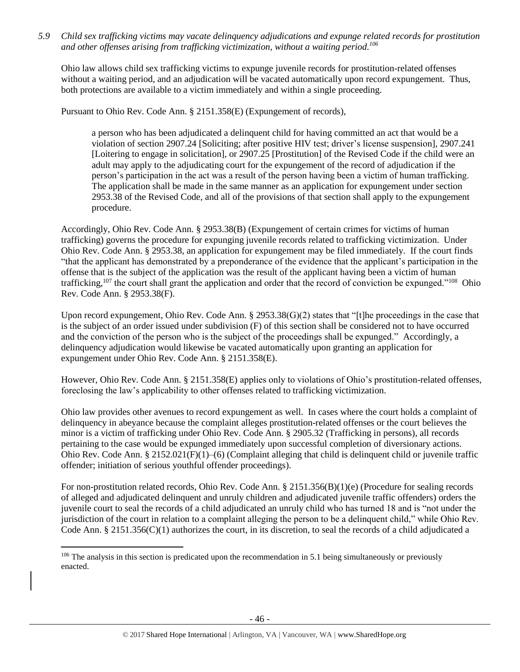*5.9 Child sex trafficking victims may vacate delinquency adjudications and expunge related records for prostitution and other offenses arising from trafficking victimization, without a waiting period. 106*

Ohio law allows child sex trafficking victims to expunge juvenile records for prostitution-related offenses without a waiting period, and an adjudication will be vacated automatically upon record expungement. Thus, both protections are available to a victim immediately and within a single proceeding.

Pursuant to Ohio Rev. Code Ann. § 2151.358(E) (Expungement of records),

a person who has been adjudicated a delinquent child for having committed an act that would be a violation of section 2907.24 [Soliciting; after positive HIV test; driver's license suspension], 2907.241 [Loitering to engage in solicitation], or 2907.25 [Prostitution] of the Revised Code if the child were an adult may apply to the adjudicating court for the expungement of the record of adjudication if the person's participation in the act was a result of the person having been a victim of human trafficking. The application shall be made in the same manner as an application for expungement under section 2953.38 of the Revised Code, and all of the provisions of that section shall apply to the expungement procedure.

Accordingly, Ohio Rev. Code Ann. § 2953.38(B) (Expungement of certain crimes for victims of human trafficking) governs the procedure for expunging juvenile records related to trafficking victimization. Under Ohio Rev. Code Ann. § 2953.38, an application for expungement may be filed immediately. If the court finds "that the applicant has demonstrated by a preponderance of the evidence that the applicant's participation in the offense that is the subject of the application was the result of the applicant having been a victim of human trafficking,<sup>107</sup> the court shall grant the application and order that the record of conviction be expunged."<sup>108</sup> Ohio Rev. Code Ann. § 2953.38(F).

Upon record expungement, Ohio Rev. Code Ann. § 2953.38(G)(2) states that "[t]he proceedings in the case that is the subject of an order issued under subdivision (F) of this section shall be considered not to have occurred and the conviction of the person who is the subject of the proceedings shall be expunged." Accordingly, a delinquency adjudication would likewise be vacated automatically upon granting an application for expungement under Ohio Rev. Code Ann. § 2151.358(E).

However, Ohio Rev. Code Ann. § 2151.358(E) applies only to violations of Ohio's prostitution-related offenses, foreclosing the law's applicability to other offenses related to trafficking victimization.

Ohio law provides other avenues to record expungement as well. In cases where the court holds a complaint of delinquency in abeyance because the complaint alleges prostitution-related offenses or the court believes the minor is a victim of trafficking under Ohio Rev. Code Ann. § 2905.32 (Trafficking in persons), all records pertaining to the case would be expunged immediately upon successful completion of diversionary actions. Ohio Rev. Code Ann. § 2152.021(F)(1)–(6) (Complaint alleging that child is delinquent child or juvenile traffic offender; initiation of serious youthful offender proceedings).

For non-prostitution related records, Ohio Rev. Code Ann. § 2151.356(B)(1)(e) (Procedure for sealing records of alleged and adjudicated delinquent and unruly children and adjudicated juvenile traffic offenders) orders the juvenile court to seal the records of a child adjudicated an unruly child who has turned 18 and is "not under the jurisdiction of the court in relation to a complaint alleging the person to be a delinquent child," while Ohio Rev. Code Ann.  $\S 2151.356(C)(1)$  authorizes the court, in its discretion, to seal the records of a child adjudicated a

 $\overline{a}$ 

 $106$  The analysis in this section is predicated upon the recommendation in 5.1 being simultaneously or previously enacted.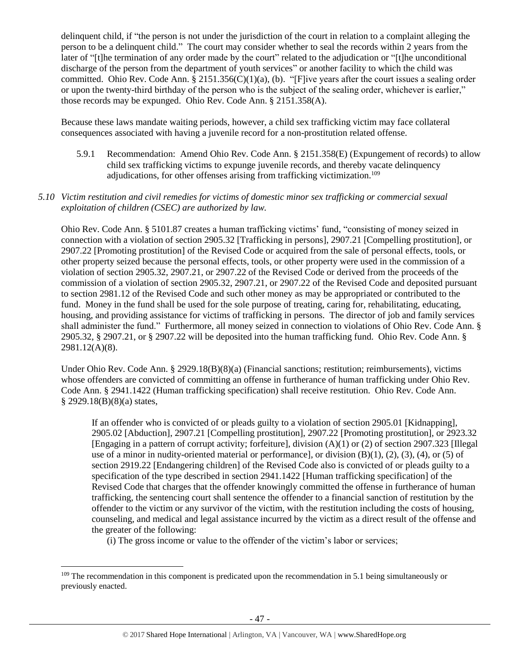delinquent child, if "the person is not under the jurisdiction of the court in relation to a complaint alleging the person to be a delinquent child." The court may consider whether to seal the records within 2 years from the later of "[t]he termination of any order made by the court" related to the adjudication or "[t]he unconditional discharge of the person from the department of youth services" or another facility to which the child was committed. Ohio Rev. Code Ann. § 2151.356(C)(1)(a), (b). "[F]ive years after the court issues a sealing order or upon the twenty-third birthday of the person who is the subject of the sealing order, whichever is earlier," those records may be expunged. Ohio Rev. Code Ann. § 2151.358(A).

Because these laws mandate waiting periods, however, a child sex trafficking victim may face collateral consequences associated with having a juvenile record for a non-prostitution related offense.

5.9.1 Recommendation: Amend Ohio Rev. Code Ann. § 2151.358(E) (Expungement of records) to allow child sex trafficking victims to expunge juvenile records, and thereby vacate delinquency adjudications, for other offenses arising from trafficking victimization.<sup>109</sup>

## *5.10 Victim restitution and civil remedies for victims of domestic minor sex trafficking or commercial sexual exploitation of children (CSEC) are authorized by law.*

Ohio Rev. Code Ann. § 5101.87 creates a human trafficking victims' fund, "consisting of money seized in connection with a violation of section 2905.32 [Trafficking in persons], 2907.21 [Compelling prostitution], or 2907.22 [Promoting prostitution] of the Revised Code or acquired from the sale of personal effects, tools, or other property seized because the personal effects, tools, or other property were used in the commission of a violation of section 2905.32, 2907.21, or 2907.22 of the Revised Code or derived from the proceeds of the commission of a violation of section 2905.32, 2907.21, or 2907.22 of the Revised Code and deposited pursuant to section 2981.12 of the Revised Code and such other money as may be appropriated or contributed to the fund. Money in the fund shall be used for the sole purpose of treating, caring for, rehabilitating, educating, housing, and providing assistance for victims of trafficking in persons. The director of job and family services shall administer the fund." Furthermore, all money seized in connection to violations of Ohio Rev. Code Ann. § 2905.32, § 2907.21, or § 2907.22 will be deposited into the human trafficking fund. Ohio Rev. Code Ann. § 2981.12(A)(8).

Under Ohio Rev. Code Ann. § 2929.18(B)(8)(a) (Financial sanctions; restitution; reimbursements), victims whose offenders are convicted of committing an offense in furtherance of human trafficking under Ohio Rev. Code Ann. § 2941.1422 (Human trafficking specification) shall receive restitution. Ohio Rev. Code Ann. § 2929.18(B)(8)(a) states,

If an offender who is convicted of or pleads guilty to a violation of section 2905.01 [Kidnapping], 2905.02 [Abduction], 2907.21 [Compelling prostitution], 2907.22 [Promoting prostitution], or 2923.32 [Engaging in a pattern of corrupt activity; forfeiture], division (A)(1) or (2) of section 2907.323 [Illegal use of a minor in nudity-oriented material or performance], or division  $(B)(1)$ ,  $(2)$ ,  $(3)$ ,  $(4)$ , or  $(5)$  of section 2919.22 [Endangering children] of the Revised Code also is convicted of or pleads guilty to a specification of the type described in section 2941.1422 [Human trafficking specification] of the Revised Code that charges that the offender knowingly committed the offense in furtherance of human trafficking, the sentencing court shall sentence the offender to a financial sanction of restitution by the offender to the victim or any survivor of the victim, with the restitution including the costs of housing, counseling, and medical and legal assistance incurred by the victim as a direct result of the offense and the greater of the following:

(i) The gross income or value to the offender of the victim's labor or services;

 $\overline{\phantom{a}}$ 

<sup>&</sup>lt;sup>109</sup> The recommendation in this component is predicated upon the recommendation in 5.1 being simultaneously or previously enacted.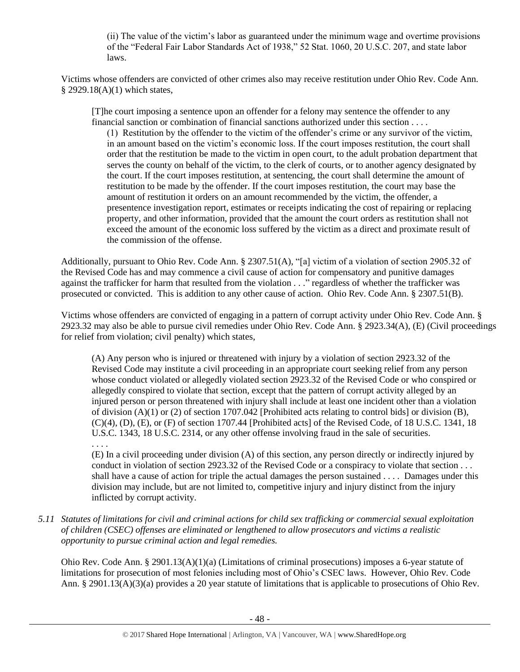(ii) The value of the victim's labor as guaranteed under the minimum wage and overtime provisions of the "Federal Fair Labor Standards Act of 1938," 52 Stat. 1060, 20 U.S.C. 207, and state labor laws.

Victims whose offenders are convicted of other crimes also may receive restitution under Ohio Rev. Code Ann. § 2929.18(A)(1) which states,

[T]he court imposing a sentence upon an offender for a felony may sentence the offender to any financial sanction or combination of financial sanctions authorized under this section . . . .

(1) Restitution by the offender to the victim of the offender's crime or any survivor of the victim, in an amount based on the victim's economic loss. If the court imposes restitution, the court shall order that the restitution be made to the victim in open court, to the adult probation department that serves the county on behalf of the victim, to the clerk of courts, or to another agency designated by the court. If the court imposes restitution, at sentencing, the court shall determine the amount of restitution to be made by the offender. If the court imposes restitution, the court may base the amount of restitution it orders on an amount recommended by the victim, the offender, a presentence investigation report, estimates or receipts indicating the cost of repairing or replacing property, and other information, provided that the amount the court orders as restitution shall not exceed the amount of the economic loss suffered by the victim as a direct and proximate result of the commission of the offense.

Additionally, pursuant to Ohio Rev. Code Ann. § 2307.51(A), "[a] victim of a violation of section 2905.32 of the Revised Code has and may commence a civil cause of action for compensatory and punitive damages against the trafficker for harm that resulted from the violation . . ." regardless of whether the trafficker was prosecuted or convicted. This is addition to any other cause of action. Ohio Rev. Code Ann. § 2307.51(B).

Victims whose offenders are convicted of engaging in a pattern of corrupt activity under Ohio Rev. Code Ann. § 2923.32 may also be able to pursue civil remedies under Ohio Rev. Code Ann. § 2923.34(A), (E) (Civil proceedings for relief from violation; civil penalty) which states,

(A) Any person who is injured or threatened with injury by a violation of section 2923.32 of the Revised Code may institute a civil proceeding in an appropriate court seeking relief from any person whose conduct violated or allegedly violated section 2923.32 of the Revised Code or who conspired or allegedly conspired to violate that section, except that the pattern of corrupt activity alleged by an injured person or person threatened with injury shall include at least one incident other than a violation of division (A)(1) or (2) of section 1707.042 [Prohibited acts relating to control bids] or division (B),  $(C)(4)$ ,  $(D)$ ,  $(E)$ , or  $(F)$  of section 1707.44 [Prohibited acts] of the Revised Code, of 18 U.S.C. 1341, 18 U.S.C. 1343, 18 U.S.C. 2314, or any other offense involving fraud in the sale of securities.

(E) In a civil proceeding under division (A) of this section, any person directly or indirectly injured by conduct in violation of section 2923.32 of the Revised Code or a conspiracy to violate that section . . . shall have a cause of action for triple the actual damages the person sustained . . . . Damages under this division may include, but are not limited to, competitive injury and injury distinct from the injury inflicted by corrupt activity.

*5.11 Statutes of limitations for civil and criminal actions for child sex trafficking or commercial sexual exploitation of children (CSEC) offenses are eliminated or lengthened to allow prosecutors and victims a realistic opportunity to pursue criminal action and legal remedies.*

. . . .

Ohio Rev. Code Ann. § 2901.13(A)(1)(a) (Limitations of criminal prosecutions) imposes a 6-year statute of limitations for prosecution of most felonies including most of Ohio's CSEC laws. However, Ohio Rev. Code Ann. § 2901.13(A)(3)(a) provides a 20 year statute of limitations that is applicable to prosecutions of Ohio Rev.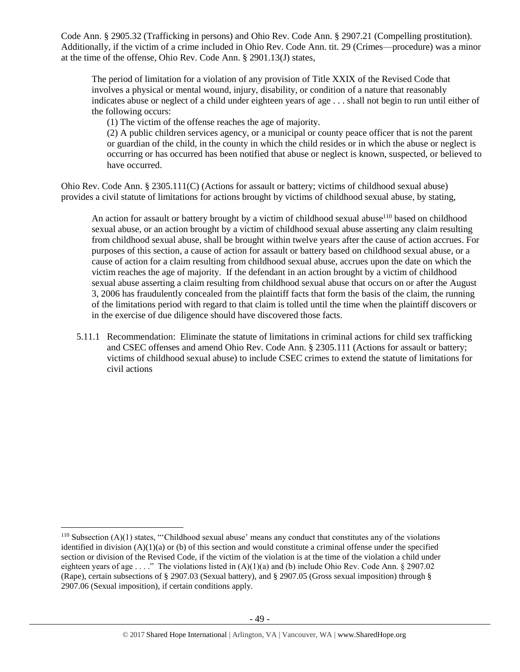Code Ann. § 2905.32 (Trafficking in persons) and Ohio Rev. Code Ann. § 2907.21 (Compelling prostitution). Additionally, if the victim of a crime included in Ohio Rev. Code Ann. tit. 29 (Crimes—procedure) was a minor at the time of the offense, Ohio Rev. Code Ann. § 2901.13(J) states,

The period of limitation for a violation of any provision of Title XXIX of the Revised Code that involves a physical or mental wound, injury, disability, or condition of a nature that reasonably indicates abuse or neglect of a child under eighteen years of age . . . shall not begin to run until either of the following occurs:

(1) The victim of the offense reaches the age of majority.

(2) A public children services agency, or a municipal or county peace officer that is not the parent or guardian of the child, in the county in which the child resides or in which the abuse or neglect is occurring or has occurred has been notified that abuse or neglect is known, suspected, or believed to have occurred.

Ohio Rev. Code Ann. § 2305.111(C) (Actions for assault or battery; victims of childhood sexual abuse) provides a civil statute of limitations for actions brought by victims of childhood sexual abuse, by stating,

An action for assault or battery brought by a victim of childhood sexual abuse $110$  based on childhood sexual abuse, or an action brought by a victim of childhood sexual abuse asserting any claim resulting from childhood sexual abuse, shall be brought within twelve years after the cause of action accrues. For purposes of this section, a cause of action for assault or battery based on childhood sexual abuse, or a cause of action for a claim resulting from childhood sexual abuse, accrues upon the date on which the victim reaches the age of majority. If the defendant in an action brought by a victim of childhood sexual abuse asserting a claim resulting from childhood sexual abuse that occurs on or after the August 3, 2006 has fraudulently concealed from the plaintiff facts that form the basis of the claim, the running of the limitations period with regard to that claim is tolled until the time when the plaintiff discovers or in the exercise of due diligence should have discovered those facts.

5.11.1 Recommendation: Eliminate the statute of limitations in criminal actions for child sex trafficking and CSEC offenses and amend Ohio Rev. Code Ann. § 2305.111 (Actions for assault or battery; victims of childhood sexual abuse) to include CSEC crimes to extend the statute of limitations for civil actions

 $\overline{\phantom{a}}$ 

 $110$  Subsection (A)(1) states, "'Childhood sexual abuse' means any conduct that constitutes any of the violations identified in division  $(A)(1)(a)$  or (b) of this section and would constitute a criminal offense under the specified section or division of the Revised Code, if the victim of the violation is at the time of the violation a child under eighteen years of age . . . ." The violations listed in  $(A)(1)(a)$  and (b) include Ohio Rev. Code Ann. § 2907.02 (Rape), certain subsections of § 2907.03 (Sexual battery), and § 2907.05 (Gross sexual imposition) through § 2907.06 (Sexual imposition), if certain conditions apply.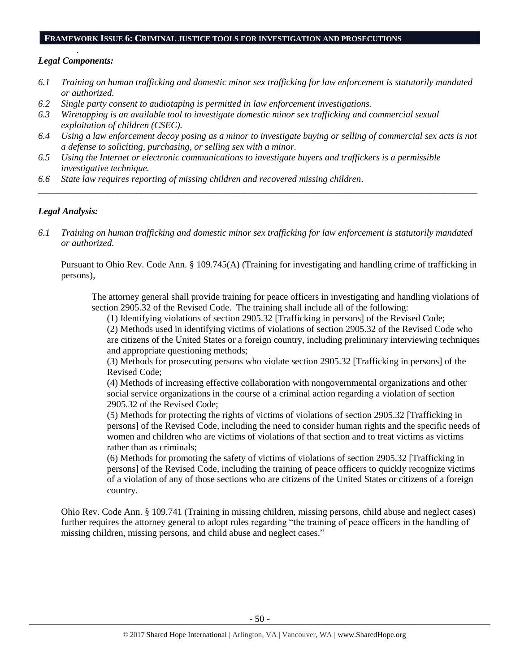## **FRAMEWORK ISSUE 6: CRIMINAL JUSTICE TOOLS FOR INVESTIGATION AND PROSECUTIONS**

## . *Legal Components:*

- *6.1 Training on human trafficking and domestic minor sex trafficking for law enforcement is statutorily mandated or authorized.*
- *6.2 Single party consent to audiotaping is permitted in law enforcement investigations.*
- *6.3 Wiretapping is an available tool to investigate domestic minor sex trafficking and commercial sexual exploitation of children (CSEC).*
- *6.4 Using a law enforcement decoy posing as a minor to investigate buying or selling of commercial sex acts is not a defense to soliciting, purchasing, or selling sex with a minor.*
- *6.5 Using the Internet or electronic communications to investigate buyers and traffickers is a permissible investigative technique.*
- *6.6 State law requires reporting of missing children and recovered missing children.*

# *Legal Analysis:*

*6.1 Training on human trafficking and domestic minor sex trafficking for law enforcement is statutorily mandated or authorized.*

*\_\_\_\_\_\_\_\_\_\_\_\_\_\_\_\_\_\_\_\_\_\_\_\_\_\_\_\_\_\_\_\_\_\_\_\_\_\_\_\_\_\_\_\_\_\_\_\_\_\_\_\_\_\_\_\_\_\_\_\_\_\_\_\_\_\_\_\_\_\_\_\_\_\_\_\_\_\_\_\_\_\_\_\_\_\_\_\_\_\_\_\_\_\_*

Pursuant to Ohio Rev. Code Ann. § 109.745(A) (Training for investigating and handling crime of trafficking in persons),

The attorney general shall provide training for peace officers in investigating and handling violations of section 2905.32 of the Revised Code. The training shall include all of the following:

(1) Identifying violations of section 2905.32 [Trafficking in persons] of the Revised Code;

(2) Methods used in identifying victims of violations of section 2905.32 of the Revised Code who are citizens of the United States or a foreign country, including preliminary interviewing techniques and appropriate questioning methods;

(3) Methods for prosecuting persons who violate section 2905.32 [Trafficking in persons] of the Revised Code;

(4) Methods of increasing effective collaboration with nongovernmental organizations and other social service organizations in the course of a criminal action regarding a violation of section 2905.32 of the Revised Code;

(5) Methods for protecting the rights of victims of violations of section 2905.32 [Trafficking in persons] of the Revised Code, including the need to consider human rights and the specific needs of women and children who are victims of violations of that section and to treat victims as victims rather than as criminals;

(6) Methods for promoting the safety of victims of violations of section 2905.32 [Trafficking in persons] of the Revised Code, including the training of peace officers to quickly recognize victims of a violation of any of those sections who are citizens of the United States or citizens of a foreign country.

Ohio Rev. Code Ann. § 109.741 (Training in missing children, missing persons, child abuse and neglect cases) further requires the attorney general to adopt rules regarding "the training of peace officers in the handling of missing children, missing persons, and child abuse and neglect cases."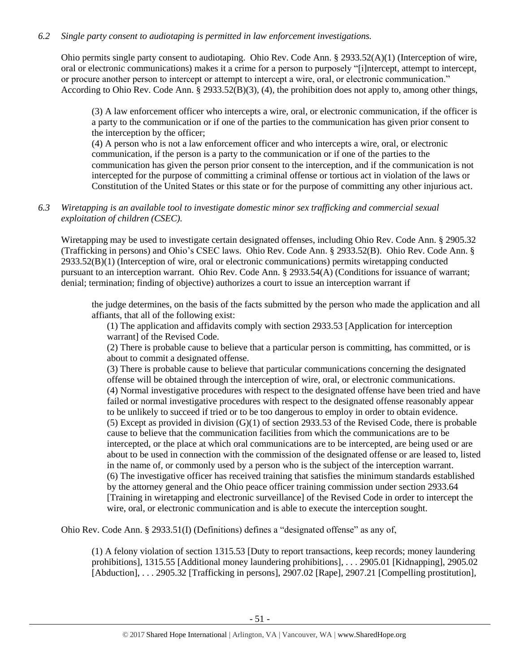## *6.2 Single party consent to audiotaping is permitted in law enforcement investigations.*

Ohio permits single party consent to audiotaping. Ohio Rev. Code Ann. § 2933.52(A)(1) (Interception of wire, oral or electronic communications) makes it a crime for a person to purposely "[i]ntercept, attempt to intercept, or procure another person to intercept or attempt to intercept a wire, oral, or electronic communication." According to Ohio Rev. Code Ann. § 2933.52(B)(3), (4), the prohibition does not apply to, among other things,

(3) A law enforcement officer who intercepts a wire, oral, or electronic communication, if the officer is a party to the communication or if one of the parties to the communication has given prior consent to the interception by the officer;

(4) A person who is not a law enforcement officer and who intercepts a wire, oral, or electronic communication, if the person is a party to the communication or if one of the parties to the communication has given the person prior consent to the interception, and if the communication is not intercepted for the purpose of committing a criminal offense or tortious act in violation of the laws or Constitution of the United States or this state or for the purpose of committing any other injurious act.

# *6.3 Wiretapping is an available tool to investigate domestic minor sex trafficking and commercial sexual exploitation of children (CSEC).*

Wiretapping may be used to investigate certain designated offenses, including Ohio Rev. Code Ann. § 2905.32 (Trafficking in persons) and Ohio's CSEC laws. Ohio Rev. Code Ann. § 2933.52(B). Ohio Rev. Code Ann. § 2933.52(B)(1) (Interception of wire, oral or electronic communications) permits wiretapping conducted pursuant to an interception warrant. Ohio Rev. Code Ann. § 2933.54(A) (Conditions for issuance of warrant; denial; termination; finding of objective) authorizes a court to issue an interception warrant if

the judge determines, on the basis of the facts submitted by the person who made the application and all affiants, that all of the following exist:

(1) The application and affidavits comply with section 2933.53 [Application for interception warrant] of the Revised Code.

(2) There is probable cause to believe that a particular person is committing, has committed, or is about to commit a designated offense.

(3) There is probable cause to believe that particular communications concerning the designated offense will be obtained through the interception of wire, oral, or electronic communications. (4) Normal investigative procedures with respect to the designated offense have been tried and have failed or normal investigative procedures with respect to the designated offense reasonably appear to be unlikely to succeed if tried or to be too dangerous to employ in order to obtain evidence. (5) Except as provided in division (G)(1) of section 2933.53 of the Revised Code, there is probable cause to believe that the communication facilities from which the communications are to be intercepted, or the place at which oral communications are to be intercepted, are being used or are about to be used in connection with the commission of the designated offense or are leased to, listed in the name of, or commonly used by a person who is the subject of the interception warrant. (6) The investigative officer has received training that satisfies the minimum standards established by the attorney general and the Ohio peace officer training commission under section 2933.64 [Training in wiretapping and electronic surveillance] of the Revised Code in order to intercept the wire, oral, or electronic communication and is able to execute the interception sought.

Ohio Rev. Code Ann. § 2933.51(I) (Definitions) defines a "designated offense" as any of,

(1) A felony violation of section 1315.53 [Duty to report transactions, keep records; money laundering prohibitions], 1315.55 [Additional money laundering prohibitions], . . . 2905.01 [Kidnapping], 2905.02 [Abduction], . . . 2905.32 [Trafficking in persons], 2907.02 [Rape], 2907.21 [Compelling prostitution],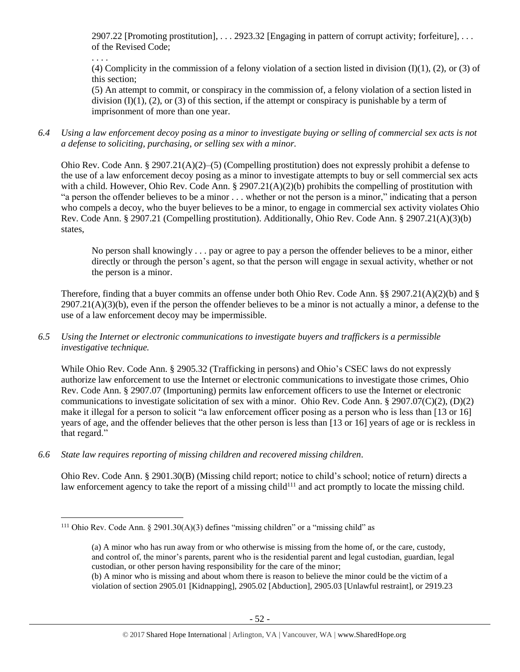2907.22 [Promoting prostitution], . . . 2923.32 [Engaging in pattern of corrupt activity; forfeiture], . . . of the Revised Code;

. . . .

(4) Complicity in the commission of a felony violation of a section listed in division  $(I)(1)$ ,  $(2)$ , or  $(3)$  of this section;

(5) An attempt to commit, or conspiracy in the commission of, a felony violation of a section listed in division  $(I)(1)$ ,  $(2)$ , or  $(3)$  of this section, if the attempt or conspiracy is punishable by a term of imprisonment of more than one year.

*6.4 Using a law enforcement decoy posing as a minor to investigate buying or selling of commercial sex acts is not a defense to soliciting, purchasing, or selling sex with a minor.*

Ohio Rev. Code Ann. § 2907.21(A)(2)–(5) (Compelling prostitution) does not expressly prohibit a defense to the use of a law enforcement decoy posing as a minor to investigate attempts to buy or sell commercial sex acts with a child. However, Ohio Rev. Code Ann. § 2907.21(A)(2)(b) prohibits the compelling of prostitution with "a person the offender believes to be a minor . . . whether or not the person is a minor," indicating that a person who compels a decoy, who the buyer believes to be a minor, to engage in commercial sex activity violates Ohio Rev. Code Ann. § 2907.21 (Compelling prostitution). Additionally, Ohio Rev. Code Ann. § 2907.21(A)(3)(b) states,

No person shall knowingly . . . pay or agree to pay a person the offender believes to be a minor, either directly or through the person's agent, so that the person will engage in sexual activity, whether or not the person is a minor.

Therefore, finding that a buyer commits an offense under both Ohio Rev. Code Ann. §§ 2907.21(A)(2)(b) and §  $2907.21(A)(3)(b)$ , even if the person the offender believes to be a minor is not actually a minor, a defense to the use of a law enforcement decoy may be impermissible.

*6.5 Using the Internet or electronic communications to investigate buyers and traffickers is a permissible investigative technique.*

While Ohio Rev. Code Ann. § 2905.32 (Trafficking in persons) and Ohio's CSEC laws do not expressly authorize law enforcement to use the Internet or electronic communications to investigate those crimes, Ohio Rev. Code Ann. § 2907.07 (Importuning) permits law enforcement officers to use the Internet or electronic communications to investigate solicitation of sex with a minor. Ohio Rev. Code Ann. § 2907.07(C)(2), (D)(2) make it illegal for a person to solicit "a law enforcement officer posing as a person who is less than [13 or 16] years of age, and the offender believes that the other person is less than [13 or 16] years of age or is reckless in that regard."

*6.6 State law requires reporting of missing children and recovered missing children.* 

Ohio Rev. Code Ann. § 2901.30(B) (Missing child report; notice to child's school; notice of return) directs a law enforcement agency to take the report of a missing child<sup>111</sup> and act promptly to locate the missing child.

 $\overline{\phantom{a}}$ <sup>111</sup> Ohio Rev. Code Ann. § 2901.30(A)(3) defines "missing children" or a "missing child" as

<span id="page-51-0"></span><sup>(</sup>a) A minor who has run away from or who otherwise is missing from the home of, or the care, custody, and control of, the minor's parents, parent who is the residential parent and legal custodian, guardian, legal custodian, or other person having responsibility for the care of the minor;

<sup>(</sup>b) A minor who is missing and about whom there is reason to believe the minor could be the victim of a violation of section 2905.01 [Kidnapping], 2905.02 [Abduction], 2905.03 [Unlawful restraint], or 2919.23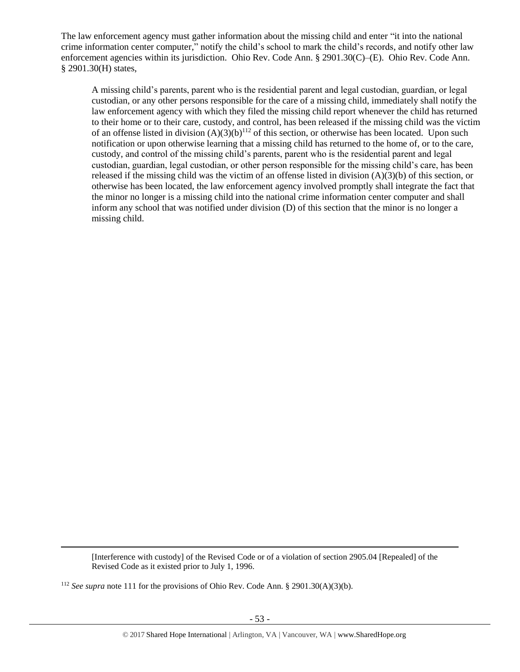The law enforcement agency must gather information about the missing child and enter "it into the national crime information center computer," notify the child's school to mark the child's records, and notify other law enforcement agencies within its jurisdiction. Ohio Rev. Code Ann. § 2901.30(C)–(E). Ohio Rev. Code Ann. § 2901.30(H) states,

A missing child's parents, parent who is the residential parent and legal custodian, guardian, or legal custodian, or any other persons responsible for the care of a missing child, immediately shall notify the law enforcement agency with which they filed the missing child report whenever the child has returned to their home or to their care, custody, and control, has been released if the missing child was the victim of an offense listed in division  $(A)(3)(b)^{112}$  of this section, or otherwise has been located. Upon such notification or upon otherwise learning that a missing child has returned to the home of, or to the care, custody, and control of the missing child's parents, parent who is the residential parent and legal custodian, guardian, legal custodian, or other person responsible for the missing child's care, has been released if the missing child was the victim of an offense listed in division (A)(3)(b) of this section, or otherwise has been located, the law enforcement agency involved promptly shall integrate the fact that the minor no longer is a missing child into the national crime information center computer and shall inform any school that was notified under division (D) of this section that the minor is no longer a missing child.

[Interference with custody] of the Revised Code or of a violation of section 2905.04 [Repealed] of the Revised Code as it existed prior to July 1, 1996.

<sup>112</sup> *See supra* not[e 111](#page-51-0) for the provisions of Ohio Rev. Code Ann. § 2901.30(A)(3)(b).

 $\overline{a}$